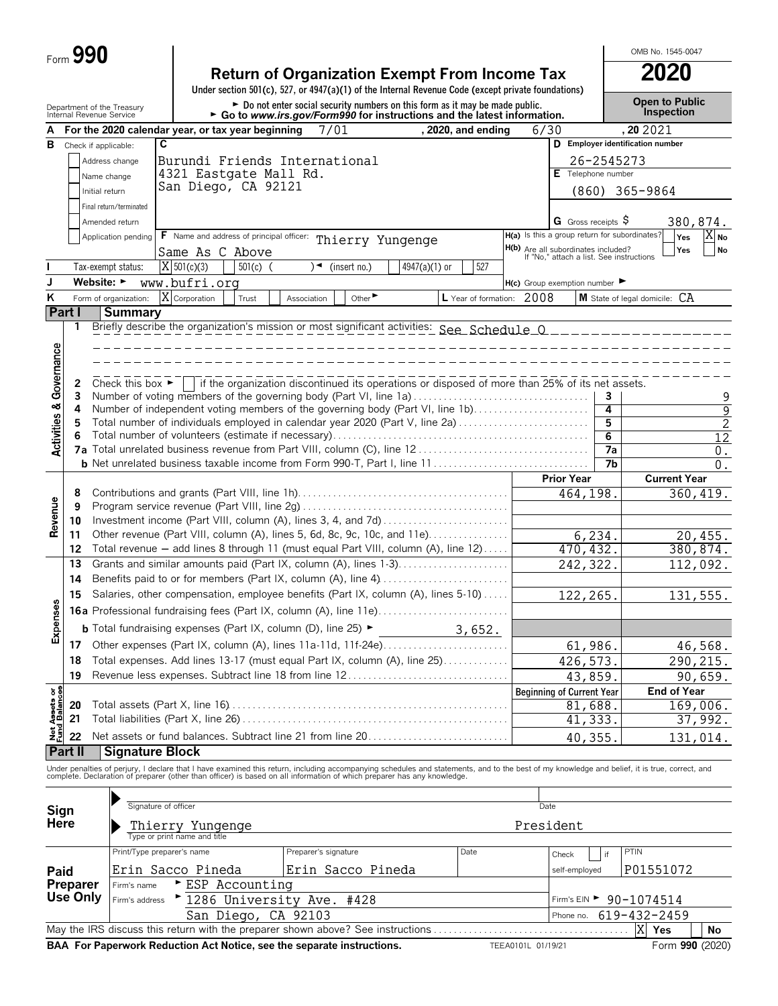|  | Form 990 |  |
|--|----------|--|
|--|----------|--|

|                                        | Form 990                                               |                                               |                                                                                                                                                                                                                                |                                                                                                                                                           |                           |                           |                                                                                      |                     | OMB No. 1545-0047                   |
|----------------------------------------|--------------------------------------------------------|-----------------------------------------------|--------------------------------------------------------------------------------------------------------------------------------------------------------------------------------------------------------------------------------|-----------------------------------------------------------------------------------------------------------------------------------------------------------|---------------------------|---------------------------|--------------------------------------------------------------------------------------|---------------------|-------------------------------------|
|                                        |                                                        |                                               |                                                                                                                                                                                                                                | <b>Return of Organization Exempt From Income Tax</b>                                                                                                      |                           |                           |                                                                                      |                     | 2020                                |
|                                        |                                                        |                                               |                                                                                                                                                                                                                                | Under section 501(c), 527, or 4947(a)(1) of the Internal Revenue Code (except private foundations)                                                        |                           |                           |                                                                                      |                     |                                     |
|                                        | Department of the Treasury<br>Internal Revenue Service |                                               |                                                                                                                                                                                                                                | ► Do not enter social security numbers on this form as it may be made public.<br>► Go to www.irs.gov/Form990 for instructions and the latest information. |                           |                           |                                                                                      |                     | <b>Open to Public</b><br>Inspection |
|                                        |                                                        |                                               | For the 2020 calendar year, or tax year beginning                                                                                                                                                                              | 7/01                                                                                                                                                      |                           | . 2020. and ending        | 6/30                                                                                 |                     | , 20 20 21                          |
| В                                      | Check if applicable:                                   | C                                             |                                                                                                                                                                                                                                |                                                                                                                                                           |                           |                           |                                                                                      |                     | D Employer identification number    |
|                                        |                                                        | Address change                                | Burundi Friends International                                                                                                                                                                                                  |                                                                                                                                                           |                           |                           |                                                                                      | 26-2545273          |                                     |
|                                        |                                                        | Name change                                   | 4321 Eastgate Mall Rd.                                                                                                                                                                                                         |                                                                                                                                                           |                           |                           | E Telephone number                                                                   |                     |                                     |
|                                        | Initial return                                         |                                               | San Diego, CA 92121                                                                                                                                                                                                            |                                                                                                                                                           |                           |                           |                                                                                      |                     | $(860)$ 365-9864                    |
|                                        |                                                        | Final return/terminated                       |                                                                                                                                                                                                                                |                                                                                                                                                           |                           |                           |                                                                                      |                     |                                     |
|                                        |                                                        | Amended return                                |                                                                                                                                                                                                                                |                                                                                                                                                           |                           |                           | G Gross receipts $\sqrt{5}$                                                          |                     | 380,874.                            |
|                                        |                                                        | Application pending                           | <b>F</b> Name and address of principal officer:                                                                                                                                                                                | Thierry Yungenge                                                                                                                                          |                           |                           | H(a) Is this a group return for subordinates?<br>H(b) Are all subordinates included? |                     | $X_{No}$<br>Yes                     |
|                                        |                                                        |                                               | Same As C Above                                                                                                                                                                                                                |                                                                                                                                                           |                           |                           | If "No," attach a list. See instructions                                             |                     | Yes<br><b>No</b>                    |
|                                        |                                                        | Tax-exempt status:                            | $X$ 501(c)(3)<br>$501(c)$ (                                                                                                                                                                                                    | (insert no.)<br>∖◄                                                                                                                                        | $4947(a)(1)$ or           | 527                       |                                                                                      |                     |                                     |
| ĸ                                      | Website: ►                                             | Form of organization:                         | www.bufri.org<br>X Corporation                                                                                                                                                                                                 |                                                                                                                                                           |                           |                           | $H(c)$ Group exemption number $\blacktriangleright$                                  |                     | M State of legal domicile: CA       |
|                                        | Part I                                                 | <b>Summary</b>                                | Trust                                                                                                                                                                                                                          | Other<br>Association                                                                                                                                      |                           | L Year of formation: 2008 |                                                                                      |                     |                                     |
|                                        | 1                                                      |                                               | Briefly describe the organization's mission or most significant activities: See Schedule 0                                                                                                                                     |                                                                                                                                                           |                           |                           |                                                                                      |                     |                                     |
|                                        |                                                        |                                               |                                                                                                                                                                                                                                |                                                                                                                                                           |                           |                           |                                                                                      |                     |                                     |
| Governance                             |                                                        |                                               |                                                                                                                                                                                                                                |                                                                                                                                                           |                           |                           |                                                                                      |                     |                                     |
|                                        |                                                        |                                               |                                                                                                                                                                                                                                |                                                                                                                                                           |                           |                           |                                                                                      |                     |                                     |
|                                        | 2                                                      | Check this box $\blacktriangleright$ $\vdash$ |                                                                                                                                                                                                                                | if the organization discontinued its operations or disposed of more than 25% of its net assets.                                                           |                           |                           |                                                                                      |                     |                                     |
|                                        | 3<br>4                                                 |                                               | Number of voting members of the governing body (Part VI, line 1a)<br>Number of independent voting members of the governing body (Part VI, line 1b)                                                                             |                                                                                                                                                           |                           |                           |                                                                                      | $\overline{4}$      | $\frac{9}{9}$                       |
|                                        | 5                                                      |                                               | Total number of individuals employed in calendar year 2020 (Part V, line 2a)                                                                                                                                                   |                                                                                                                                                           |                           |                           |                                                                                      | 5                   | $\overline{c}$                      |
| <b>Activities &amp;</b>                | 6                                                      |                                               |                                                                                                                                                                                                                                |                                                                                                                                                           |                           |                           |                                                                                      | 6                   | $\overline{12}$                     |
|                                        |                                                        |                                               |                                                                                                                                                                                                                                |                                                                                                                                                           |                           |                           |                                                                                      | $\overline{7a}$     | $0$ .                               |
|                                        |                                                        |                                               |                                                                                                                                                                                                                                |                                                                                                                                                           |                           |                           |                                                                                      | 7b                  | 0.                                  |
|                                        |                                                        |                                               |                                                                                                                                                                                                                                |                                                                                                                                                           |                           |                           |                                                                                      |                     |                                     |
|                                        |                                                        |                                               |                                                                                                                                                                                                                                |                                                                                                                                                           |                           |                           | <b>Prior Year</b>                                                                    |                     | <b>Current Year</b>                 |
|                                        | 8                                                      |                                               |                                                                                                                                                                                                                                |                                                                                                                                                           |                           |                           | 464,198.                                                                             |                     | 360, 419.                           |
|                                        | 9                                                      |                                               |                                                                                                                                                                                                                                |                                                                                                                                                           |                           |                           |                                                                                      |                     |                                     |
| Revenue                                | 10<br>11                                               |                                               | Investment income (Part VIII, column (A), lines 3, 4, and 7d)                                                                                                                                                                  |                                                                                                                                                           |                           |                           |                                                                                      |                     |                                     |
|                                        | 12                                                     |                                               | Other revenue (Part VIII, column (A), lines 5, 6d, 8c, 9c, 10c, and 11e)<br>Total revenue - add lines 8 through 11 (must equal Part VIII, column (A), line 12)                                                                 |                                                                                                                                                           |                           |                           |                                                                                      | 6,234.              | 20,455.                             |
|                                        | 13                                                     |                                               | Grants and similar amounts paid (Part IX, column (A), lines 1-3)                                                                                                                                                               |                                                                                                                                                           |                           |                           | 470, 432.                                                                            |                     | 380,874.<br>112,092.                |
|                                        | 14                                                     |                                               |                                                                                                                                                                                                                                |                                                                                                                                                           |                           |                           | 242,322.                                                                             |                     |                                     |
|                                        | 15                                                     |                                               | Salaries, other compensation, employee benefits (Part IX, column (A), lines 5-10)                                                                                                                                              |                                                                                                                                                           |                           |                           | 122,265.                                                                             |                     | 131,555.                            |
| 8                                      |                                                        |                                               |                                                                                                                                                                                                                                |                                                                                                                                                           |                           |                           |                                                                                      |                     |                                     |
|                                        |                                                        |                                               | <b>b</b> Total fundraising expenses (Part IX, column (D), line 25) $\blacktriangleright$                                                                                                                                       |                                                                                                                                                           |                           |                           |                                                                                      |                     |                                     |
| Expense                                | 17                                                     |                                               | Other expenses (Part IX, column (A), lines 11a-11d, 11f-24e)                                                                                                                                                                   |                                                                                                                                                           | $\frac{3}{1652}$ , 3,652. |                           |                                                                                      |                     |                                     |
|                                        | 18                                                     |                                               | Total expenses. Add lines 13-17 (must equal Part IX, column (A), line 25)                                                                                                                                                      |                                                                                                                                                           |                           |                           |                                                                                      | 61,986.             | 46,568.                             |
|                                        | 19                                                     |                                               | Revenue less expenses. Subtract line 18 from line 12                                                                                                                                                                           |                                                                                                                                                           |                           |                           |                                                                                      | 426,573.<br>43,859. | 290, 215.<br>90,659.                |
|                                        |                                                        |                                               |                                                                                                                                                                                                                                |                                                                                                                                                           |                           |                           | <b>Beginning of Current Year</b>                                                     |                     | <b>End of Year</b>                  |
|                                        | 20                                                     |                                               |                                                                                                                                                                                                                                |                                                                                                                                                           |                           |                           |                                                                                      | 81,688              | 169,006.                            |
|                                        | 21                                                     |                                               |                                                                                                                                                                                                                                |                                                                                                                                                           |                           |                           |                                                                                      | 41,333.             | 37,992.                             |
| <b>Net Assets or<br/>Fund Balances</b> | 22                                                     |                                               | Net assets or fund balances. Subtract line 21 from line 20                                                                                                                                                                     |                                                                                                                                                           |                           |                           |                                                                                      | 40,355.             | 131,014.                            |
|                                        | Part II                                                | <b>Signature Block</b>                        |                                                                                                                                                                                                                                |                                                                                                                                                           |                           |                           |                                                                                      |                     |                                     |
|                                        |                                                        |                                               | Under penalties of perjury, I declare that I have examined this return, including accompanying schedules and statements, and to the best of my knowledge and belief, it is true, correct, and complete. Declaration of prepare |                                                                                                                                                           |                           |                           |                                                                                      |                     |                                     |
|                                        |                                                        |                                               |                                                                                                                                                                                                                                |                                                                                                                                                           |                           |                           |                                                                                      |                     |                                     |
| Sign                                   |                                                        | Signature of officer                          |                                                                                                                                                                                                                                |                                                                                                                                                           |                           |                           | Date                                                                                 |                     |                                     |
| Here                                   |                                                        |                                               |                                                                                                                                                                                                                                |                                                                                                                                                           |                           |                           | President                                                                            |                     |                                     |
|                                        |                                                        |                                               | Thierry Yungenge                                                                                                                                                                                                               |                                                                                                                                                           |                           |                           |                                                                                      |                     |                                     |
| Paid                                   |                                                        | Print/Type preparer's name                    | Erin Sacco Pineda                                                                                                                                                                                                              | Preparer's signature<br>Erin Sacco Pineda                                                                                                                 |                           | Date                      | Check<br>self-employed                                                               | if                  | PTIN<br>P01551072                   |

| Preparer | Firm's name | ESP Accounting                                                                                                                       |                    |                              |
|----------|-------------|--------------------------------------------------------------------------------------------------------------------------------------|--------------------|------------------------------|
|          |             | Use Only $ _{\text{Firm's address}} \rightarrow \frac{1286 \text{ University Ave. } \pm 428}{1286 \text{ University Ave. } \pm 428}$ |                    | $Firm's EIN > 90 - 1074514$  |
|          |             | San Diego, CA 92103                                                                                                                  |                    | Phone no. $619 - 432 - 2459$ |
|          |             |                                                                                                                                      |                    | XI Yes<br>' No               |
|          |             | BAA For Paperwork Reduction Act Notice, see the separate instructions.                                                               | TEEA0101L 01/19/21 | Form 990 (2020)              |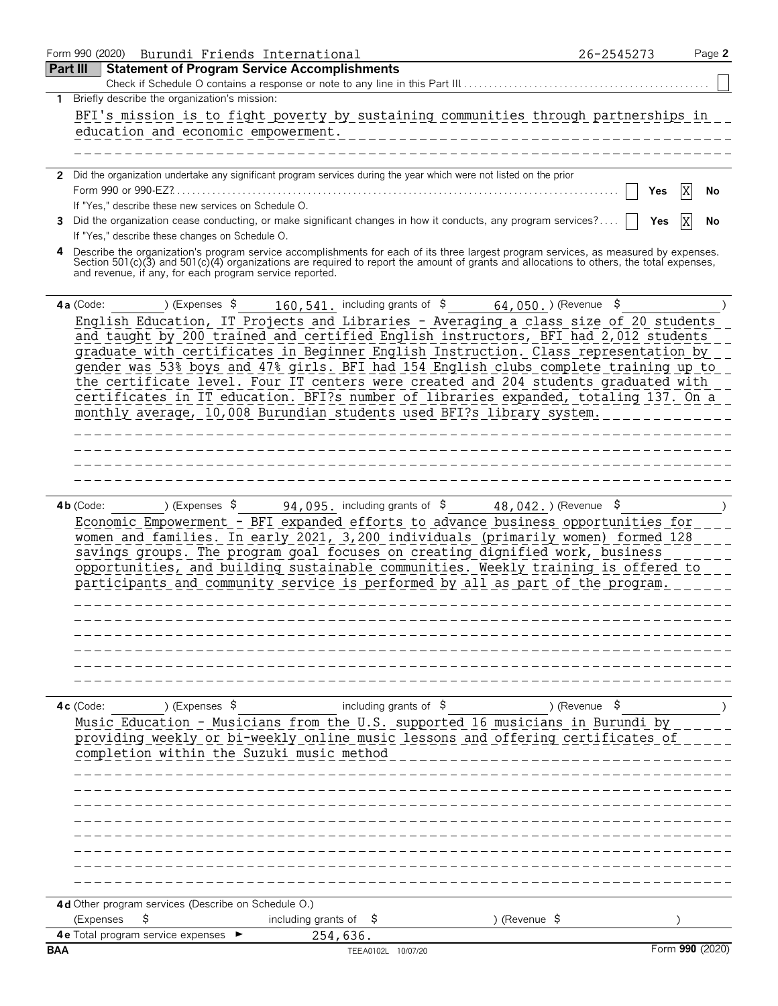|                 | Form 990 (2020) Burundi Friends International                                                                                                                                                                                                                                                                                                 | 26-2545273    | Page 2          |
|-----------------|-----------------------------------------------------------------------------------------------------------------------------------------------------------------------------------------------------------------------------------------------------------------------------------------------------------------------------------------------|---------------|-----------------|
| <b>Part III</b> | <b>Statement of Program Service Accomplishments</b>                                                                                                                                                                                                                                                                                           |               |                 |
|                 | Check if Schedule O contains a response or note to any line in this Part III                                                                                                                                                                                                                                                                  |               |                 |
| 1               | Briefly describe the organization's mission:                                                                                                                                                                                                                                                                                                  |               |                 |
|                 | BFI's mission is to fight poverty by sustaining communities through partnerships in                                                                                                                                                                                                                                                           |               |                 |
|                 | education and economic empowerment.<br>__________________________________                                                                                                                                                                                                                                                                     |               |                 |
|                 |                                                                                                                                                                                                                                                                                                                                               |               |                 |
|                 |                                                                                                                                                                                                                                                                                                                                               |               |                 |
|                 | 2 Did the organization undertake any significant program services during the year which were not listed on the prior                                                                                                                                                                                                                          |               |                 |
|                 | If "Yes," describe these new services on Schedule O.                                                                                                                                                                                                                                                                                          | Yes           | No              |
|                 | 3 Did the organization cease conducting, or make significant changes in how it conducts, any program services?                                                                                                                                                                                                                                | Yes           | No              |
|                 | If "Yes," describe these changes on Schedule O.                                                                                                                                                                                                                                                                                               |               |                 |
|                 | 4 Describe the organization's program service accomplishments for each of its three largest program services, as measured by expenses.<br>Section 501(c)(3) and 501(c)(4) organizations are required to report the amount of grants and allocations to others, the total expenses,<br>and revenue, if any, for each program service reported. |               |                 |
|                 | 160, 541. including grants of $\frac{2}{5}$ 64, 050. ) (Revenue $\frac{2}{5}$<br>4a (Code:<br>) (Expenses \$                                                                                                                                                                                                                                  |               |                 |
|                 | English Education, IT Projects and Libraries - Averaging a class size of 20 students                                                                                                                                                                                                                                                          |               |                 |
|                 | and taught by 200 trained and certified English instructors, BFI had 2,012 students                                                                                                                                                                                                                                                           |               |                 |
|                 | graduate with certificates in Beginner English Instruction. Class representation by                                                                                                                                                                                                                                                           |               |                 |
|                 | gender was 53% boys and 47% girls. BFI had 154 English clubs complete training up to                                                                                                                                                                                                                                                          |               |                 |
|                 | the certificate level. Four IT centers were created and 204 students graduated with                                                                                                                                                                                                                                                           |               |                 |
|                 | certificates in IT education. BFI?s number of libraries expanded, totaling 137. On a                                                                                                                                                                                                                                                          |               |                 |
|                 | monthly average, 10,008 Burundian students used BFI?s library system.                                                                                                                                                                                                                                                                         |               |                 |
|                 | ______________________                                                                                                                                                                                                                                                                                                                        |               |                 |
|                 | --------------------                                                                                                                                                                                                                                                                                                                          |               |                 |
|                 |                                                                                                                                                                                                                                                                                                                                               |               |                 |
|                 |                                                                                                                                                                                                                                                                                                                                               |               |                 |
|                 |                                                                                                                                                                                                                                                                                                                                               |               |                 |
|                 | ) (Expenses $\sqrt{5}$ 94, 095, including grants of $\sqrt{5}$ 48, 042, ) (Revenue $\sqrt{5}$<br>$4b$ (Code:                                                                                                                                                                                                                                  |               |                 |
|                 | Economic Empowerment - BFI expanded efforts to advance business opportunities for                                                                                                                                                                                                                                                             |               |                 |
|                 | women and families. In early 2021, 3,200 individuals (primarily women) formed 128                                                                                                                                                                                                                                                             |               |                 |
|                 | savings groups. The program goal focuses on creating dignified work, business<br>opportunities, and building sustainable communities. Weekly training is offered to                                                                                                                                                                           |               |                 |
|                 | participants and community service is performed by all as part of the program.                                                                                                                                                                                                                                                                |               |                 |
|                 |                                                                                                                                                                                                                                                                                                                                               |               |                 |
|                 |                                                                                                                                                                                                                                                                                                                                               |               |                 |
|                 |                                                                                                                                                                                                                                                                                                                                               |               |                 |
|                 |                                                                                                                                                                                                                                                                                                                                               |               |                 |
|                 |                                                                                                                                                                                                                                                                                                                                               |               |                 |
|                 |                                                                                                                                                                                                                                                                                                                                               |               |                 |
|                 |                                                                                                                                                                                                                                                                                                                                               |               |                 |
|                 | including grants of $\frac{1}{5}$<br>4c (Code:<br>) (Expenses \$                                                                                                                                                                                                                                                                              | ) (Revenue \$ |                 |
|                 | Music Education - Musicians from the U.S. supported 16 musicians in Burundi by                                                                                                                                                                                                                                                                |               |                 |
|                 | providing weekly or bi-weekly online music lessons and offering certificates of                                                                                                                                                                                                                                                               |               |                 |
|                 | completion within the Suzuki music method                                                                                                                                                                                                                                                                                                     |               |                 |
|                 |                                                                                                                                                                                                                                                                                                                                               |               |                 |
|                 |                                                                                                                                                                                                                                                                                                                                               |               |                 |
|                 |                                                                                                                                                                                                                                                                                                                                               |               |                 |
|                 |                                                                                                                                                                                                                                                                                                                                               |               |                 |
|                 |                                                                                                                                                                                                                                                                                                                                               |               |                 |
|                 |                                                                                                                                                                                                                                                                                                                                               |               |                 |
|                 |                                                                                                                                                                                                                                                                                                                                               |               |                 |
|                 |                                                                                                                                                                                                                                                                                                                                               |               |                 |
|                 |                                                                                                                                                                                                                                                                                                                                               |               |                 |
|                 | 4d Other program services (Describe on Schedule O.)<br>\$                                                                                                                                                                                                                                                                                     |               |                 |
|                 | (Expenses<br>including grants of $\frac{1}{2}$<br>) (Revenue \$<br>4e Total program service expenses<br>254,636.                                                                                                                                                                                                                              |               |                 |
| <b>BAA</b>      | TEEA0102L 10/07/20                                                                                                                                                                                                                                                                                                                            |               | Form 990 (2020) |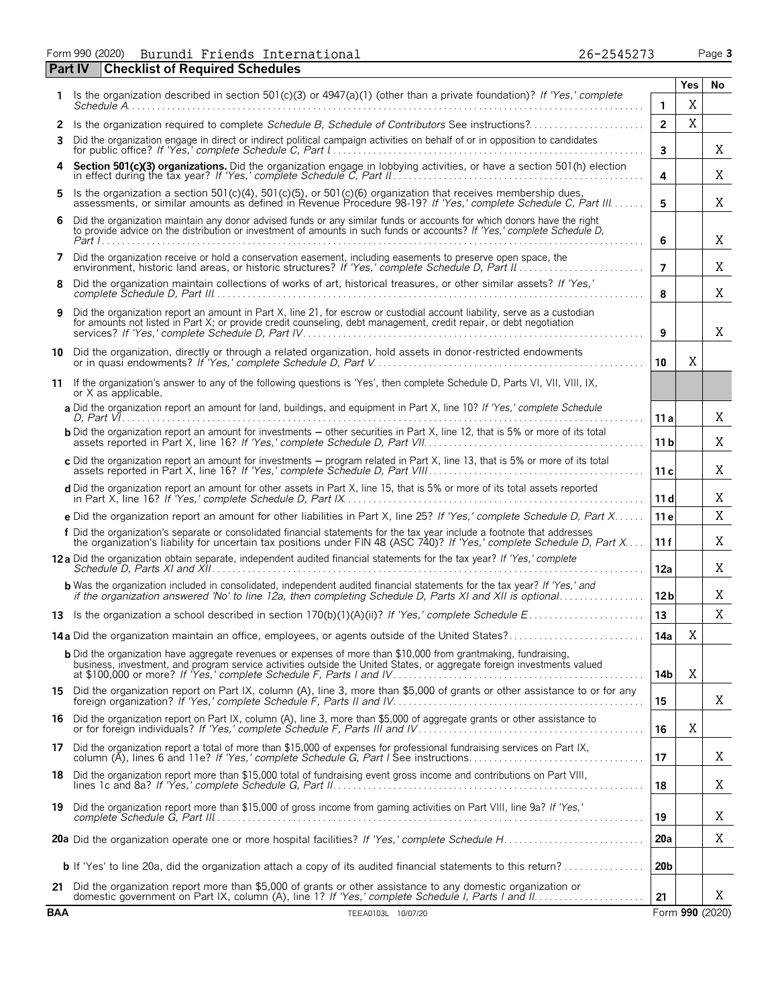|    | Form 990 (2020) Burundi Friends International<br>26-2545273                                                                                                                                                                                        |                |      | Page 3 |
|----|----------------------------------------------------------------------------------------------------------------------------------------------------------------------------------------------------------------------------------------------------|----------------|------|--------|
|    | <b>Part IV   Checklist of Required Schedules</b>                                                                                                                                                                                                   |                |      |        |
|    |                                                                                                                                                                                                                                                    |                | Yes. | No     |
|    | Is the organization described in section 501(c)(3) or $4947(a)(1)$ (other than a private foundation)? If 'Yes,' complete<br><i>Schedule A.</i>                                                                                                     |                | Χ    |        |
|    | 2 Is the organization required to complete Schedule B. Schedule of Contributors See instructions?                                                                                                                                                  | $\mathfrak{p}$ | X    |        |
| 3. | Did the organization engage in direct or indirect political campaign activities on behalf of or in opposition to candidates<br>for public office? If 'Yes,' complete Schedule C, Part I                                                            | 3              |      | X      |
|    | 4 Section 501(c)(3) organizations. Did the organization engage in lobbying activities, or have a section 501(h) election in effect during the tax year? If 'Yes,' complete Schedule C, Part II                                                     | 4              |      | X      |
|    | 5 Is the organization a section 501(c)(4), 501(c)(5), or 501(c)(6) organization that receives membership dues,<br>assessments, or similar amounts as defined in Revenue Procedure 98-19? If 'Yes,' complete Schedule C, Part III                   | 5              |      | X      |
| 6. | Did the organization maintain any donor advised funds or any similar funds or accounts for which donors have the right<br>to provide advice on the distribution or investment of amounts in such funds or accounts? If 'Yes,' complete Schedule D, | 6              |      | X      |
| 7  | Did the organization receive or hold a conservation easement, including easements to preserve open space, the<br>environment, historic land areas, or historic structures? If 'Yes,' complete Schedule D, Part II                                  | 7              |      | Χ      |
| 8  | Did the organization maintain collections of works of art, historical treasures, or other similar assets? If 'Yes,'                                                                                                                                | ጸ              |      | X      |
| 9  | Did the organization report an amount in Part X, line 21, for escrow or custodial account liability, serve as a custodian<br>for amounts not listed in Part X; or provide credit counseling, debt management, credit repair, or debt negotiation   | q              |      | X      |

| .                                                                                                                          |  |
|----------------------------------------------------------------------------------------------------------------------------|--|
| a Did the organization report an amount for land, buildings, and equipment in Part X, line 10? If 'Yes,' complete Schedule |  |
| D. Part VI                                                                                                                 |  |

| <b>b</b> Did the organization report an amount for investments – other securities in Part X, line 12, that is 5% or more of its total |  |
|---------------------------------------------------------------------------------------------------------------------------------------|--|
| c Did the organization report an amount for investments – program related in Part X, line 13, that is 5% or more of its total         |  |
| <b>d</b> Did the organization report an amount for other assets in Part X, line 15, that is 5% or more of its total assets reported   |  |

| <b>e</b> Did the organization report an amount for other liabilities in Part X, line 25? If 'Yes,' complete Schedule D, Part X   11 e                                                                                                                   |  |
|---------------------------------------------------------------------------------------------------------------------------------------------------------------------------------------------------------------------------------------------------------|--|
| f Did the organization's separate or consolidated financial statements for the tax year include a footnote that addresses<br>the organization's liability for uncertain tax positions under FIN 48 (ASC 740)? If 'Yes,' complete Schedule D, Part X 11f |  |

# **12 a** Did the organization obtain separate, independent audited financial statements for the tax year? *If 'Yes,' complete Schedule D, Parts XI and XII* . . . . . . . . . . . . . . . . . . . . . . . . . . . . . . . . . . . . . . . . . . . . . . . . . . . . . . . . . . . . . . . . . . . . . . . . . . . . . . . . . . . . . . **12a** b Was the organization included in consolidated, independent audited financial statements for the tax year? If 'Yes,' and<br>if the organization answered 'No' to line 12a, then completing Schedule D, Parts XI and XII is optio

# **14 a** Did the organization maintain an office, employees, or agents outside of the United States?. . . . . . . . . . . . . . . . . . . . . . . . . . . **14a**

| <b>b</b> Did the organization have aggregate revenues or expenses of more than \$10,000 from grantmaking, fundraising,<br>business, investment, and program service activities outside the United States, or aggregate foreign investments valued | 14 <sub>b</sub> |   |                         |
|---------------------------------------------------------------------------------------------------------------------------------------------------------------------------------------------------------------------------------------------------|-----------------|---|-------------------------|
| 15 Did the organization report on Part IX, column (A), line 3, more than \$5,000 of grants or other assistance to or for any                                                                                                                      | 15              |   | X                       |
| 16 Did the organization report on Part IX, column (A), line 3, more than \$5,000 of aggregate grants or other assistance to                                                                                                                       | 16              | Χ |                         |
| 17 Did the organization report a total of more than \$15,000 of expenses for professional fundraising services on Part IX,                                                                                                                        | 17              |   | X                       |
| 18 Did the organization report more than \$15,000 total of fundraising event gross income and contributions on Part VIII,                                                                                                                         | 18              |   | X                       |
| 19 Did the organization report more than \$15,000 of gross income from gaming activities on Part VIII, line 9a? If 'Yes,'                                                                                                                         | 19              |   | X                       |
| 20a Did the organization operate one or more hospital facilities? If 'Yes,' complete Schedule H                                                                                                                                                   | 20a             |   | X                       |
| <b>b</b> If 'Yes' to line 20a, did the organization attach a copy of its audited financial statements to this return?                                                                                                                             | 20 <sub>b</sub> |   |                         |
| 21 Did the organization report more than \$5,000 of grants or other assistance to any domestic organization or                                                                                                                                    |                 |   | $\overline{\mathbf{x}}$ |

X

X X

X

X X

X

X

X X

X

X

|            | domestic government on Part IX, column (A), line 1? If 'Yes,'<br>$'$ Parts I and II<br>* ' complete Schedule I, , |  |
|------------|-------------------------------------------------------------------------------------------------------------------|--|
| <b>BAA</b> | 10/07/20<br>TEEA0103L                                                                                             |  |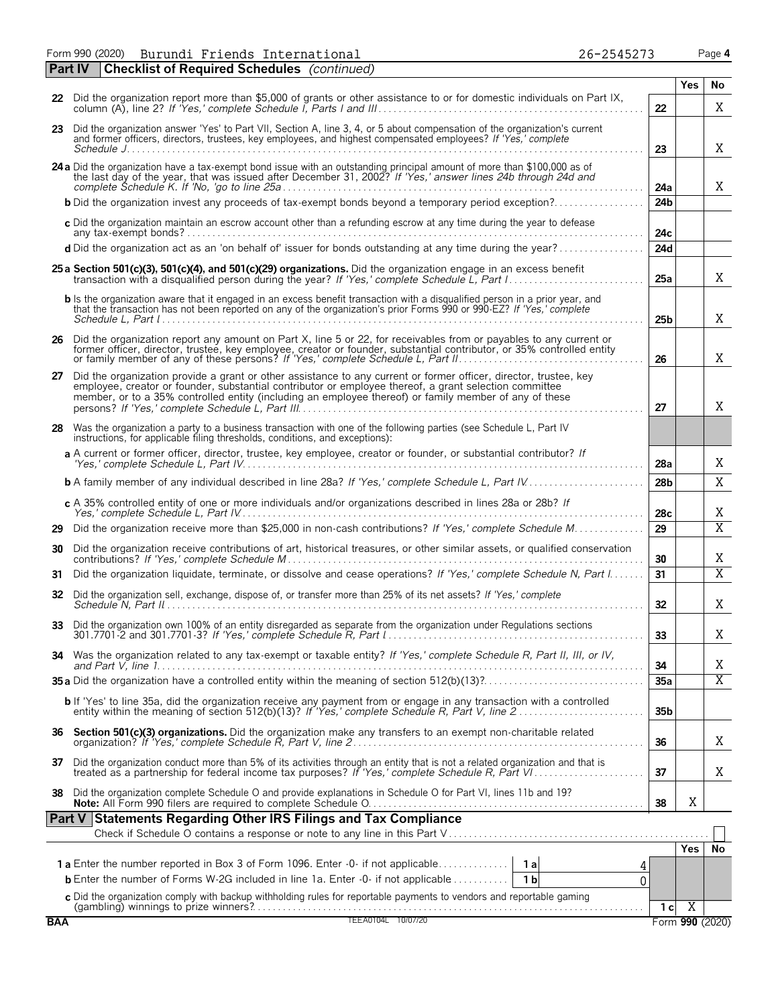Form 990 (2020) Page **4** Burundi Friends International 26-2545273

|            | <b>Checklist of Required Schedules</b> (continued)<br><b>Part IV</b>                                                                                                                                                                                                                                                                     |                 |                 |                |
|------------|------------------------------------------------------------------------------------------------------------------------------------------------------------------------------------------------------------------------------------------------------------------------------------------------------------------------------------------|-----------------|-----------------|----------------|
|            |                                                                                                                                                                                                                                                                                                                                          |                 | <b>Yes</b>      | No             |
|            | 22 Did the organization report more than \$5,000 of grants or other assistance to or for domestic individuals on Part IX,                                                                                                                                                                                                                | 22              |                 | Χ              |
|            | 23 Did the organization answer 'Yes' to Part VII, Section A, line 3, 4, or 5 about compensation of the organization's current<br>and former officers, directors, trustees, key employees, and highest compensated employees? If 'Yes,' complete                                                                                          | 23              |                 | X              |
|            | 24 a Did the organization have a tax-exempt bond issue with an outstanding principal amount of more than \$100,000 as of the last day of the year, that was issued after December 31, 2002? If 'Yes,' answer lines 24b through                                                                                                           | 24a             |                 | X              |
|            | <b>b</b> Did the organization invest any proceeds of tax-exempt bonds beyond a temporary period exception?                                                                                                                                                                                                                               | 24 <sub>b</sub> |                 |                |
|            | c Did the organization maintain an escrow account other than a refunding escrow at any time during the year to defease                                                                                                                                                                                                                   | 24c             |                 |                |
|            | d Did the organization act as an 'on behalf of' issuer for bonds outstanding at any time during the year?                                                                                                                                                                                                                                | 24d             |                 |                |
|            | 25 a Section 501(c)(3), 501(c)(4), and 501(c)(29) organizations. Did the organization engage in an excess benefit                                                                                                                                                                                                                        | 25a             |                 | X              |
|            | b Is the organization aware that it engaged in an excess benefit transaction with a disqualified person in a prior year, and<br>that the transaction has not been reported on any of the organization's prior Forms 990 or 990-EZ? If 'Yes,' complete                                                                                    | 25 <sub>b</sub> |                 | X              |
|            | 26 Did the organization report any amount on Part X, line 5 or 22, for receivables from or payables to any current or<br>former officer, director, trustee, key employee, creator or founder, substantial contributor, or 35% controlled entity                                                                                          | 26              |                 | X              |
|            | 27 Did the organization provide a grant or other assistance to any current or former officer, director, trustee, key<br>employee, creator or founder, substantial contributor or employee thereof, a grant selection committee<br>member, or to a 35% controlled entity (including an employee thereof) or family member of any of these | 27              |                 | X              |
|            | 28 Was the organization a party to a business transaction with one of the following parties (see Schedule L, Part IV<br>instructions, for applicable filing thresholds, conditions, and exceptions):                                                                                                                                     |                 |                 |                |
|            | a A current or former officer, director, trustee, key employee, creator or founder, or substantial contributor? If                                                                                                                                                                                                                       | 28a             |                 | X              |
|            |                                                                                                                                                                                                                                                                                                                                          | 28 <sub>b</sub> |                 | X              |
|            | c A 35% controlled entity of one or more individuals and/or organizations described in lines 28a or 28b? If                                                                                                                                                                                                                              | 28c             |                 | X              |
| 29         | Did the organization receive more than \$25,000 in non-cash contributions? If 'Yes,' complete Schedule M                                                                                                                                                                                                                                 | 29              |                 | $\overline{X}$ |
| 30         | Did the organization receive contributions of art, historical treasures, or other similar assets, or qualified conservation                                                                                                                                                                                                              | 30              |                 | Χ              |
| 31         | Did the organization liquidate, terminate, or dissolve and cease operations? If 'Yes,' complete Schedule N, Part I                                                                                                                                                                                                                       | 31              |                 | $\overline{X}$ |
| 32         | Did the organization sell, exchange, dispose of, or transfer more than 25% of its net assets? If 'Yes,' complete                                                                                                                                                                                                                         | 32              |                 | Χ              |
| 33         | Did the organization own 100% of an entity disregarded as separate from the organization under Regulations sections                                                                                                                                                                                                                      | 33              |                 | Χ              |
| 34         | Was the organization related to any tax-exempt or taxable entity? If 'Yes,' complete Schedule R, Part II, III, or IV,                                                                                                                                                                                                                    | 34              |                 | Χ              |
|            |                                                                                                                                                                                                                                                                                                                                          | 35a             |                 | $\overline{X}$ |
|            | b If 'Yes' to line 35a, did the organization receive any payment from or engage in any transaction with a controlled<br>entity within the meaning of section 512(b)(13)? If 'Yes,' complete Schedule R, Part V, line 2                                                                                                                   | 35 <sub>b</sub> |                 |                |
|            |                                                                                                                                                                                                                                                                                                                                          | 36              |                 | Χ              |
|            | 37 Did the organization conduct more than 5% of its activities through an entity that is not a related organization and that is treated as a partnership for federal income tax purposes? If 'Yes,' complete Schedule R, Part                                                                                                            | 37              |                 | Χ              |
|            | 38 Did the organization complete Schedule O and provide explanations in Schedule O for Part VI, lines 11b and 19?                                                                                                                                                                                                                        | 38              | X               |                |
|            | Part V Statements Regarding Other IRS Filings and Tax Compliance                                                                                                                                                                                                                                                                         |                 |                 |                |
|            |                                                                                                                                                                                                                                                                                                                                          |                 |                 |                |
|            |                                                                                                                                                                                                                                                                                                                                          |                 |                 | Yes No         |
|            | <b>b</b> Enter the number of Forms W-2G included in line 1a. Enter -0- if not applicable<br>1 <sub>b</sub>                                                                                                                                                                                                                               | 4<br>$\Omega$   |                 |                |
|            |                                                                                                                                                                                                                                                                                                                                          |                 |                 |                |
| <b>BAA</b> | C Did the organization comply with backup withholding rules for reportable payments to vendors and reportable gaming<br>(gambling) winnings to prize winners?<br>TEEA0104L 10/07/20                                                                                                                                                      | 1 <sub>c</sub>  | $\overline{X}$  |                |
|            |                                                                                                                                                                                                                                                                                                                                          |                 | Form 990 (2020) |                |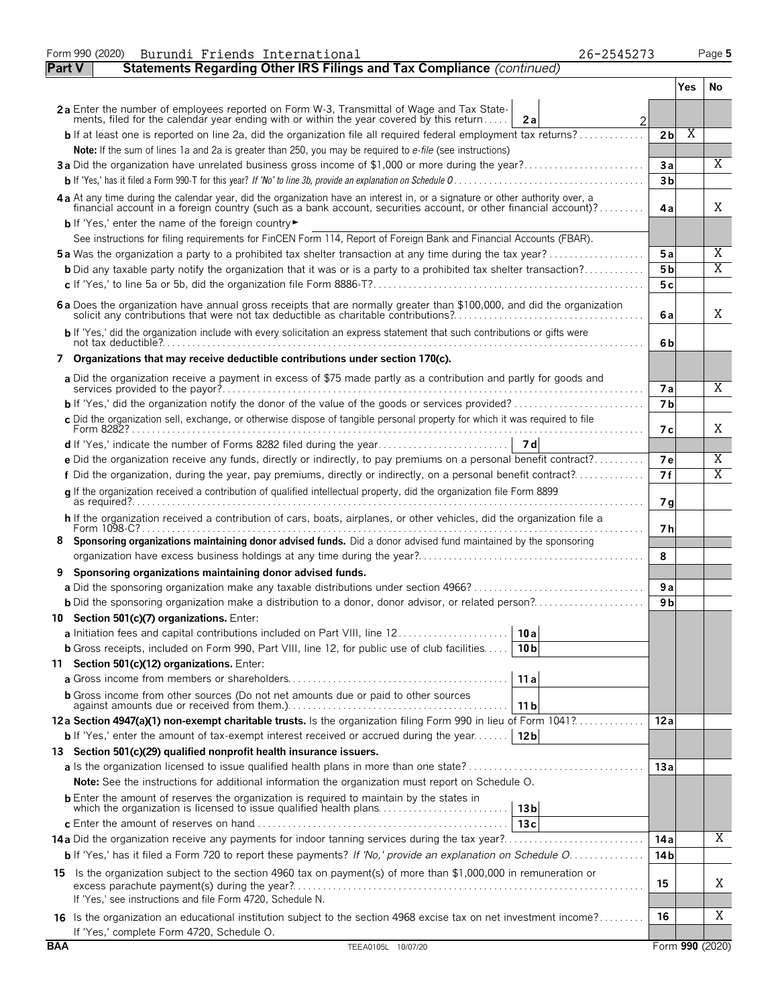|               | Form 990 (2020)<br>26-2545273<br>Burundi Friends International                                                                                                                                                                 |                |     | Page 5          |
|---------------|--------------------------------------------------------------------------------------------------------------------------------------------------------------------------------------------------------------------------------|----------------|-----|-----------------|
| <b>Part V</b> | Statements Regarding Other IRS Filings and Tax Compliance (continued)                                                                                                                                                          |                |     |                 |
|               |                                                                                                                                                                                                                                |                | Yes | No.             |
|               | 2a Enter the number of employees reported on Form W-3, Transmittal of Wage and Tax State-<br>ments, filed for the calendar year ending with or within the year covered by this return<br>2a<br>$\overline{2}$                  |                |     |                 |
|               | <b>b</b> If at least one is reported on line 2a, did the organization file all required federal employment tax returns?                                                                                                        | 2 <sub>b</sub> | Χ   |                 |
|               | Note: If the sum of lines 1a and 2a is greater than 250, you may be required to e-file (see instructions)                                                                                                                      |                |     |                 |
|               | 3a Did the organization have unrelated business gross income of \$1,000 or more during the year?                                                                                                                               | 3a             |     | X               |
|               |                                                                                                                                                                                                                                | 3 <sub>b</sub> |     |                 |
|               | 4a At any time during the calendar year, did the organization have an interest in, or a signature or other authority over, a financial account in a foreign country (such as a bank account, securities account, or other fina | 4a             |     | X               |
|               | b If 'Yes,' enter the name of the foreign country                                                                                                                                                                              |                |     |                 |
|               | See instructions for filing requirements for FinCEN Form 114, Report of Foreign Bank and Financial Accounts (FBAR).                                                                                                            |                |     |                 |
|               | <b>5a</b> Was the organization a party to a prohibited tax shelter transaction at any time during the tax year?                                                                                                                | 5a             |     | Χ               |
|               | <b>b</b> Did any taxable party notify the organization that it was or is a party to a prohibited tax shelter transaction?                                                                                                      | 5 b            |     | X               |
|               |                                                                                                                                                                                                                                | 5c             |     |                 |
|               | 6 a Does the organization have annual gross receipts that are normally greater than \$100,000, and did the organization solicit any contributions that were not tax deductible as charitable contributions?                    | 6a             |     | X               |
|               | b If 'Yes,' did the organization include with every solicitation an express statement that such contributions or gifts were                                                                                                    | 6b             |     |                 |
|               | 7 Organizations that may receive deductible contributions under section 170(c).                                                                                                                                                |                |     |                 |
|               | a Did the organization receive a payment in excess of \$75 made partly as a contribution and partly for goods and                                                                                                              | <b>7a</b>      |     | X               |
|               |                                                                                                                                                                                                                                | 7 <sub>b</sub> |     |                 |
|               | c Did the organization sell, exchange, or otherwise dispose of tangible personal property for which it was required to file                                                                                                    | 7 с            |     | X               |
|               |                                                                                                                                                                                                                                |                |     |                 |
|               | e Did the organization receive any funds, directly or indirectly, to pay premiums on a personal benefit contract?                                                                                                              | 7e             |     | Χ               |
|               | f Did the organization, during the year, pay premiums, directly or indirectly, on a personal benefit contract?                                                                                                                 | 7f             |     | Χ               |
|               | g If the organization received a contribution of qualified intellectual property, did the organization file Form 8899                                                                                                          | 7g             |     |                 |
|               | h If the organization received a contribution of cars, boats, airplanes, or other vehicles, did the organization file a                                                                                                        | 7 h            |     |                 |
|               | Sponsoring organizations maintaining donor advised funds. Did a donor advised fund maintained by the sponsoring                                                                                                                | 8              |     |                 |
| 9             | Sponsoring organizations maintaining donor advised funds.                                                                                                                                                                      |                |     |                 |
|               |                                                                                                                                                                                                                                | 9a             |     |                 |
|               | <b>b</b> Did the sponsoring organization make a distribution to a donor, donor advisor, or related person?                                                                                                                     | 9 b            |     |                 |
|               | 10 Section 501(c)(7) organizations. Enter:                                                                                                                                                                                     |                |     |                 |
|               | 10 a                                                                                                                                                                                                                           |                |     |                 |
|               | <b>b</b> Gross receipts, included on Form 990, Part VIII, line 12, for public use of club facilities<br>10 <sub>b</sub>                                                                                                        |                |     |                 |
|               | 11 Section 501(c)(12) organizations. Enter:                                                                                                                                                                                    |                |     |                 |
|               | 11a                                                                                                                                                                                                                            |                |     |                 |
|               | <b>b</b> Gross income from other sources (Do not net amounts due or paid to other sources<br>11 b                                                                                                                              |                |     |                 |
|               | 12a Section 4947(a)(1) non-exempt charitable trusts. Is the organization filing Form 990 in lieu of Form 1041?                                                                                                                 | 12a            |     |                 |
|               | <b>b</b> If 'Yes,' enter the amount of tax-exempt interest received or accrued during the year <b>12b</b>                                                                                                                      |                |     |                 |
|               | 13 Section 501(c)(29) qualified nonprofit health insurance issuers.                                                                                                                                                            |                |     |                 |
|               |                                                                                                                                                                                                                                | 13a            |     |                 |
|               | <b>Note:</b> See the instructions for additional information the organization must report on Schedule O.                                                                                                                       |                |     |                 |
|               | <b>b</b> Enter the amount of reserves the organization is required to maintain by the states in<br>which the organization is licensed to issue qualified health plans<br>13 <sub>b</sub>                                       |                |     |                 |
|               | 13c                                                                                                                                                                                                                            | 14 a           |     | Χ               |
|               | b If 'Yes,' has it filed a Form 720 to report these payments? If 'No,' provide an explanation on Schedule O                                                                                                                    | 14 b           |     |                 |
|               |                                                                                                                                                                                                                                |                |     |                 |
|               | 15 Is the organization subject to the section 4960 tax on payment(s) of more than \$1,000,000 in remuneration or<br>If 'Yes,' see instructions and file Form 4720, Schedule N.                                                 | 15             |     | Χ               |
|               | 16 Is the organization an educational institution subject to the section 4968 excise tax on net investment income?                                                                                                             | 16             |     | Χ               |
| <b>BAA</b>    | If 'Yes,' complete Form 4720, Schedule O.                                                                                                                                                                                      |                |     |                 |
|               | TEEA0105L 10/07/20                                                                                                                                                                                                             |                |     | Form 990 (2020) |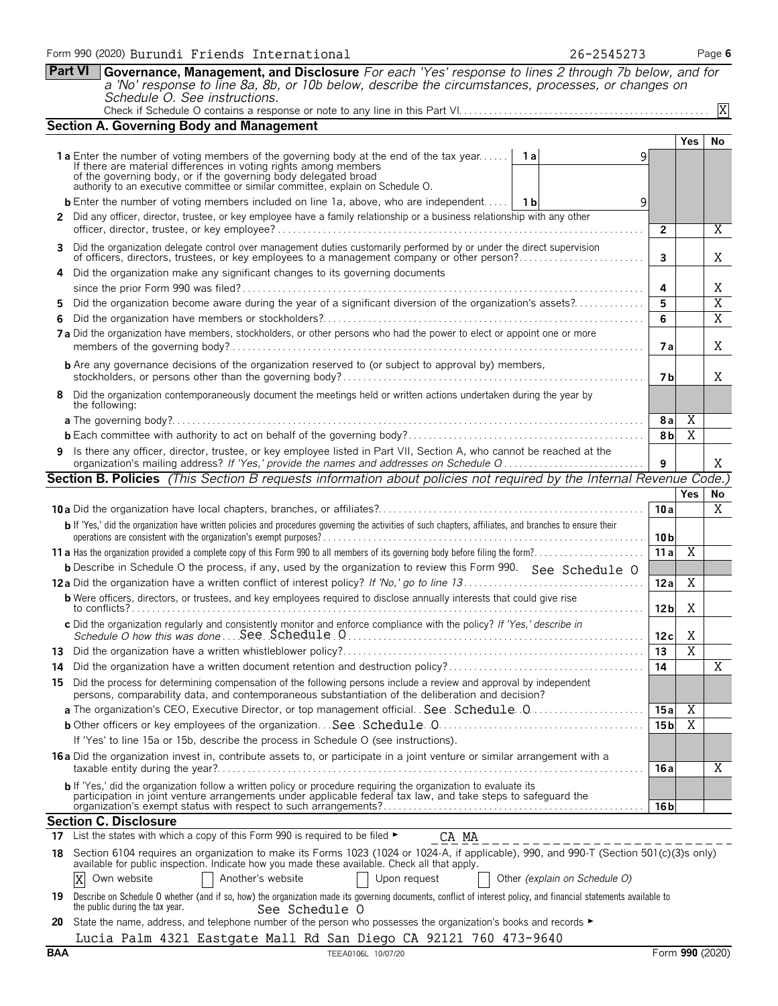|     | 26-2545273<br>Form 990 (2020) Burundi Friends International                                                                                                                                                                                                                                                                     |                 |                         | Page 6 |
|-----|---------------------------------------------------------------------------------------------------------------------------------------------------------------------------------------------------------------------------------------------------------------------------------------------------------------------------------|-----------------|-------------------------|--------|
|     | <b>Part VI</b><br>Governance, Management, and Disclosure For each 'Yes' response to lines 2 through 7b below, and for<br>a 'No' response to line 8a, 8b, or 10b below, describe the circumstances, processes, or changes on<br>Schedule O. See instructions.                                                                    |                 |                         |        |
|     |                                                                                                                                                                                                                                                                                                                                 |                 |                         | X      |
|     | <b>Section A. Governing Body and Management</b>                                                                                                                                                                                                                                                                                 |                 |                         |        |
|     |                                                                                                                                                                                                                                                                                                                                 |                 | <b>Yes</b>              | No     |
|     | <b>1a</b> Enter the number of voting members of the governing body at the end of the tax year   1a<br>9<br>If there are material differences in voting rights among members<br>of the governing body, or if the governing body delegated broad authority to an executive committee or similar committee, explain on Schedule O. |                 |                         |        |
|     | <b>b</b> Enter the number of voting members included on line 1a, above, who are independent   1b<br>9                                                                                                                                                                                                                           |                 |                         |        |
|     | 2 Did any officer, director, trustee, or key employee have a family relationship or a business relationship with any other                                                                                                                                                                                                      | $\overline{2}$  |                         | Χ      |
| 3.  | Did the organization delegate control over management duties customarily performed by or under the direct supervision<br>of officers, directors, trustees, or key employees to a management company or other person?                                                                                                            | 3               |                         | Χ      |
|     | Did the organization make any significant changes to its governing documents                                                                                                                                                                                                                                                    | 4               |                         | Χ      |
| 5.  | Did the organization become aware during the year of a significant diversion of the organization's assets?                                                                                                                                                                                                                      | 5               |                         | X      |
|     |                                                                                                                                                                                                                                                                                                                                 | 6               |                         | X      |
|     | 7 a Did the organization have members, stockholders, or other persons who had the power to elect or appoint one or more                                                                                                                                                                                                         | 7 a             |                         | X      |
|     | <b>b</b> Are any governance decisions of the organization reserved to (or subject to approval by) members,                                                                                                                                                                                                                      | 7 b             |                         | X      |
|     | 8 Did the organization contemporaneously document the meetings held or written actions undertaken during the year by<br>the following:                                                                                                                                                                                          |                 |                         |        |
|     |                                                                                                                                                                                                                                                                                                                                 | 8a              | Χ                       |        |
|     |                                                                                                                                                                                                                                                                                                                                 | 8 <sub>b</sub>  | $\overline{X}$          |        |
|     | 9 Is there any officer, director, trustee, or key employee listed in Part VII, Section A, who cannot be reached at the<br>organization's mailing address? If 'Yes,' provide the names and addresses on Schedule Q                                                                                                               | 9               |                         | X      |
|     | <b>Section B. Policies</b> (This Section B requests information about policies not required by the Internal Revenue Code.)                                                                                                                                                                                                      |                 |                         |        |
|     |                                                                                                                                                                                                                                                                                                                                 |                 | <b>Yes</b>              | No     |
|     |                                                                                                                                                                                                                                                                                                                                 | 10a             |                         | Χ      |
|     | b If 'Yes,' did the organization have written policies and procedures governing the activities of such chapters, affiliates, and branches to ensure their                                                                                                                                                                       | 10 <sub>b</sub> |                         |        |
|     |                                                                                                                                                                                                                                                                                                                                 | 11a             | $\overline{X}$          |        |
|     | <b>b</b> Describe in Schedule O the process, if any, used by the organization to review this Form 990. See Schedule O                                                                                                                                                                                                           |                 |                         |        |
|     |                                                                                                                                                                                                                                                                                                                                 | 12a             | X                       |        |
|     | <b>b</b> Were officers, directors, or trustees, and key employees required to disclose annually interests that could give rise                                                                                                                                                                                                  | 12 <sub>b</sub> | Χ                       |        |
|     | c Did the organization regularly and consistently monitor and enforce compliance with the policy? If 'Yes,' describe in                                                                                                                                                                                                         | 12c             | X                       |        |
| 13. |                                                                                                                                                                                                                                                                                                                                 | 13              | $\overline{\mathbf{X}}$ |        |
| 14  | Did the organization have a written document retention and destruction policy?                                                                                                                                                                                                                                                  | 14              |                         | X      |
|     | 15 Did the process for determining compensation of the following persons include a review and approval by independent<br>persons, comparability data, and contemporaneous substantiation of the deliberation and decision?                                                                                                      |                 |                         |        |
|     |                                                                                                                                                                                                                                                                                                                                 | 15a             | $\overline{X}$          |        |
|     |                                                                                                                                                                                                                                                                                                                                 | 15 <sub>b</sub> | $\overline{X}$          |        |
|     | If 'Yes' to line 15a or 15b, describe the process in Schedule O (see instructions).                                                                                                                                                                                                                                             |                 |                         |        |
|     | 16 a Did the organization invest in, contribute assets to, or participate in a joint venture or similar arrangement with a                                                                                                                                                                                                      | 16 a            |                         | Χ      |
|     | b If 'Yes,' did the organization follow a written policy or procedure requiring the organization to evaluate its                                                                                                                                                                                                                |                 |                         |        |
|     | participation in joint venture arrangements under applicable federal tax law, and take steps to safeguard the                                                                                                                                                                                                                   | 16 b            |                         |        |
|     | <b>Section C. Disclosure</b>                                                                                                                                                                                                                                                                                                    |                 |                         |        |
| 17  | List the states with which a copy of this Form 990 is required to be filed ►<br>CA MA                                                                                                                                                                                                                                           |                 |                         |        |
| 18  | Section 6104 requires an organization to make its Forms 1023 (1024 or 1024-A, if applicable), 990, and 990-T (Section 501(c)(3)s only)<br>available for public inspection. Indicate how you made these available. Check all that apply.                                                                                         |                 |                         |        |
|     | Another's website<br>X<br>Own website<br>Upon request<br>Other (explain on Schedule O)                                                                                                                                                                                                                                          |                 |                         |        |

|  |  |                                                                                                                                         | DCC DCIICQUIC O |  |  |  |  |
|--|--|-----------------------------------------------------------------------------------------------------------------------------------------|-----------------|--|--|--|--|
|  |  | 20 State the name, address, and telephone number of the person who possesses the organization's books and records $\blacktriangleright$ |                 |  |  |  |  |
|  |  | Lucia Palm 4321 Eastgate Mall Rd San Diego CA 92121 760 473-9640                                                                        |                 |  |  |  |  |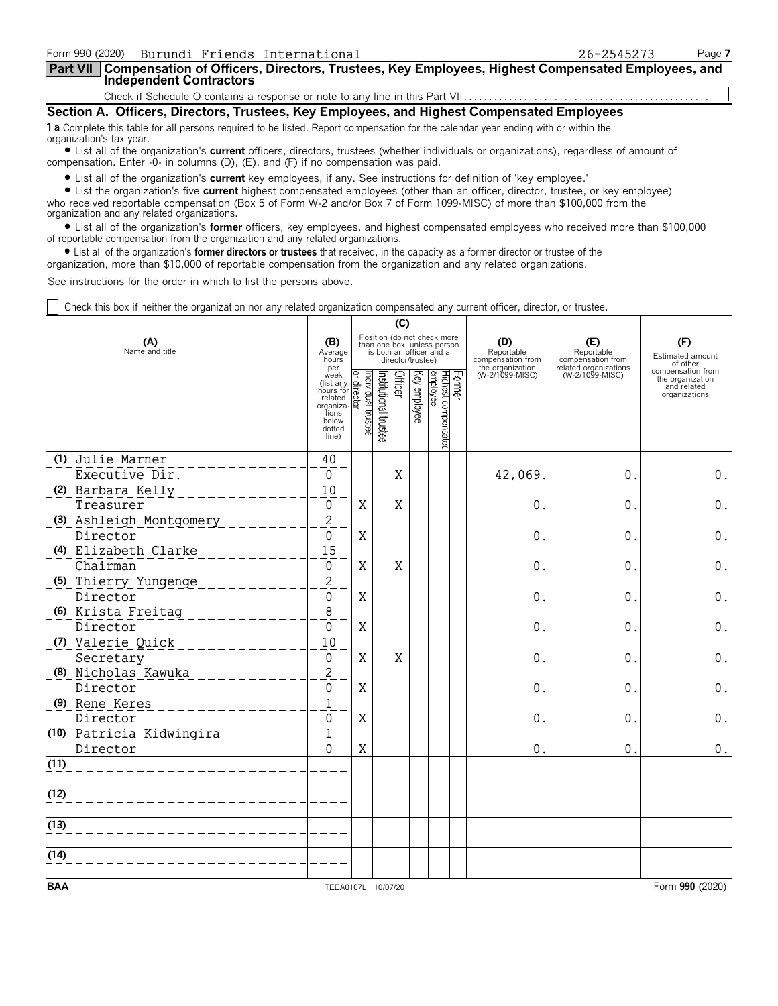| Form 990 (2020) Burundi Friends International                                                                                                                         | 26-2545273 | Page 7 |  |  |  |  |  |  |
|-----------------------------------------------------------------------------------------------------------------------------------------------------------------------|------------|--------|--|--|--|--|--|--|
| Part VII   Compensation of Officers, Directors, Trustees, Key Employees, Highest Compensated Employees, and<br><b>Independent Contractors</b>                         |            |        |  |  |  |  |  |  |
|                                                                                                                                                                       |            |        |  |  |  |  |  |  |
| Section A. Officers, Directors, Trustees, Key Employees, and Highest Compensated Employees                                                                            |            |        |  |  |  |  |  |  |
| <b>1 a</b> Complete this table for all persons required to be listed. Report compensation for the calendar year ending with or within the<br>organization's tax year. |            |        |  |  |  |  |  |  |

? List all of the organization's **current** officers, directors, trustees (whether individuals or organizations), regardless of amount of compensation. Enter -0- in columns (D), (E), and (F) if no compensation was paid.

? List all of the organization's **current** key employees, if any. See instructions for definition of 'key employee.'

? List the organization's five **current** highest compensated employees (other than an officer, director, trustee, or key employee) who received reportable compensation (Box 5 of Form W-2 and/or Box 7 of Form 1099-MISC) of more than \$100,000 from the organization and any related organizations.

? List all of the organization's **former** officers, key employees, and highest compensated employees who received more than \$100,000 of reportable compensation from the organization and any related organizations.

? List all of the organization's **former directors or trustees** that received, in the capacity as a former director or trustee of the

organization, more than \$10,000 of reportable compensation from the organization and any related organizations.

See instructions for the order in which to list the persons above.

Check this box if neither the organization nor any related organization compensated any current officer, director, or trustee.

|                                      |                                                                                                                                                              | (C)               |                       |         |                   |                                                                                        |  |                                                            |                                          |                                                                       |
|--------------------------------------|--------------------------------------------------------------------------------------------------------------------------------------------------------------|-------------------|-----------------------|---------|-------------------|----------------------------------------------------------------------------------------|--|------------------------------------------------------------|------------------------------------------|-----------------------------------------------------------------------|
| (A)<br>Name and title                | (B)<br>Average<br>hours<br>per                                                                                                                               |                   |                       |         | director/trustee) | Position (do not check more<br>than one box, unless person<br>is both an officer and a |  | (D)<br>Reportable<br>compensation from<br>the organization | (E)<br>Reportable<br>compensation from   | (F)<br>Estimated amount<br>of other                                   |
|                                      | week<br>$\frac{1}{\text{R}}$ (list any $\frac{1}{\text{R}}$ )<br>hours for related<br>related<br>organiza-<br>organiza-<br>tions<br>below<br>dotted<br>line) | əətsut laubivibni | Institutional trustee | Officer | Key employee      | Former<br>Highest compensated<br>employee                                              |  | (W-2/1099-MISC)                                            | related organizations<br>(W-2/1099-MISC) | compensation from<br>the organization<br>and related<br>organizations |
| (1) Julie Marner<br>Executive Dir.   | 40<br>$\mathbf 0$                                                                                                                                            |                   |                       | X       |                   |                                                                                        |  | 42,069.                                                    | 0.                                       | 0.                                                                    |
| (2) Barbara Kelly<br>Treasurer       | 10<br>$\mathbf 0$                                                                                                                                            | $\mathbf X$       |                       | $\rm X$ |                   |                                                                                        |  | $\mathbf{0}$                                               | $\mathbf 0$ .                            | $0$ .                                                                 |
| (3) Ashleigh Montgomery<br>Director  | $\overline{2}$<br>$\mathbf 0$                                                                                                                                | $\rm X$           |                       |         |                   |                                                                                        |  | $\mathbf{0}$                                               | $\mathbf{0}$                             | $0$ .                                                                 |
| (4) Elizabeth Clarke<br>Chairman     | $\overline{15}$<br>$\mathbf 0$                                                                                                                               | X                 |                       | X       |                   |                                                                                        |  | $\mathbf{0}$                                               | $\mathbf{0}$                             | 0.                                                                    |
| (5) Thierry Yungenge<br>Director     | $\overline{2}$<br>0                                                                                                                                          | $\rm X$           |                       |         |                   |                                                                                        |  | $0$ .                                                      | $\mathbf{0}$                             | $\boldsymbol{0}$ .                                                    |
| (6) Krista Freitag<br>Director       | $\overline{8}$<br>0                                                                                                                                          | $\rm X$           |                       |         |                   |                                                                                        |  | $\mathbf{0}$ .                                             | $\mathbf{0}$                             | $\boldsymbol{0}$ .                                                    |
| (7) Valerie Quick<br>Secretary       | 10<br>0                                                                                                                                                      | $\mathbf X$       |                       | X       |                   |                                                                                        |  | 0.                                                         | $\mathbf 0$ .                            | $\boldsymbol{0}$ .                                                    |
| (8) Nicholas Kawuka<br>Director      | $\overline{2}$<br>0                                                                                                                                          | X                 |                       |         |                   |                                                                                        |  | $\mathbf 0$ .                                              | $\mathbf 0$ .                            | 0.                                                                    |
| (9) Rene Keres<br>Director           | $\mathbf{1}$<br>$\mathbf{0}$                                                                                                                                 | X                 |                       |         |                   |                                                                                        |  | $\mathbf{0}$                                               | $\mathbf 0$ .                            | $0$ .                                                                 |
| (10) Patricia Kidwingira<br>Director | $\overline{1}$<br>$\Omega$                                                                                                                                   | $\mathbf X$       |                       |         |                   |                                                                                        |  | $\mathbf{0}$ .                                             | $\mathbf 0$ .                            | 0.                                                                    |
| (11)                                 |                                                                                                                                                              |                   |                       |         |                   |                                                                                        |  |                                                            |                                          |                                                                       |
| (12)                                 |                                                                                                                                                              |                   |                       |         |                   |                                                                                        |  |                                                            |                                          |                                                                       |
| (13)                                 |                                                                                                                                                              |                   |                       |         |                   |                                                                                        |  |                                                            |                                          |                                                                       |
| (14)                                 |                                                                                                                                                              |                   |                       |         |                   |                                                                                        |  |                                                            |                                          |                                                                       |
| <b>BAA</b>                           | TEEA0107L 10/07/20                                                                                                                                           |                   |                       |         |                   |                                                                                        |  |                                                            |                                          | Form 990 (2020)                                                       |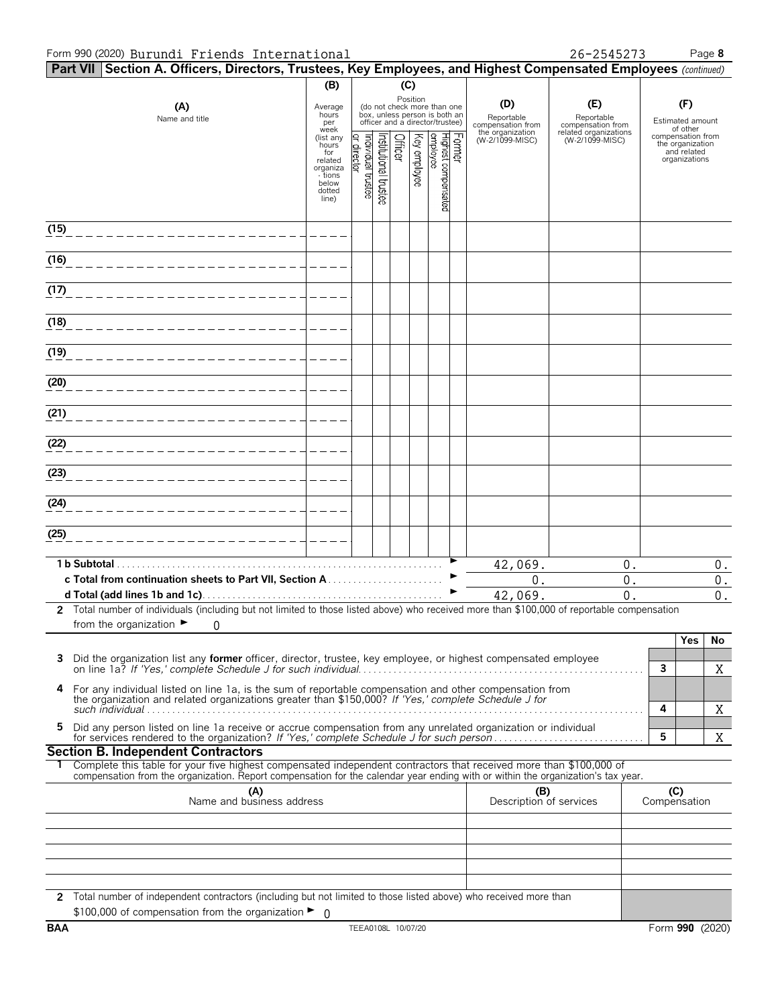#### Form 990 (2020) Page **8** Burundi Friends International 26-2545273

|      | Part VII Section A. Officers, Directors, Trustees, Key Employees, and Highest Compensated Employees (continued)                                                                                                                                                                                     |                                                                            |                                   |                      |         |              |                                                                                                             |        |                                                            |                                                                                    |              |                                                          |                                          |
|------|-----------------------------------------------------------------------------------------------------------------------------------------------------------------------------------------------------------------------------------------------------------------------------------------------------|----------------------------------------------------------------------------|-----------------------------------|----------------------|---------|--------------|-------------------------------------------------------------------------------------------------------------|--------|------------------------------------------------------------|------------------------------------------------------------------------------------|--------------|----------------------------------------------------------|------------------------------------------|
|      |                                                                                                                                                                                                                                                                                                     | (B)                                                                        |                                   |                      | (C)     |              |                                                                                                             |        |                                                            |                                                                                    |              |                                                          |                                          |
|      | (A)<br>Name and title                                                                                                                                                                                                                                                                               | Average<br>hours<br>per<br>week<br>(list any                               |                                   |                      |         |              | Position<br>(do not check more than one<br>box, unless person is both an<br>officer and a director/trustee) |        | (D)<br>Reportable<br>compensation from<br>the organization | (E)<br>Reportable<br>compensation from<br>related organizations<br>(W-2/1099-MISC) |              | (F)<br>Estimated amount<br>of other<br>compensation from |                                          |
|      |                                                                                                                                                                                                                                                                                                     | hours<br>for<br>related<br>organiza<br>- tions<br>below<br>dotted<br>line) | or director<br>Individual trustee | nstitutional trustee | Officer | Key employee | Highest compensated<br> employee                                                                            | Former | (W-2/1099-MISC)                                            |                                                                                    |              | the organization<br>and related<br>organizations         |                                          |
| (15) |                                                                                                                                                                                                                                                                                                     |                                                                            |                                   |                      |         |              |                                                                                                             |        |                                                            |                                                                                    |              |                                                          |                                          |
| (16) |                                                                                                                                                                                                                                                                                                     |                                                                            |                                   |                      |         |              |                                                                                                             |        |                                                            |                                                                                    |              |                                                          |                                          |
| (17) |                                                                                                                                                                                                                                                                                                     |                                                                            |                                   |                      |         |              |                                                                                                             |        |                                                            |                                                                                    |              |                                                          |                                          |
| (18) |                                                                                                                                                                                                                                                                                                     |                                                                            |                                   |                      |         |              |                                                                                                             |        |                                                            |                                                                                    |              |                                                          |                                          |
| (19) | _______________________                                                                                                                                                                                                                                                                             |                                                                            |                                   |                      |         |              |                                                                                                             |        |                                                            |                                                                                    |              |                                                          |                                          |
| (20) | _______________________                                                                                                                                                                                                                                                                             |                                                                            |                                   |                      |         |              |                                                                                                             |        |                                                            |                                                                                    |              |                                                          |                                          |
| (21) | ________________________                                                                                                                                                                                                                                                                            |                                                                            |                                   |                      |         |              |                                                                                                             |        |                                                            |                                                                                    |              |                                                          |                                          |
| (22) |                                                                                                                                                                                                                                                                                                     |                                                                            |                                   |                      |         |              |                                                                                                             |        |                                                            |                                                                                    |              |                                                          |                                          |
| (23) |                                                                                                                                                                                                                                                                                                     |                                                                            |                                   |                      |         |              |                                                                                                             |        |                                                            |                                                                                    |              |                                                          |                                          |
| (24) |                                                                                                                                                                                                                                                                                                     |                                                                            |                                   |                      |         |              |                                                                                                             |        |                                                            |                                                                                    |              |                                                          |                                          |
| (25) |                                                                                                                                                                                                                                                                                                     |                                                                            |                                   |                      |         |              |                                                                                                             |        |                                                            |                                                                                    |              |                                                          |                                          |
|      | 1 b Subtotal.                                                                                                                                                                                                                                                                                       |                                                                            |                                   |                      |         |              |                                                                                                             |        | 42,069.                                                    | 0.                                                                                 |              |                                                          | $0$ .                                    |
|      |                                                                                                                                                                                                                                                                                                     |                                                                            |                                   |                      |         |              |                                                                                                             |        | $0$ .<br>42,069.                                           | 0.<br>0.                                                                           |              |                                                          | $\boldsymbol{0}$ .<br>$\boldsymbol{0}$ . |
|      | 2 Total number of individuals (including but not limited to those listed above) who received more than \$100,000 of reportable compensation                                                                                                                                                         |                                                                            |                                   |                      |         |              |                                                                                                             |        |                                                            |                                                                                    |              |                                                          |                                          |
|      | from the organization $\blacktriangleright$<br>0                                                                                                                                                                                                                                                    |                                                                            |                                   |                      |         |              |                                                                                                             |        |                                                            |                                                                                    |              | Yes                                                      | No                                       |
| 3    | Did the organization list any <b>former</b> officer, director, trustee, key employee, or highest compensated employee                                                                                                                                                                               |                                                                            |                                   |                      |         |              |                                                                                                             |        |                                                            |                                                                                    | 3            |                                                          |                                          |
| 4    | For any individual listed on line 1a, is the sum of reportable compensation and other compensation from                                                                                                                                                                                             |                                                                            |                                   |                      |         |              |                                                                                                             |        |                                                            |                                                                                    |              |                                                          | X                                        |
| 5    | the organization and related organizations greater than \$150,000? If 'Yes,' complete Schedule J for<br>Did any person listed on line 1a receive or accrue compensation from any unrelated organization or individual                                                                               |                                                                            |                                   |                      |         |              |                                                                                                             |        |                                                            |                                                                                    | 4            |                                                          | X                                        |
|      |                                                                                                                                                                                                                                                                                                     |                                                                            |                                   |                      |         |              |                                                                                                             |        |                                                            |                                                                                    | 5            |                                                          | X                                        |
|      | <b>Section B. Independent Contractors</b><br>Complete this table for your five highest compensated independent contractors that received more than \$100,000 of<br>compensation from the organization. Report compensation for the calendar year ending with or within the organization's tax year. |                                                                            |                                   |                      |         |              |                                                                                                             |        |                                                            |                                                                                    |              |                                                          |                                          |
|      | (A)<br>Name and business address                                                                                                                                                                                                                                                                    |                                                                            |                                   |                      |         |              |                                                                                                             |        | (B)<br>Description of services                             |                                                                                    | Compensation | (C)                                                      |                                          |
|      |                                                                                                                                                                                                                                                                                                     |                                                                            |                                   |                      |         |              |                                                                                                             |        |                                                            |                                                                                    |              |                                                          |                                          |
|      |                                                                                                                                                                                                                                                                                                     |                                                                            |                                   |                      |         |              |                                                                                                             |        |                                                            |                                                                                    |              |                                                          |                                          |
|      |                                                                                                                                                                                                                                                                                                     |                                                                            |                                   |                      |         |              |                                                                                                             |        |                                                            |                                                                                    |              |                                                          |                                          |
|      | 2 Total number of independent contractors (including but not limited to those listed above) who received more than<br>\$100,000 of compensation from the organization $\blacktriangleright$ 0                                                                                                       |                                                                            |                                   |                      |         |              |                                                                                                             |        |                                                            |                                                                                    |              |                                                          |                                          |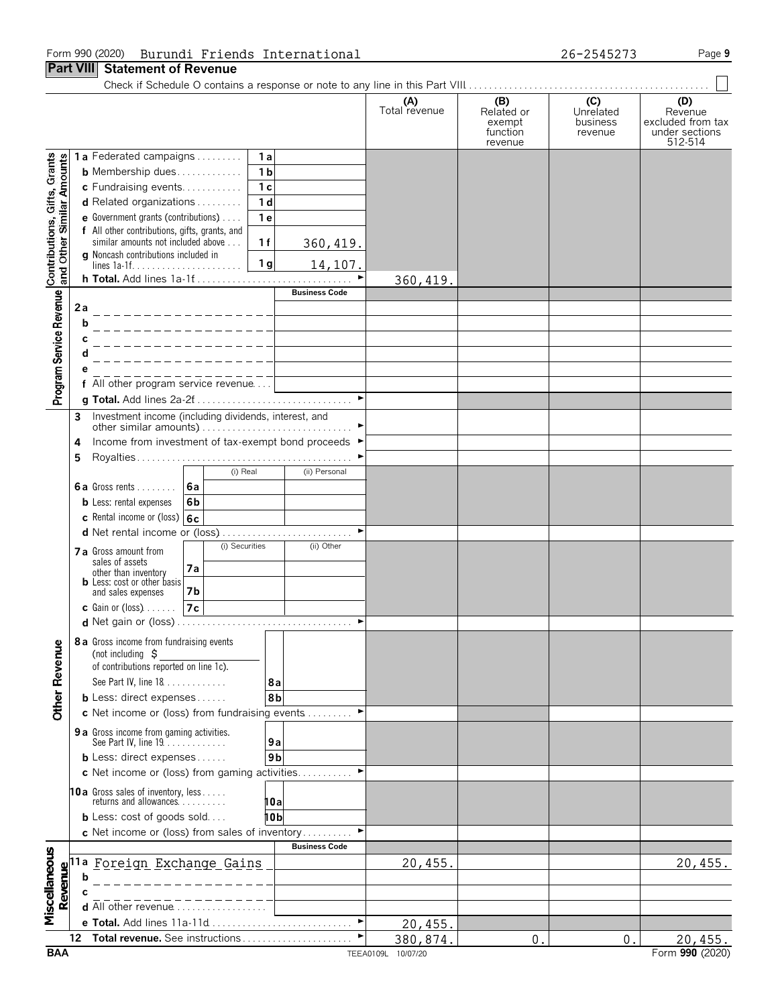#### Form 990 (2020) Page **9** Burundi Friends International 26-2545273

|                                                           |                                                                                                      |                                                                                            |                       | (A)<br>Total revenue | (B)<br>Related or<br>exempt<br>function<br>revenue | (C)<br>Unrelated<br>business<br>revenue | (D)<br>Revenue<br>excluded from tax<br>under sections<br>512-514 |
|-----------------------------------------------------------|------------------------------------------------------------------------------------------------------|--------------------------------------------------------------------------------------------|-----------------------|----------------------|----------------------------------------------------|-----------------------------------------|------------------------------------------------------------------|
|                                                           |                                                                                                      | 1a Federated campaigns<br>1a                                                               |                       |                      |                                                    |                                         |                                                                  |
| Contributions, Gifts, Grants<br>and Other Similar Amounts |                                                                                                      | 1 <sub>b</sub><br><b>b</b> Membership dues                                                 |                       |                      |                                                    |                                         |                                                                  |
|                                                           |                                                                                                      | 1 <sub>c</sub><br>c Fundraising events                                                     |                       |                      |                                                    |                                         |                                                                  |
|                                                           |                                                                                                      | 1 <sub>d</sub><br>d Related organizations                                                  |                       |                      |                                                    |                                         |                                                                  |
|                                                           |                                                                                                      | 1e<br>e Government grants (contributions)<br>f All other contributions, gifts, grants, and |                       |                      |                                                    |                                         |                                                                  |
|                                                           |                                                                                                      | similar amounts not included above<br>1f                                                   | 360, 419.             |                      |                                                    |                                         |                                                                  |
|                                                           |                                                                                                      | g Noncash contributions included in                                                        |                       |                      |                                                    |                                         |                                                                  |
|                                                           |                                                                                                      | 1 <sub>g</sub><br>h Total. Add lines 1a-1f                                                 | 14,107.               | 360, 419.            |                                                    |                                         |                                                                  |
|                                                           |                                                                                                      |                                                                                            | <b>Business Code</b>  |                      |                                                    |                                         |                                                                  |
| Program Service Revenue                                   | 2a                                                                                                   |                                                                                            |                       |                      |                                                    |                                         |                                                                  |
|                                                           |                                                                                                      |                                                                                            |                       |                      |                                                    |                                         |                                                                  |
|                                                           |                                                                                                      |                                                                                            |                       |                      |                                                    |                                         |                                                                  |
|                                                           |                                                                                                      |                                                                                            |                       |                      |                                                    |                                         |                                                                  |
|                                                           |                                                                                                      |                                                                                            |                       |                      |                                                    |                                         |                                                                  |
|                                                           |                                                                                                      | f All other program service revenue                                                        | $\blacktriangleright$ |                      |                                                    |                                         |                                                                  |
|                                                           |                                                                                                      |                                                                                            |                       |                      |                                                    |                                         |                                                                  |
|                                                           | 3                                                                                                    | Investment income (including dividends, interest, and                                      |                       |                      |                                                    |                                         |                                                                  |
|                                                           | 4                                                                                                    | Income from investment of tax-exempt bond proceeds ▶                                       |                       |                      |                                                    |                                         |                                                                  |
|                                                           | 5                                                                                                    |                                                                                            |                       |                      |                                                    |                                         |                                                                  |
|                                                           |                                                                                                      | (i) Real                                                                                   | (ii) Personal         |                      |                                                    |                                         |                                                                  |
|                                                           |                                                                                                      | 6a Gross rents  6a                                                                         |                       |                      |                                                    |                                         |                                                                  |
|                                                           |                                                                                                      | <b>b</b> Less: rental expenses<br>6b                                                       |                       |                      |                                                    |                                         |                                                                  |
|                                                           |                                                                                                      | c Rental income or (loss) 6c                                                               |                       |                      |                                                    |                                         |                                                                  |
|                                                           |                                                                                                      | d Net rental income or (loss)<br>(i) Securities                                            | (ii) Other            |                      |                                                    |                                         |                                                                  |
|                                                           |                                                                                                      | 7 a Gross amount from<br>sales of assets                                                   |                       |                      |                                                    |                                         |                                                                  |
|                                                           |                                                                                                      | 7а<br>other than inventory                                                                 |                       |                      |                                                    |                                         |                                                                  |
|                                                           |                                                                                                      | <b>b</b> Less: cost or other basis<br>and sales expenses<br>7b                             |                       |                      |                                                    |                                         |                                                                  |
|                                                           |                                                                                                      | <b>c</b> Gain or (loss) $\ldots$ .<br>7c                                                   |                       |                      |                                                    |                                         |                                                                  |
|                                                           |                                                                                                      |                                                                                            |                       |                      |                                                    |                                         |                                                                  |
|                                                           |                                                                                                      | 8 a Gross income from fundraising events                                                   |                       |                      |                                                    |                                         |                                                                  |
|                                                           |                                                                                                      | (not including $\zeta$                                                                     |                       |                      |                                                    |                                         |                                                                  |
|                                                           |                                                                                                      | of contributions reported on line 1c).<br>See Part IV, line 18                             |                       |                      |                                                    |                                         |                                                                  |
|                                                           |                                                                                                      | 8а<br><b>b</b> Less: direct expenses<br>8b                                                 |                       |                      |                                                    |                                         |                                                                  |
| <b>Other Revenue</b>                                      |                                                                                                      | c Net income or (loss) from fundraising events                                             |                       |                      |                                                    |                                         |                                                                  |
|                                                           |                                                                                                      | 9 a Gross income from gaming activities.                                                   |                       |                      |                                                    |                                         |                                                                  |
|                                                           |                                                                                                      | See Part IV, line 19.<br>9а                                                                |                       |                      |                                                    |                                         |                                                                  |
|                                                           |                                                                                                      | 9 <sub>b</sub><br><b>b</b> Less: direct expenses                                           |                       |                      |                                                    |                                         |                                                                  |
|                                                           |                                                                                                      | c Net income or (loss) from gaming activities                                              |                       |                      |                                                    |                                         |                                                                  |
|                                                           |                                                                                                      | <b>10a</b> Gross sales of inventory, less<br>returns and allowances.                       |                       |                      |                                                    |                                         |                                                                  |
|                                                           |                                                                                                      | 10a<br><b>b</b> Less: cost of goods sold<br>10 b                                           |                       |                      |                                                    |                                         |                                                                  |
|                                                           |                                                                                                      | c Net income or (loss) from sales of inventory                                             |                       |                      |                                                    |                                         |                                                                  |
|                                                           |                                                                                                      |                                                                                            | <b>Business Code</b>  |                      |                                                    |                                         |                                                                  |
| Miscellaneous                                             |                                                                                                      | Foreign Exchange Gains                                                                     |                       | 20,455.              |                                                    |                                         | 20,455.                                                          |
|                                                           | $\begin{array}{c}\n\textbf{Re} \\ \textbf{H} \\ \textbf{H} \\ \textbf{H} \\ \textbf{H}\n\end{array}$ |                                                                                            |                       |                      |                                                    |                                         |                                                                  |
|                                                           |                                                                                                      |                                                                                            |                       |                      |                                                    |                                         |                                                                  |
|                                                           |                                                                                                      | d All other revenue                                                                        |                       |                      |                                                    |                                         |                                                                  |
|                                                           |                                                                                                      | e Total. Add lines 11a-11d                                                                 |                       | 20, 455.             |                                                    |                                         |                                                                  |
|                                                           | 12                                                                                                   | Total revenue. See instructions                                                            |                       | 380,874.             | $\mathbf 0$ .                                      | $\mathbf 0$ .                           | 20,455.                                                          |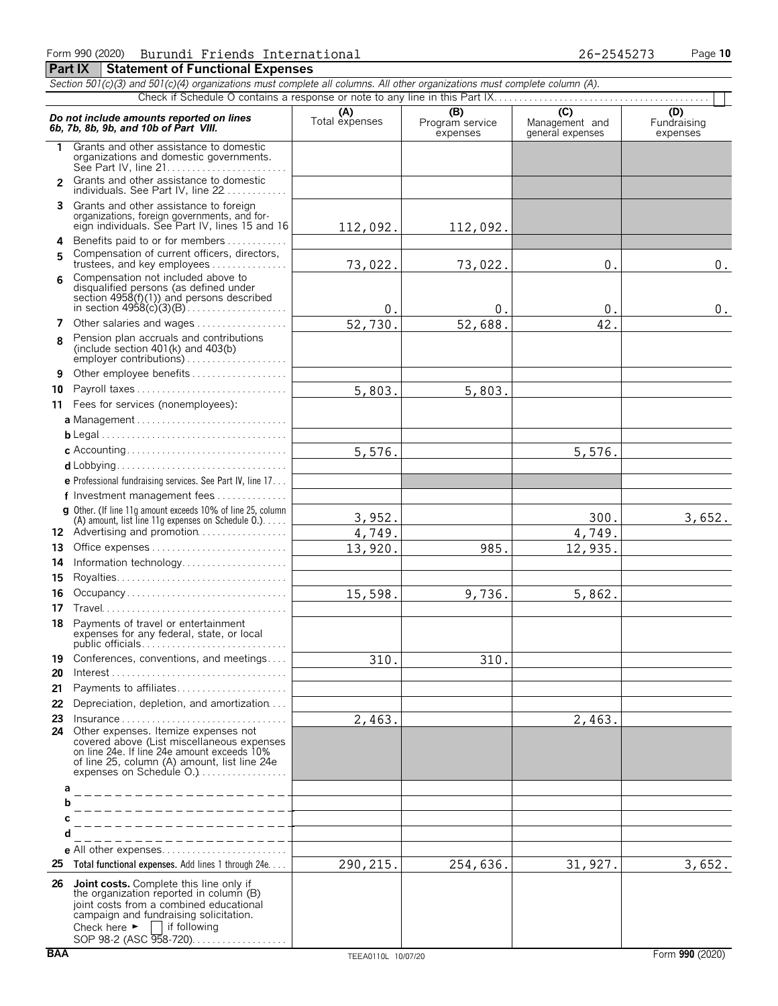|                | Section 501(c)(3) and 501(c)(4) organizations must complete all columns. All other organizations must complete column (A).                                                                                                         |                       |                                    |                                    |                                |
|----------------|------------------------------------------------------------------------------------------------------------------------------------------------------------------------------------------------------------------------------------|-----------------------|------------------------------------|------------------------------------|--------------------------------|
|                |                                                                                                                                                                                                                                    |                       |                                    | $\overline{C}$                     |                                |
|                | Do not include amounts reported on lines<br>6b, 7b, 8b, 9b, and 10b of Part VIII.                                                                                                                                                  | (A)<br>Total expenses | (B)<br>Program service<br>expenses | Management and<br>general expenses | (D)<br>Fundraising<br>expenses |
| 1.             | Grants and other assistance to domestic<br>organizations and domestic governments.<br>See Part IV, line 21                                                                                                                         |                       |                                    |                                    |                                |
| $\overline{2}$ | Grants and other assistance to domestic<br>individuals. See Part IV, line 22                                                                                                                                                       |                       |                                    |                                    |                                |
|                | 3 Grants and other assistance to foreign<br>organizations, foreign governments, and for-<br>eign individuals. See Part IV, lines 15 and 16                                                                                         | 112,092.              | 112,092.                           |                                    |                                |
| 4              | Benefits paid to or for members                                                                                                                                                                                                    |                       |                                    |                                    |                                |
| 5              | Compensation of current officers, directors,                                                                                                                                                                                       |                       |                                    |                                    |                                |
| 6              | trustees, and key employees<br>Compensation not included above to                                                                                                                                                                  | 73,022.               | 73,022.                            | 0.                                 | $0$ .                          |
|                | disqualified persons (as defined under<br>section 4958(f)(1)) and persons described                                                                                                                                                | $0$ .                 | 0.                                 | 0.                                 | 0.                             |
| 7              | Other salaries and wages                                                                                                                                                                                                           | 52,730.               | 52,688.                            | 42.                                |                                |
| 8              | Pension plan accruals and contributions<br>(include section $401(k)$ and $403(b)$<br>employer contributions)                                                                                                                       |                       |                                    |                                    |                                |
| 9              | Other employee benefits                                                                                                                                                                                                            |                       |                                    |                                    |                                |
| 10             | Payroll taxes                                                                                                                                                                                                                      | 5,803.                | 5,803.                             |                                    |                                |
|                | 11 Fees for services (nonemployees):                                                                                                                                                                                               |                       |                                    |                                    |                                |
|                |                                                                                                                                                                                                                                    |                       |                                    |                                    |                                |
|                |                                                                                                                                                                                                                                    |                       |                                    |                                    |                                |
|                |                                                                                                                                                                                                                                    | 5,576.                |                                    | 5,576.                             |                                |
|                |                                                                                                                                                                                                                                    |                       |                                    |                                    |                                |
|                | <b>e</b> Professional fundraising services. See Part IV, line $17$                                                                                                                                                                 |                       |                                    |                                    |                                |
|                | f Investment management fees                                                                                                                                                                                                       |                       |                                    |                                    |                                |
|                | g Other. (If line 11q amount exceeds 10% of line 25, column<br>(A) amount, list line 11g expenses on Schedule $0.$ )                                                                                                               | 3,952.                |                                    | 300.                               | 3,652.                         |
|                | 12 Advertising and promotion                                                                                                                                                                                                       | 4,749.                |                                    | 4,749.                             |                                |
| 13             | Office expenses                                                                                                                                                                                                                    | 13,920.               | 985.                               | 12,935.                            |                                |
| 14             | Information technology                                                                                                                                                                                                             |                       |                                    |                                    |                                |
| 15             |                                                                                                                                                                                                                                    |                       |                                    |                                    |                                |
| 16             | Occupancy                                                                                                                                                                                                                          | 15,598.               | 9,736.                             | 5,862.                             |                                |
| 17             |                                                                                                                                                                                                                                    |                       |                                    |                                    |                                |
|                | 18 Payments of travel or entertainment<br>expenses for any federal, state, or local                                                                                                                                                |                       |                                    |                                    |                                |
| 19             | Conferences, conventions, and meetings                                                                                                                                                                                             | 310.                  | 310.                               |                                    |                                |
| 20             | $Interest \dots \dots \dots \dots \dots \dots \dots \dots \dots \dots \dots \dots \dots \dots$                                                                                                                                     |                       |                                    |                                    |                                |
| 21             | Payments to affiliates                                                                                                                                                                                                             |                       |                                    |                                    |                                |
| 22             | Depreciation, depletion, and amortization                                                                                                                                                                                          |                       |                                    |                                    |                                |
| 23             | $insurance \ldots \ldots \ldots \ldots \ldots \ldots \ldots \ldots \ldots \ldots$                                                                                                                                                  | 2,463.                |                                    | 2,463.                             |                                |
|                | 24 Other expenses. Itemize expenses not<br>covered above (List miscellaneous expenses<br>on line 24e. If line 24e amount exceeds 10%<br>of line 25, column (A) amount, list line 24e                                               |                       |                                    |                                    |                                |
|                | expenses on Schedule O.)                                                                                                                                                                                                           |                       |                                    |                                    |                                |
| a              |                                                                                                                                                                                                                                    |                       |                                    |                                    |                                |
|                |                                                                                                                                                                                                                                    |                       |                                    |                                    |                                |
|                |                                                                                                                                                                                                                                    |                       |                                    |                                    |                                |
|                |                                                                                                                                                                                                                                    |                       |                                    |                                    |                                |
| 25             | Total functional expenses. Add lines 1 through 24e.                                                                                                                                                                                | 290, 215.             | 254,636.                           | 31,927.                            | 3,652.                         |
|                |                                                                                                                                                                                                                                    |                       |                                    |                                    |                                |
|                | 26 Joint costs. Complete this line only if<br>the organization reported in column (B)<br>joint costs from a combined educational<br>campaign and fundraising solicitation.<br>Check here $\blacktriangleright$<br>    if following |                       |                                    |                                    |                                |

SOP 98-2 (ASC 958-720). . . . . . . . . . . . . . . . .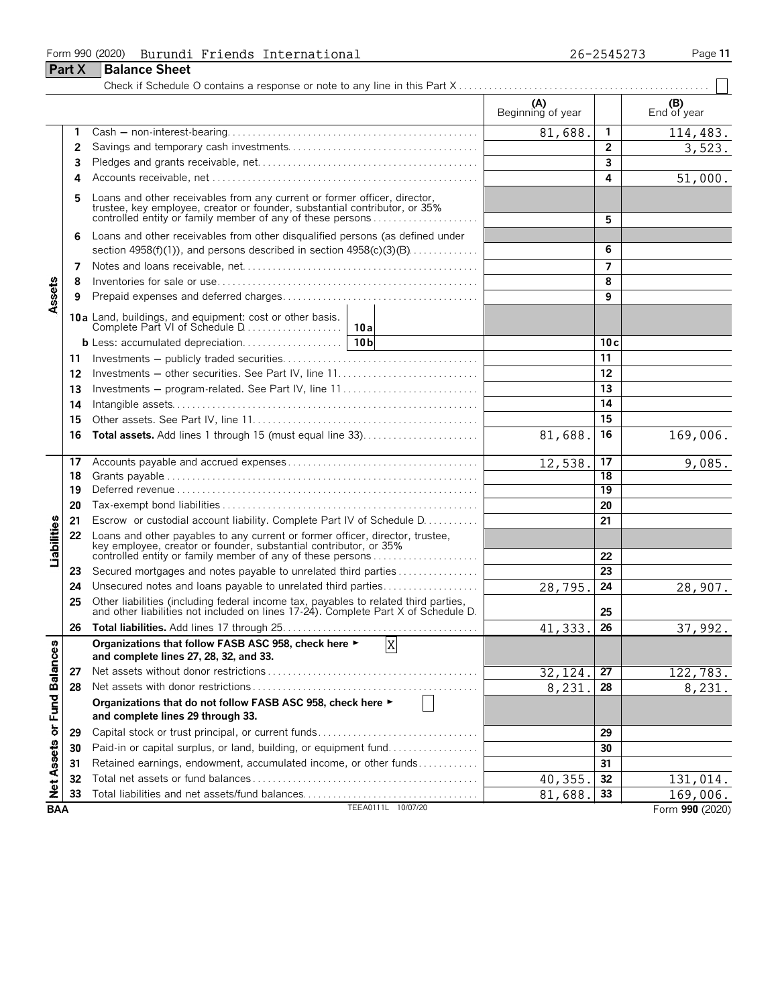#### Form 990 (2020) Page **11** Burundi Friends International 26-2545273

|                      | Part X | <b>Balance Sheet</b>                                                                                                                                                                                                  |                          |                |                    |
|----------------------|--------|-----------------------------------------------------------------------------------------------------------------------------------------------------------------------------------------------------------------------|--------------------------|----------------|--------------------|
|                      |        |                                                                                                                                                                                                                       |                          |                |                    |
|                      |        |                                                                                                                                                                                                                       | (A)<br>Beginning of year |                | (B)<br>End of year |
|                      | 1      |                                                                                                                                                                                                                       | 81,688.                  | 1              | 114,483.           |
|                      | 2      |                                                                                                                                                                                                                       |                          | $\overline{2}$ | 3,523.             |
|                      | 3      |                                                                                                                                                                                                                       |                          | 3              |                    |
|                      | 4      |                                                                                                                                                                                                                       |                          | 4              | 51,000.            |
|                      | 5      | Loans and other receivables from any current or former officer, director,<br>trustee, key employee, creator or founder, substantial contributor, or 35%<br>controlled entity or family member of any of these persons |                          | 5              |                    |
|                      | 6      | Loans and other receivables from other disqualified persons (as defined under<br>section $4958(f)(1)$ , and persons described in section $4958(c)(3)(B)$                                                              |                          | 6              |                    |
|                      | 7      |                                                                                                                                                                                                                       |                          | 7              |                    |
|                      | 8      |                                                                                                                                                                                                                       |                          | 8              |                    |
| Assets               | 9      |                                                                                                                                                                                                                       |                          | 9              |                    |
|                      |        |                                                                                                                                                                                                                       |                          |                |                    |
|                      |        |                                                                                                                                                                                                                       |                          | 10c            |                    |
|                      | 11     |                                                                                                                                                                                                                       |                          | 11             |                    |
|                      | 12     | Investments - other securities. See Part IV, line 11                                                                                                                                                                  |                          | 12             |                    |
|                      | 13     | Investments – program-related. See Part IV, line 11                                                                                                                                                                   |                          | 13             |                    |
|                      | 14     |                                                                                                                                                                                                                       |                          | 14             |                    |
|                      | 15     |                                                                                                                                                                                                                       |                          | 15             |                    |
|                      | 16     | Total assets. Add lines 1 through 15 (must equal line 33)                                                                                                                                                             | 81,688.                  | 16             | 169,006.           |
|                      | 17     |                                                                                                                                                                                                                       | 12,538                   | 17             | 9,085.             |
|                      | 18     |                                                                                                                                                                                                                       |                          | 18             |                    |
|                      | 19     |                                                                                                                                                                                                                       |                          | 19             |                    |
|                      | 20     |                                                                                                                                                                                                                       |                          | 20             |                    |
|                      | 21     | Escrow or custodial account liability. Complete Part IV of Schedule D.                                                                                                                                                |                          | 21             |                    |
| Liabilities          | 22     | Loans and other payables to any current or former officer, director, trustee,<br>key employee, creator or founder, substantial contributor, or 35%<br>controlled entity or family member of any of these persons      |                          | 22             |                    |
|                      | 23     | Secured mortgages and notes payable to unrelated third parties                                                                                                                                                        |                          | 23             |                    |
|                      | 24     | Unsecured notes and loans payable to unrelated third parties                                                                                                                                                          | 28,795                   | 24             | 28,907.            |
|                      | 25     | Other liabilities (including federal income tax, payables to related third parties, and other liabilities not included on lines 17-24). Complete Part X of Schedule D.                                                |                          | 25             |                    |
|                      | 26     |                                                                                                                                                                                                                       | 41,333.                  | 26             | 37,992.            |
|                      |        | Organizations that follow FASB ASC 958, check here ►<br>X<br>and complete lines 27, 28, 32, and 33.                                                                                                                   |                          |                |                    |
|                      | 27     |                                                                                                                                                                                                                       | 32,124                   | 27             | 122, 783.          |
|                      | 28     |                                                                                                                                                                                                                       | 8,231                    | 28             | 8,231.             |
| <b>Fund Balances</b> |        | Organizations that do not follow FASB ASC 958, check here ►<br>and complete lines 29 through 33.                                                                                                                      |                          |                |                    |
| Net Assets or        | 29     | Capital stock or trust principal, or current funds                                                                                                                                                                    |                          | 29             |                    |
|                      | 30     | Paid-in or capital surplus, or land, building, or equipment fund                                                                                                                                                      |                          | 30             |                    |
|                      | 31     | Retained earnings, endowment, accumulated income, or other funds                                                                                                                                                      |                          | 31             |                    |
|                      | 32     |                                                                                                                                                                                                                       | 40,355                   | 32             | 131,014.           |
|                      | 33     | Total liabilities and net assets/fund balances                                                                                                                                                                        | 81,688.                  | 33             | 169,006.           |
| <b>BAA</b>           |        | TEEA0111L 10/07/20                                                                                                                                                                                                    |                          |                | Form 990 (2020)    |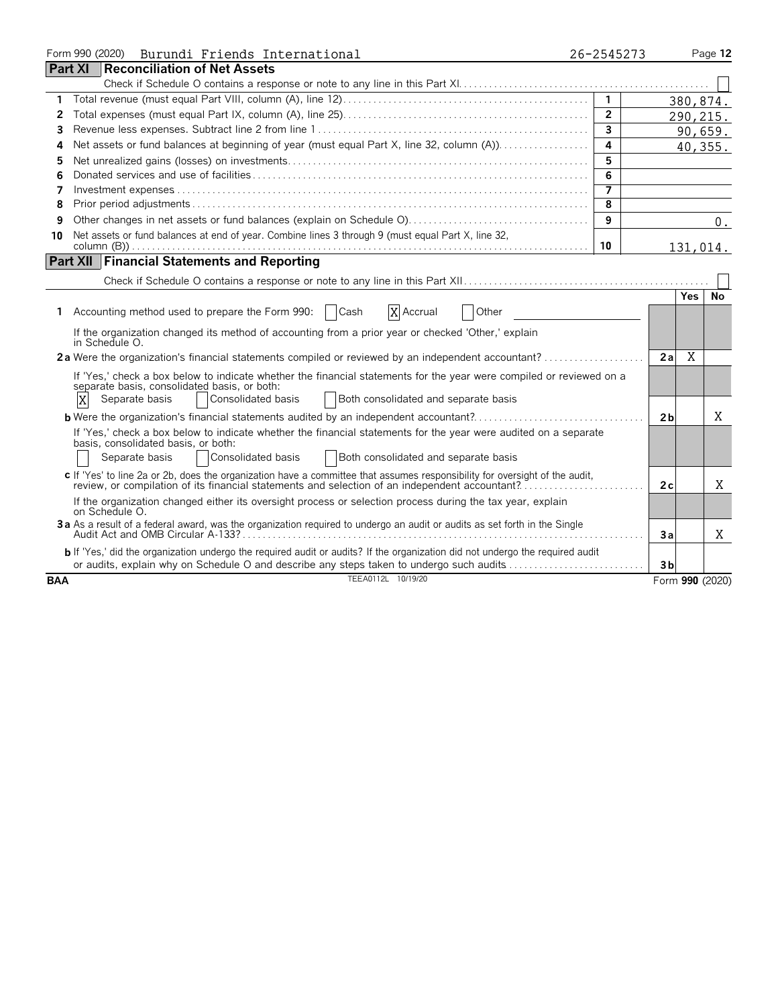|            | Form 990 (2020) Burundi Friends International                                                                                                           | 26-2545273     |                |            | Page 12         |
|------------|---------------------------------------------------------------------------------------------------------------------------------------------------------|----------------|----------------|------------|-----------------|
|            | <b>Part XI</b><br><b>Reconciliation of Net Assets</b>                                                                                                   |                |                |            |                 |
|            |                                                                                                                                                         |                |                |            |                 |
| 1          |                                                                                                                                                         | $\mathbf{1}$   |                |            | 380,874.        |
| 2          |                                                                                                                                                         | $\overline{2}$ |                |            | 290, 215.       |
| 3          |                                                                                                                                                         | $\overline{3}$ |                |            | 90,659.         |
| 4          | Net assets or fund balances at beginning of year (must equal Part X, line 32, column (A))                                                               | $\overline{a}$ |                |            | 40,355.         |
| 5          |                                                                                                                                                         | 5              |                |            |                 |
| 6          |                                                                                                                                                         | 6              |                |            |                 |
| 7          |                                                                                                                                                         | 7              |                |            |                 |
| 8          |                                                                                                                                                         | 8              |                |            |                 |
| 9          |                                                                                                                                                         | 9              |                |            | 0.              |
| 10         | Net assets or fund balances at end of year. Combine lines 3 through 9 (must equal Part X, line 32,                                                      |                |                |            |                 |
|            |                                                                                                                                                         | 10             |                |            | 131,014.        |
|            | <b>Part XII Financial Statements and Reporting</b>                                                                                                      |                |                |            |                 |
|            |                                                                                                                                                         |                |                |            |                 |
|            |                                                                                                                                                         |                |                | <b>Yes</b> | <b>No</b>       |
| 1.         | Accounting method used to prepare the Form 990:<br>  Cash<br>X Accrual<br>Other                                                                         |                |                |            |                 |
|            | If the organization changed its method of accounting from a prior year or checked 'Other,' explain<br>in Schedule O.                                    |                |                |            |                 |
|            |                                                                                                                                                         |                | 2a             | X          |                 |
|            | If 'Yes,' check a box below to indicate whether the financial statements for the year were compiled or reviewed on a                                    |                |                |            |                 |
|            | separate basis, consolidated basis, or both:<br>X<br>Separate basis<br>Consolidated basis<br>Both consolidated and separate basis                       |                |                |            |                 |
|            |                                                                                                                                                         |                |                |            |                 |
|            | <b>b</b> Were the organization's financial statements audited by an independent accountant?                                                             |                | 2 <sub>b</sub> |            | X               |
|            | If 'Yes,' check a box below to indicate whether the financial statements for the year were audited on a separate<br>basis, consolidated basis, or both: |                |                |            |                 |
|            | Consolidated basis<br>Both consolidated and separate basis<br>Separate basis                                                                            |                |                |            |                 |
|            | c If 'Yes' to line 2a or 2b, does the organization have a committee that assumes responsibility for oversight of the audit,                             |                |                |            |                 |
|            | review, or compilation of its financial statements and selection of an independent accountant?                                                          |                | 2c             |            | X               |
|            | If the organization changed either its oversight process or selection process during the tax year, explain<br>on Schedule O.                            |                |                |            |                 |
|            | 3a As a result of a federal award, was the organization required to undergo an audit or audits as set forth in the Single                               |                |                |            |                 |
|            |                                                                                                                                                         |                | Зa             |            | Χ               |
|            | b If 'Yes,' did the organization undergo the required audit or audits? If the organization did not undergo the required audit                           |                |                |            |                 |
|            | or audits, explain why on Schedule O and describe any steps taken to undergo such audits                                                                |                | 3 <sub>b</sub> |            |                 |
| <b>BAA</b> | TEEA0112L 10/19/20                                                                                                                                      |                |                |            | Form 990 (2020) |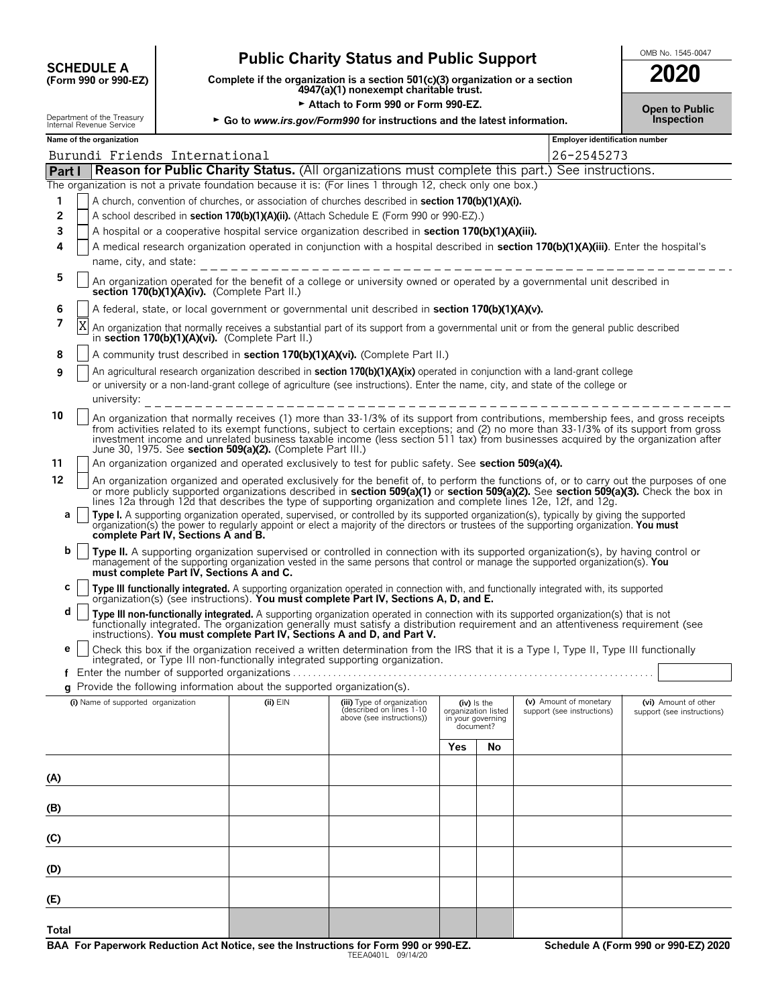| <b>SCHEDULE A</b>                    |  |  |
|--------------------------------------|--|--|
| $(F_{\rm O}r_{\rm m}$ 990 or 990-F7) |  |  |

# **Public Charity Status and Public Support SUPPORE A**

**COMPOSCHEDULE A**<br>(Form 990 or 990-EZ) Complete if the organization is a section 501(c)(3) organization or a section<br>4947(a)(1) nonexempt charitable trust.

Attach to Form 990 or Form 990-EZ.

| 2020                                       |  |
|--------------------------------------------|--|
| <b>Open to Public</b><br><b>Inspection</b> |  |

| Employer identification number<br>Name of the organization<br>26-2545273<br>Burundi Friends International<br>Part I<br>Reason for Public Charity Status. (All organizations must complete this part.) See instructions.<br>The organization is not a private foundation because it is: (For lines 1 through 12, check only one box.)<br>A church, convention of churches, or association of churches described in section 170(b)(1)(A)(i).<br>1<br>2<br>A school described in section 170(b)(1)(A)(ii). (Attach Schedule E (Form 990 or 990-EZ).)<br>3<br>A hospital or a cooperative hospital service organization described in section 170(b)(1)(A)(iii).<br>A medical research organization operated in conjunction with a hospital described in section 170(b)(1)(A)(iii). Enter the hospital's<br>4<br>name, city, and state:<br>5<br>section 170(b)(1)(A)(iv). (Complete Part II.)<br>A federal, state, or local government or governmental unit described in section 170(b)(1)(A)(v).<br>6<br>7<br>Χ<br>An organization that normally receives a substantial part of its support from a governmental unit or from the general public described<br>in section 170(b)(1)(A)(vi). (Complete Part II.)<br>A community trust described in section 170(b)(1)(A)(vi). (Complete Part II.)<br>8<br>An agricultural research organization described in section 170(b)(1)(A)(ix) operated in conjunction with a land-grant college<br>9<br>or university or a non-land-grant college of agriculture (see instructions). Enter the name, city, and state of the college or<br>university:<br>_____________________<br>10<br>An organization that normally receives (1) more than 33-1/3% of its support from contributions, membership fees, and gross receipts<br>from activities related to its exempt functions, subject to certain exceptions; and (2) no more than 33-1/3% of its support from gross<br>investment income and unrelated business taxable income (less section 511 tax) from businesses acquired by the organization after<br>June 30, 1975. See section 509(a)(2). (Complete Part III.)<br>An organization organized and operated exclusively to test for public safety. See section 509(a)(4).<br>11<br>12<br>An organization organized and operated exclusively for the benefit of, to perform the functions of, or to carry out the purposes of one<br>or more publicly supported organizations described in section 509(a)(1) or section 509(a)(2). See section 509(a)(3). Check the box in<br>lines 12a through 12d that describes the type of supporting organization and complete lines 12e, 12f, and 12g.<br>Type I. A supporting organization operated, supervised, or controlled by its supported organization(s), typically by giving the supported<br>а<br>organization(s) the power to regularly appoint or elect a majority of the directors or trustees of the supporting organization. You must<br>complete Part IV, Sections A and B.<br>b<br>Type II. A supporting organization supervised or controlled in connection with its supported organization(s), by having control or<br>management of the supporting organization vested in the same persons that control or manage the supported organization(s). You |                                                                                                                           |  |  |  |  |  |
|------------------------------------------------------------------------------------------------------------------------------------------------------------------------------------------------------------------------------------------------------------------------------------------------------------------------------------------------------------------------------------------------------------------------------------------------------------------------------------------------------------------------------------------------------------------------------------------------------------------------------------------------------------------------------------------------------------------------------------------------------------------------------------------------------------------------------------------------------------------------------------------------------------------------------------------------------------------------------------------------------------------------------------------------------------------------------------------------------------------------------------------------------------------------------------------------------------------------------------------------------------------------------------------------------------------------------------------------------------------------------------------------------------------------------------------------------------------------------------------------------------------------------------------------------------------------------------------------------------------------------------------------------------------------------------------------------------------------------------------------------------------------------------------------------------------------------------------------------------------------------------------------------------------------------------------------------------------------------------------------------------------------------------------------------------------------------------------------------------------------------------------------------------------------------------------------------------------------------------------------------------------------------------------------------------------------------------------------------------------------------------------------------------------------------------------------------------------------------------------------------------------------------------------------------------------------------------------------------------------------------------------------------------------------------------------------------------------------------------------------------------------------------------------------------------------------------------------------------------------------------------------------------------------------------------------------------------------------------------------------------------------------------------------------------------------------------------------------------------------------------------------------------------------------------------------------------------------------------------------------------|---------------------------------------------------------------------------------------------------------------------------|--|--|--|--|--|
|                                                                                                                                                                                                                                                                                                                                                                                                                                                                                                                                                                                                                                                                                                                                                                                                                                                                                                                                                                                                                                                                                                                                                                                                                                                                                                                                                                                                                                                                                                                                                                                                                                                                                                                                                                                                                                                                                                                                                                                                                                                                                                                                                                                                                                                                                                                                                                                                                                                                                                                                                                                                                                                                                                                                                                                                                                                                                                                                                                                                                                                                                                                                                                                                                                                      |                                                                                                                           |  |  |  |  |  |
|                                                                                                                                                                                                                                                                                                                                                                                                                                                                                                                                                                                                                                                                                                                                                                                                                                                                                                                                                                                                                                                                                                                                                                                                                                                                                                                                                                                                                                                                                                                                                                                                                                                                                                                                                                                                                                                                                                                                                                                                                                                                                                                                                                                                                                                                                                                                                                                                                                                                                                                                                                                                                                                                                                                                                                                                                                                                                                                                                                                                                                                                                                                                                                                                                                                      |                                                                                                                           |  |  |  |  |  |
|                                                                                                                                                                                                                                                                                                                                                                                                                                                                                                                                                                                                                                                                                                                                                                                                                                                                                                                                                                                                                                                                                                                                                                                                                                                                                                                                                                                                                                                                                                                                                                                                                                                                                                                                                                                                                                                                                                                                                                                                                                                                                                                                                                                                                                                                                                                                                                                                                                                                                                                                                                                                                                                                                                                                                                                                                                                                                                                                                                                                                                                                                                                                                                                                                                                      |                                                                                                                           |  |  |  |  |  |
|                                                                                                                                                                                                                                                                                                                                                                                                                                                                                                                                                                                                                                                                                                                                                                                                                                                                                                                                                                                                                                                                                                                                                                                                                                                                                                                                                                                                                                                                                                                                                                                                                                                                                                                                                                                                                                                                                                                                                                                                                                                                                                                                                                                                                                                                                                                                                                                                                                                                                                                                                                                                                                                                                                                                                                                                                                                                                                                                                                                                                                                                                                                                                                                                                                                      |                                                                                                                           |  |  |  |  |  |
|                                                                                                                                                                                                                                                                                                                                                                                                                                                                                                                                                                                                                                                                                                                                                                                                                                                                                                                                                                                                                                                                                                                                                                                                                                                                                                                                                                                                                                                                                                                                                                                                                                                                                                                                                                                                                                                                                                                                                                                                                                                                                                                                                                                                                                                                                                                                                                                                                                                                                                                                                                                                                                                                                                                                                                                                                                                                                                                                                                                                                                                                                                                                                                                                                                                      |                                                                                                                           |  |  |  |  |  |
|                                                                                                                                                                                                                                                                                                                                                                                                                                                                                                                                                                                                                                                                                                                                                                                                                                                                                                                                                                                                                                                                                                                                                                                                                                                                                                                                                                                                                                                                                                                                                                                                                                                                                                                                                                                                                                                                                                                                                                                                                                                                                                                                                                                                                                                                                                                                                                                                                                                                                                                                                                                                                                                                                                                                                                                                                                                                                                                                                                                                                                                                                                                                                                                                                                                      |                                                                                                                           |  |  |  |  |  |
|                                                                                                                                                                                                                                                                                                                                                                                                                                                                                                                                                                                                                                                                                                                                                                                                                                                                                                                                                                                                                                                                                                                                                                                                                                                                                                                                                                                                                                                                                                                                                                                                                                                                                                                                                                                                                                                                                                                                                                                                                                                                                                                                                                                                                                                                                                                                                                                                                                                                                                                                                                                                                                                                                                                                                                                                                                                                                                                                                                                                                                                                                                                                                                                                                                                      |                                                                                                                           |  |  |  |  |  |
|                                                                                                                                                                                                                                                                                                                                                                                                                                                                                                                                                                                                                                                                                                                                                                                                                                                                                                                                                                                                                                                                                                                                                                                                                                                                                                                                                                                                                                                                                                                                                                                                                                                                                                                                                                                                                                                                                                                                                                                                                                                                                                                                                                                                                                                                                                                                                                                                                                                                                                                                                                                                                                                                                                                                                                                                                                                                                                                                                                                                                                                                                                                                                                                                                                                      |                                                                                                                           |  |  |  |  |  |
|                                                                                                                                                                                                                                                                                                                                                                                                                                                                                                                                                                                                                                                                                                                                                                                                                                                                                                                                                                                                                                                                                                                                                                                                                                                                                                                                                                                                                                                                                                                                                                                                                                                                                                                                                                                                                                                                                                                                                                                                                                                                                                                                                                                                                                                                                                                                                                                                                                                                                                                                                                                                                                                                                                                                                                                                                                                                                                                                                                                                                                                                                                                                                                                                                                                      | An organization operated for the benefit of a college or university owned or operated by a governmental unit described in |  |  |  |  |  |
|                                                                                                                                                                                                                                                                                                                                                                                                                                                                                                                                                                                                                                                                                                                                                                                                                                                                                                                                                                                                                                                                                                                                                                                                                                                                                                                                                                                                                                                                                                                                                                                                                                                                                                                                                                                                                                                                                                                                                                                                                                                                                                                                                                                                                                                                                                                                                                                                                                                                                                                                                                                                                                                                                                                                                                                                                                                                                                                                                                                                                                                                                                                                                                                                                                                      |                                                                                                                           |  |  |  |  |  |
|                                                                                                                                                                                                                                                                                                                                                                                                                                                                                                                                                                                                                                                                                                                                                                                                                                                                                                                                                                                                                                                                                                                                                                                                                                                                                                                                                                                                                                                                                                                                                                                                                                                                                                                                                                                                                                                                                                                                                                                                                                                                                                                                                                                                                                                                                                                                                                                                                                                                                                                                                                                                                                                                                                                                                                                                                                                                                                                                                                                                                                                                                                                                                                                                                                                      |                                                                                                                           |  |  |  |  |  |
|                                                                                                                                                                                                                                                                                                                                                                                                                                                                                                                                                                                                                                                                                                                                                                                                                                                                                                                                                                                                                                                                                                                                                                                                                                                                                                                                                                                                                                                                                                                                                                                                                                                                                                                                                                                                                                                                                                                                                                                                                                                                                                                                                                                                                                                                                                                                                                                                                                                                                                                                                                                                                                                                                                                                                                                                                                                                                                                                                                                                                                                                                                                                                                                                                                                      |                                                                                                                           |  |  |  |  |  |
|                                                                                                                                                                                                                                                                                                                                                                                                                                                                                                                                                                                                                                                                                                                                                                                                                                                                                                                                                                                                                                                                                                                                                                                                                                                                                                                                                                                                                                                                                                                                                                                                                                                                                                                                                                                                                                                                                                                                                                                                                                                                                                                                                                                                                                                                                                                                                                                                                                                                                                                                                                                                                                                                                                                                                                                                                                                                                                                                                                                                                                                                                                                                                                                                                                                      |                                                                                                                           |  |  |  |  |  |
|                                                                                                                                                                                                                                                                                                                                                                                                                                                                                                                                                                                                                                                                                                                                                                                                                                                                                                                                                                                                                                                                                                                                                                                                                                                                                                                                                                                                                                                                                                                                                                                                                                                                                                                                                                                                                                                                                                                                                                                                                                                                                                                                                                                                                                                                                                                                                                                                                                                                                                                                                                                                                                                                                                                                                                                                                                                                                                                                                                                                                                                                                                                                                                                                                                                      |                                                                                                                           |  |  |  |  |  |
|                                                                                                                                                                                                                                                                                                                                                                                                                                                                                                                                                                                                                                                                                                                                                                                                                                                                                                                                                                                                                                                                                                                                                                                                                                                                                                                                                                                                                                                                                                                                                                                                                                                                                                                                                                                                                                                                                                                                                                                                                                                                                                                                                                                                                                                                                                                                                                                                                                                                                                                                                                                                                                                                                                                                                                                                                                                                                                                                                                                                                                                                                                                                                                                                                                                      |                                                                                                                           |  |  |  |  |  |
|                                                                                                                                                                                                                                                                                                                                                                                                                                                                                                                                                                                                                                                                                                                                                                                                                                                                                                                                                                                                                                                                                                                                                                                                                                                                                                                                                                                                                                                                                                                                                                                                                                                                                                                                                                                                                                                                                                                                                                                                                                                                                                                                                                                                                                                                                                                                                                                                                                                                                                                                                                                                                                                                                                                                                                                                                                                                                                                                                                                                                                                                                                                                                                                                                                                      |                                                                                                                           |  |  |  |  |  |
|                                                                                                                                                                                                                                                                                                                                                                                                                                                                                                                                                                                                                                                                                                                                                                                                                                                                                                                                                                                                                                                                                                                                                                                                                                                                                                                                                                                                                                                                                                                                                                                                                                                                                                                                                                                                                                                                                                                                                                                                                                                                                                                                                                                                                                                                                                                                                                                                                                                                                                                                                                                                                                                                                                                                                                                                                                                                                                                                                                                                                                                                                                                                                                                                                                                      |                                                                                                                           |  |  |  |  |  |
| must complete Part IV, Sections A and C.                                                                                                                                                                                                                                                                                                                                                                                                                                                                                                                                                                                                                                                                                                                                                                                                                                                                                                                                                                                                                                                                                                                                                                                                                                                                                                                                                                                                                                                                                                                                                                                                                                                                                                                                                                                                                                                                                                                                                                                                                                                                                                                                                                                                                                                                                                                                                                                                                                                                                                                                                                                                                                                                                                                                                                                                                                                                                                                                                                                                                                                                                                                                                                                                             |                                                                                                                           |  |  |  |  |  |
| с<br>Type III functionally integrated. A supporting organization operated in connection with, and functionally integrated with, its supported organization(s) (see instructions). You must complete Part IV, Sections A, D, and E.                                                                                                                                                                                                                                                                                                                                                                                                                                                                                                                                                                                                                                                                                                                                                                                                                                                                                                                                                                                                                                                                                                                                                                                                                                                                                                                                                                                                                                                                                                                                                                                                                                                                                                                                                                                                                                                                                                                                                                                                                                                                                                                                                                                                                                                                                                                                                                                                                                                                                                                                                                                                                                                                                                                                                                                                                                                                                                                                                                                                                   |                                                                                                                           |  |  |  |  |  |
| d<br>Type III non-functionally integrated. A supporting organization operated in connection with its supported organization(s) that is not<br>functionally integrated. The organization generally must satisfy a distribution requirement and an attentiveness requirement (see<br>instructions). You must complete Part IV, Sections A and D, and Part V.                                                                                                                                                                                                                                                                                                                                                                                                                                                                                                                                                                                                                                                                                                                                                                                                                                                                                                                                                                                                                                                                                                                                                                                                                                                                                                                                                                                                                                                                                                                                                                                                                                                                                                                                                                                                                                                                                                                                                                                                                                                                                                                                                                                                                                                                                                                                                                                                                                                                                                                                                                                                                                                                                                                                                                                                                                                                                           |                                                                                                                           |  |  |  |  |  |
| Check this box if the organization received a written determination from the IRS that it is a Type I, Type II, Type III functionally<br>е<br>integrated, or Type III non-functionally integrated supporting organization.                                                                                                                                                                                                                                                                                                                                                                                                                                                                                                                                                                                                                                                                                                                                                                                                                                                                                                                                                                                                                                                                                                                                                                                                                                                                                                                                                                                                                                                                                                                                                                                                                                                                                                                                                                                                                                                                                                                                                                                                                                                                                                                                                                                                                                                                                                                                                                                                                                                                                                                                                                                                                                                                                                                                                                                                                                                                                                                                                                                                                            |                                                                                                                           |  |  |  |  |  |
| g Provide the following information about the supported organization(s).                                                                                                                                                                                                                                                                                                                                                                                                                                                                                                                                                                                                                                                                                                                                                                                                                                                                                                                                                                                                                                                                                                                                                                                                                                                                                                                                                                                                                                                                                                                                                                                                                                                                                                                                                                                                                                                                                                                                                                                                                                                                                                                                                                                                                                                                                                                                                                                                                                                                                                                                                                                                                                                                                                                                                                                                                                                                                                                                                                                                                                                                                                                                                                             |                                                                                                                           |  |  |  |  |  |
| (i) Name of supported organization<br>(ii) EIN<br>(v) Amount of monetary<br>(iii) Type of organization<br>(iv) is the<br>described on lines 1-10<br>organization listed<br>support (see instructions)<br>above (see instructions))<br>in your governing<br>document?                                                                                                                                                                                                                                                                                                                                                                                                                                                                                                                                                                                                                                                                                                                                                                                                                                                                                                                                                                                                                                                                                                                                                                                                                                                                                                                                                                                                                                                                                                                                                                                                                                                                                                                                                                                                                                                                                                                                                                                                                                                                                                                                                                                                                                                                                                                                                                                                                                                                                                                                                                                                                                                                                                                                                                                                                                                                                                                                                                                 | (vi) Amount of other<br>support (see instructions)                                                                        |  |  |  |  |  |
| Yes<br>No                                                                                                                                                                                                                                                                                                                                                                                                                                                                                                                                                                                                                                                                                                                                                                                                                                                                                                                                                                                                                                                                                                                                                                                                                                                                                                                                                                                                                                                                                                                                                                                                                                                                                                                                                                                                                                                                                                                                                                                                                                                                                                                                                                                                                                                                                                                                                                                                                                                                                                                                                                                                                                                                                                                                                                                                                                                                                                                                                                                                                                                                                                                                                                                                                                            |                                                                                                                           |  |  |  |  |  |
|                                                                                                                                                                                                                                                                                                                                                                                                                                                                                                                                                                                                                                                                                                                                                                                                                                                                                                                                                                                                                                                                                                                                                                                                                                                                                                                                                                                                                                                                                                                                                                                                                                                                                                                                                                                                                                                                                                                                                                                                                                                                                                                                                                                                                                                                                                                                                                                                                                                                                                                                                                                                                                                                                                                                                                                                                                                                                                                                                                                                                                                                                                                                                                                                                                                      |                                                                                                                           |  |  |  |  |  |
| (A)                                                                                                                                                                                                                                                                                                                                                                                                                                                                                                                                                                                                                                                                                                                                                                                                                                                                                                                                                                                                                                                                                                                                                                                                                                                                                                                                                                                                                                                                                                                                                                                                                                                                                                                                                                                                                                                                                                                                                                                                                                                                                                                                                                                                                                                                                                                                                                                                                                                                                                                                                                                                                                                                                                                                                                                                                                                                                                                                                                                                                                                                                                                                                                                                                                                  |                                                                                                                           |  |  |  |  |  |
| (B)                                                                                                                                                                                                                                                                                                                                                                                                                                                                                                                                                                                                                                                                                                                                                                                                                                                                                                                                                                                                                                                                                                                                                                                                                                                                                                                                                                                                                                                                                                                                                                                                                                                                                                                                                                                                                                                                                                                                                                                                                                                                                                                                                                                                                                                                                                                                                                                                                                                                                                                                                                                                                                                                                                                                                                                                                                                                                                                                                                                                                                                                                                                                                                                                                                                  |                                                                                                                           |  |  |  |  |  |
| (C)                                                                                                                                                                                                                                                                                                                                                                                                                                                                                                                                                                                                                                                                                                                                                                                                                                                                                                                                                                                                                                                                                                                                                                                                                                                                                                                                                                                                                                                                                                                                                                                                                                                                                                                                                                                                                                                                                                                                                                                                                                                                                                                                                                                                                                                                                                                                                                                                                                                                                                                                                                                                                                                                                                                                                                                                                                                                                                                                                                                                                                                                                                                                                                                                                                                  |                                                                                                                           |  |  |  |  |  |
| (D)                                                                                                                                                                                                                                                                                                                                                                                                                                                                                                                                                                                                                                                                                                                                                                                                                                                                                                                                                                                                                                                                                                                                                                                                                                                                                                                                                                                                                                                                                                                                                                                                                                                                                                                                                                                                                                                                                                                                                                                                                                                                                                                                                                                                                                                                                                                                                                                                                                                                                                                                                                                                                                                                                                                                                                                                                                                                                                                                                                                                                                                                                                                                                                                                                                                  |                                                                                                                           |  |  |  |  |  |
| (E)                                                                                                                                                                                                                                                                                                                                                                                                                                                                                                                                                                                                                                                                                                                                                                                                                                                                                                                                                                                                                                                                                                                                                                                                                                                                                                                                                                                                                                                                                                                                                                                                                                                                                                                                                                                                                                                                                                                                                                                                                                                                                                                                                                                                                                                                                                                                                                                                                                                                                                                                                                                                                                                                                                                                                                                                                                                                                                                                                                                                                                                                                                                                                                                                                                                  |                                                                                                                           |  |  |  |  |  |

**Total**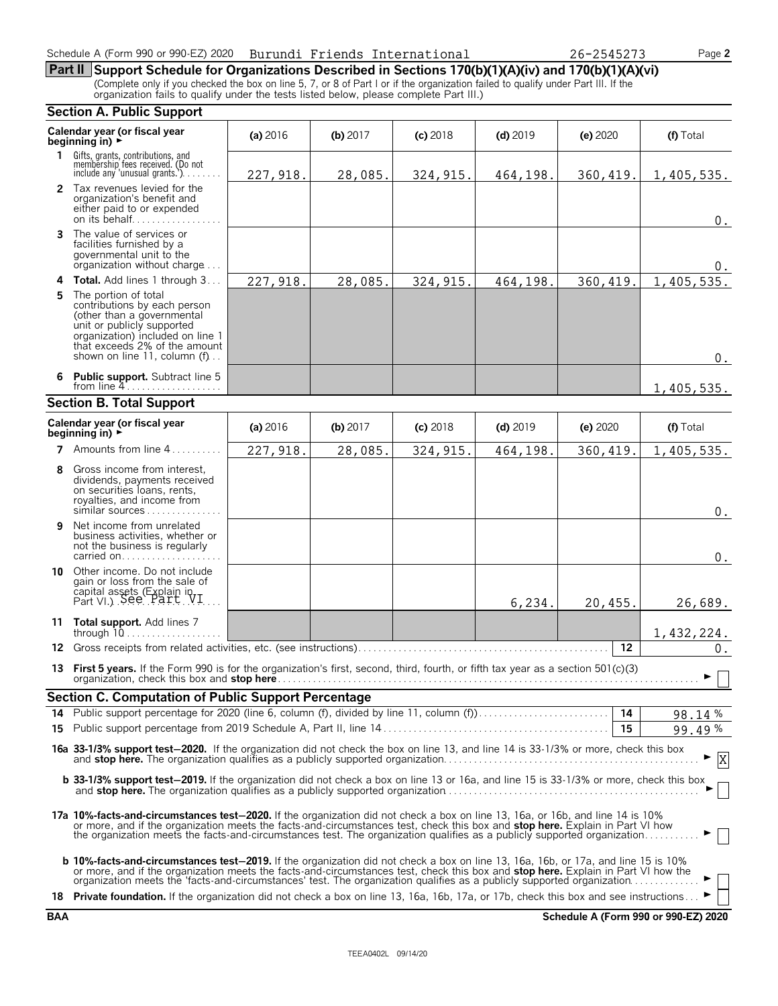**Part II Support Schedule for Organizations Described in Sections 170(b)(1)(A)(iv) and 170(b)(1)(A)(vi)** (Complete only if you checked the box on line 5, 7, or 8 of Part I or if the organization failed to qualify under Part III. If the organization fails to qualify under the tests listed below, please complete Part III.)

|     | <b>Section A. Public Support</b>                                                                                                                                                                                                                                                                                                                                                            |           |          |            |            |           |            |
|-----|---------------------------------------------------------------------------------------------------------------------------------------------------------------------------------------------------------------------------------------------------------------------------------------------------------------------------------------------------------------------------------------------|-----------|----------|------------|------------|-----------|------------|
|     | Calendar year (or fiscal year<br>beginning in) $\rightarrow$                                                                                                                                                                                                                                                                                                                                | (a) 2016  | (b) 2017 | $(c)$ 2018 | $(d)$ 2019 | (e) 2020  | (f) Total  |
|     | 1 Gifts, grants, contributions, and<br>membership fees received. (Do not<br>include any 'unusual grants.'). $\ldots$                                                                                                                                                                                                                                                                        | 227, 918. | 28,085.  | 324, 915.  | 464,198.   | 360,419.  | 1,405,535. |
|     | 2 Tax revenues levied for the<br>organization's benefit and<br>either paid to or expended<br>on its behalf                                                                                                                                                                                                                                                                                  |           |          |            |            |           | $0$ .      |
| 3   | The value of services or<br>facilities furnished by a<br>governmental unit to the<br>organization without charge                                                                                                                                                                                                                                                                            |           |          |            |            |           | 0.         |
| 4   | Total. Add lines 1 through 3                                                                                                                                                                                                                                                                                                                                                                | 227,918.  | 28,085.  | 324, 915.  | 464,198.   | 360, 419. | 1,405,535. |
| 5.  | The portion of total<br>contributions by each person<br>(other than a governmental<br>unit or publicly supported<br>organization) included on line 1<br>that exceeds 2% of the amount<br>shown on line 11, column (f)                                                                                                                                                                       |           |          |            |            |           | $0$ .      |
| 6   | Public support. Subtract line 5<br>from line $4$                                                                                                                                                                                                                                                                                                                                            |           |          |            |            |           | 1,405,535. |
|     | <b>Section B. Total Support</b>                                                                                                                                                                                                                                                                                                                                                             |           |          |            |            |           |            |
|     | Calendar year (or fiscal year<br>beginning in) $\rightarrow$                                                                                                                                                                                                                                                                                                                                | (a) 2016  | (b) 2017 | $(c)$ 2018 | $(d)$ 2019 | (e) 2020  | (f) Total  |
|     | 7 Amounts from line 4.                                                                                                                                                                                                                                                                                                                                                                      | 227, 918. | 28,085.  | 324, 915.  | 464,198.   | 360,419.  | 1,405,535. |
| 8   | Gross income from interest.<br>dividends, payments received<br>on securities loans, rents,<br>royalties, and income from<br>similar sources                                                                                                                                                                                                                                                 |           |          |            |            |           | $0$ .      |
| 9   | Net income from unrelated<br>business activities, whether or<br>not the business is regularly<br>carried on                                                                                                                                                                                                                                                                                 |           |          |            |            |           | $0$ .      |
| 10  | Other income. Do not include<br>gain or loss from the sale of<br>capital assets (Explain in Part VI.) See Part VI.                                                                                                                                                                                                                                                                          |           |          |            | 6,234.     | 20,455.   | 26,689.    |
|     | 11 Total support. Add lines 7<br>through $10$                                                                                                                                                                                                                                                                                                                                               |           |          |            |            |           | 1,432,224. |
| 12. | Gross receipts from related activities, etc. (see instructions)                                                                                                                                                                                                                                                                                                                             |           |          |            |            | 12        | $0$ .      |
|     | 13 First 5 years. If the Form 990 is for the organization's first, second, third, fourth, or fifth tax year as a section 501(c)(3)                                                                                                                                                                                                                                                          |           |          |            |            |           | ► □        |
|     | Section C. Computation of Public Support Percentage                                                                                                                                                                                                                                                                                                                                         |           |          |            |            |           |            |
|     | 14 Public support percentage for 2020 (line 6, column (f), divided by line 11, column (f))                                                                                                                                                                                                                                                                                                  |           |          |            |            | 14        | 98.14%     |
|     |                                                                                                                                                                                                                                                                                                                                                                                             |           |          |            |            | 15        | 99.49%     |
|     | 16a 33-1/3% support test-2020. If the organization did not check the box on line 13, and line 14 is 33-1/3% or more, check this box<br>X                                                                                                                                                                                                                                                    |           |          |            |            |           |            |
|     | <b>b 33-1/3% support test-2019.</b> If the organization did not check a box on line 13 or 16a, and line 15 is 33-1/3% or more, check this box                                                                                                                                                                                                                                               |           |          |            |            |           |            |
|     | 17a 10%-facts-and-circumstances test-2020. If the organization did not check a box on line 13, 16a, or 16b, and line 14 is 10%<br>or more, and if the organization meets the facts-and-circumstances test, check this box and stop here. Explain in Part VI how<br>the organization meets the facts-and-circumstances test. The organization qualifies as a publicly supported organization |           |          |            |            |           |            |
|     | <b>b 10%-facts-and-circumstances test-2019.</b> If the organization did not check a box on line 13, 16a, 16b, or 17a, and line 15 is 10%<br>or more, and if the organization meets the facts-and-circumstances test, check this box and stop here. Explain in Part VI how the organization meets the 'facts-and-circumstances' test. The organization qualifies as a publi                  |           |          |            |            |           |            |
|     | 18 Private foundation. If the organization did not check a box on line 13, 16a, 16b, 17a, or 17b, check this box and see instructions                                                                                                                                                                                                                                                       |           |          |            |            |           |            |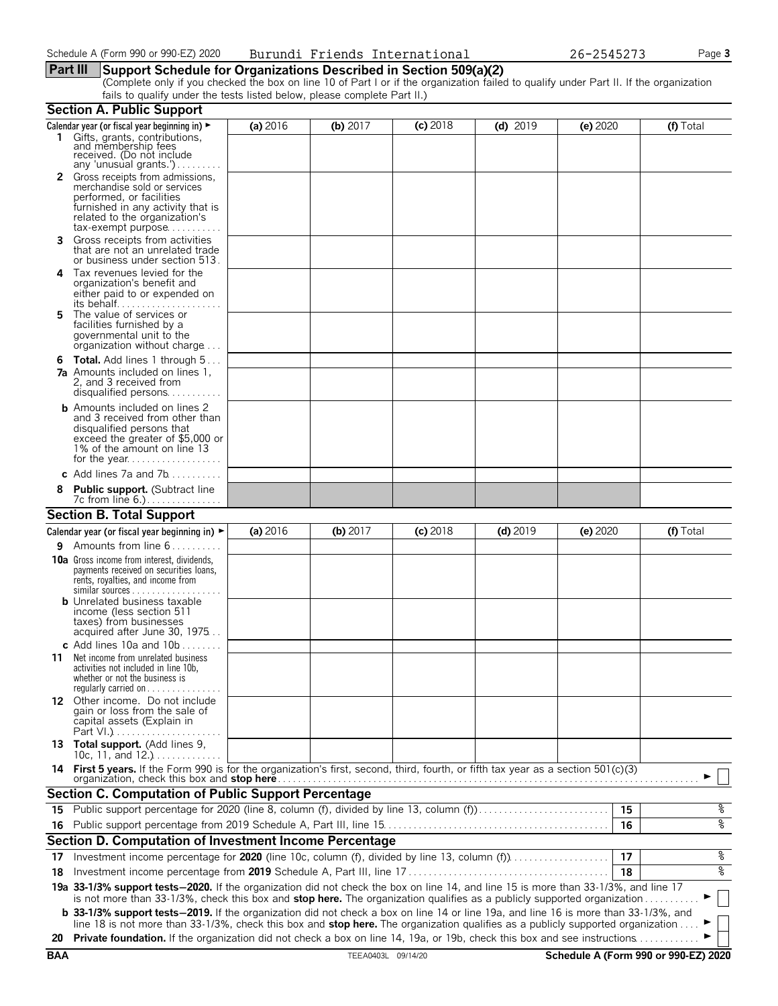#### **Part III Support Schedule for Organizations Described in Section 509(a)(2)**

(Complete only if you checked the box on line 10 of Part I or if the organization failed to qualify under Part II. If the organization fails to qualify under the tests listed below, please complete Part II.)

|    | <b>Section A. Public Support</b>                                                                                                                                                                                                                               |          |            |            |            |          |           |  |
|----|----------------------------------------------------------------------------------------------------------------------------------------------------------------------------------------------------------------------------------------------------------------|----------|------------|------------|------------|----------|-----------|--|
|    | Calendar year (or fiscal year beginning in) ►                                                                                                                                                                                                                  | (a) 2016 | (b) $2017$ | $(c)$ 2018 | $(d)$ 2019 | (e) 2020 | (f) Total |  |
|    | 1 Gifts, grants, contributions,<br>and membership fees<br>received. (Do not include<br>any 'unusual grants.')                                                                                                                                                  |          |            |            |            |          |           |  |
|    | 2 Gross receipts from admissions,                                                                                                                                                                                                                              |          |            |            |            |          |           |  |
|    | merchandise sold or services                                                                                                                                                                                                                                   |          |            |            |            |          |           |  |
|    | performed, or facilities<br>furnished in any activity that is                                                                                                                                                                                                  |          |            |            |            |          |           |  |
|    | related to the organization's                                                                                                                                                                                                                                  |          |            |            |            |          |           |  |
|    | $tax\text{-}exempt$ purpose                                                                                                                                                                                                                                    |          |            |            |            |          |           |  |
| 3. | Gross receipts from activities<br>that are not an unrelated trade<br>or business under section 513.                                                                                                                                                            |          |            |            |            |          |           |  |
| 4  | Tax revenues levied for the                                                                                                                                                                                                                                    |          |            |            |            |          |           |  |
|    | organization's benefit and                                                                                                                                                                                                                                     |          |            |            |            |          |           |  |
|    | either paid to or expended on                                                                                                                                                                                                                                  |          |            |            |            |          |           |  |
| 5. | The value of services or                                                                                                                                                                                                                                       |          |            |            |            |          |           |  |
|    | facilities furnished by a<br>governmental unit to the                                                                                                                                                                                                          |          |            |            |            |          |           |  |
|    | organization without charge                                                                                                                                                                                                                                    |          |            |            |            |          |           |  |
|    | <b>6 Total.</b> Add lines 1 through 5                                                                                                                                                                                                                          |          |            |            |            |          |           |  |
|    | <b>7a</b> Amounts included on lines 1,                                                                                                                                                                                                                         |          |            |            |            |          |           |  |
|    | 2, and 3 received from<br>disqualified persons                                                                                                                                                                                                                 |          |            |            |            |          |           |  |
|    | <b>b</b> Amounts included on lines 2                                                                                                                                                                                                                           |          |            |            |            |          |           |  |
|    | and 3 received from other than                                                                                                                                                                                                                                 |          |            |            |            |          |           |  |
|    | disqualified persons that<br>exceed the greater of \$5,000 or                                                                                                                                                                                                  |          |            |            |            |          |           |  |
|    | 1% of the amount on line 13                                                                                                                                                                                                                                    |          |            |            |            |          |           |  |
|    |                                                                                                                                                                                                                                                                |          |            |            |            |          |           |  |
|    | c Add lines $7a$ and $7b$                                                                                                                                                                                                                                      |          |            |            |            |          |           |  |
|    | <b>Public support.</b> (Subtract line                                                                                                                                                                                                                          |          |            |            |            |          |           |  |
|    | <b>Section B. Total Support</b>                                                                                                                                                                                                                                |          |            |            |            |          |           |  |
|    | Calendar year (or fiscal year beginning in) $\blacktriangleright$                                                                                                                                                                                              | (a) 2016 | (b) 2017   | $(c)$ 2018 | $(d)$ 2019 | (e) 2020 | (f) Total |  |
| 9. | Amounts from line 6                                                                                                                                                                                                                                            |          |            |            |            |          |           |  |
|    | <b>10a</b> Gross income from interest, dividends,                                                                                                                                                                                                              |          |            |            |            |          |           |  |
|    | payments received on securities loans,<br>rents, royalties, and income from                                                                                                                                                                                    |          |            |            |            |          |           |  |
|    | $similar$ sources                                                                                                                                                                                                                                              |          |            |            |            |          |           |  |
|    | <b>b</b> Unrelated business taxable<br>income (less section 511                                                                                                                                                                                                |          |            |            |            |          |           |  |
|    | taxes) from businesses                                                                                                                                                                                                                                         |          |            |            |            |          |           |  |
|    | acquired after June 30, 1975                                                                                                                                                                                                                                   |          |            |            |            |          |           |  |
|    | c Add lines 10a and $10b$<br>Net income from unrelated business                                                                                                                                                                                                |          |            |            |            |          |           |  |
| 11 | activities not included in line 10b,                                                                                                                                                                                                                           |          |            |            |            |          |           |  |
|    | whether or not the business is                                                                                                                                                                                                                                 |          |            |            |            |          |           |  |
|    | requiarly carried on $\dots\dots\dots$<br>12 Other income. Do not include                                                                                                                                                                                      |          |            |            |            |          |           |  |
|    | gain or loss from the sale of                                                                                                                                                                                                                                  |          |            |            |            |          |           |  |
|    | capital assets (Explain in                                                                                                                                                                                                                                     |          |            |            |            |          |           |  |
|    | 13 Total support. (Add lines 9,<br>10c, 11, and $12.$ )                                                                                                                                                                                                        |          |            |            |            |          |           |  |
|    | 14 First 5 years. If the Form 990 is for the organization's first, second, third, fourth, or fifth tax year as a section 501(c)(3)                                                                                                                             |          |            |            |            |          |           |  |
|    | organization, check this box and stop here                                                                                                                                                                                                                     |          |            |            |            |          |           |  |
|    | <b>Section C. Computation of Public Support Percentage</b>                                                                                                                                                                                                     |          |            |            |            |          |           |  |
|    | 15 Public support percentage for 2020 (line 8, column (f), divided by line 13, column (f)                                                                                                                                                                      |          |            |            |            | 15       | %         |  |
|    |                                                                                                                                                                                                                                                                |          |            |            |            | 16       | oه        |  |
|    | Section D. Computation of Investment Income Percentage                                                                                                                                                                                                         |          |            |            |            |          |           |  |
| 17 | Investment income percentage for 2020 (line 10c, column (f), divided by line 13, column (f)                                                                                                                                                                    |          |            |            |            | 17       | %         |  |
| 18 |                                                                                                                                                                                                                                                                |          |            |            |            | 18       | ०७        |  |
|    | 19a 33-1/3% support tests-2020. If the organization did not check the box on line 14, and line 15 is more than 33-1/3%, and line 17<br>is not more than 33-1/3%, check this box and stop here. The organization qualifies as a publicly supported organization |          |            |            |            |          |           |  |
|    | <b>b</b> 33-1/3% support tests-2019. If the organization did not check a box on line 14 or line 19a, and line 16 is more than 33-1/3%, and                                                                                                                     |          |            |            |            |          |           |  |
|    | line 18 is not more than 33-1/3%, check this box and stop here. The organization qualifies as a publicly supported organization                                                                                                                                |          |            |            |            |          |           |  |
|    | 20 Private foundation. If the organization did not check a box on line 14, 19a, or 19b, check this box and see instructions                                                                                                                                    |          |            |            |            |          |           |  |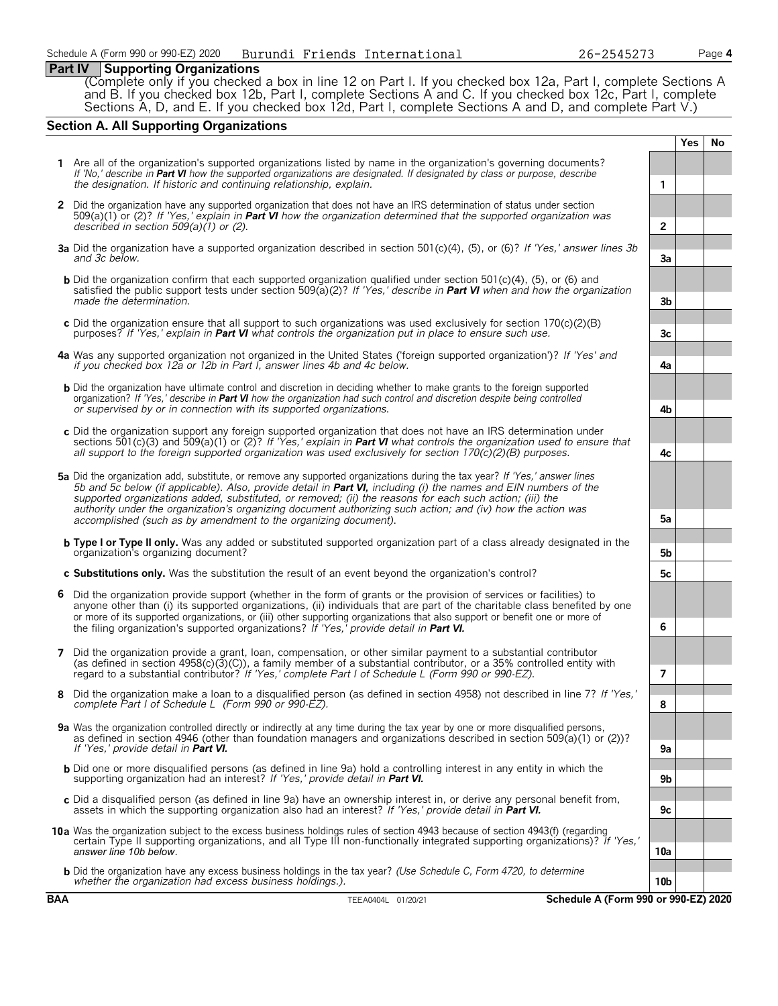## **Part IV Supporting Organizations**

(Complete only if you checked a box in line 12 on Part I. If you checked box 12a, Part I, complete Sections A and B. If you checked box 12b, Part I, complete Sections A and C. If you checked box 12c, Part I, complete Sections A, D, and E. If you checked box 12d, Part I, complete Sections A and D, and complete Part V.)

## **Section A. All Supporting Organizations**

|   |                                                                                                                                                                                                                                                                                                                                                                                                                                                                                                                                                      |                 | <b>Yes</b> | <b>No</b> |
|---|------------------------------------------------------------------------------------------------------------------------------------------------------------------------------------------------------------------------------------------------------------------------------------------------------------------------------------------------------------------------------------------------------------------------------------------------------------------------------------------------------------------------------------------------------|-----------------|------------|-----------|
|   | 1 Are all of the organization's supported organizations listed by name in the organization's governing documents?<br>If 'No,' describe in Part VI how the supported organizations are designated. If designated by class or purpose, describe<br>the designation. If historic and continuing relationship, explain.                                                                                                                                                                                                                                  | 1               |            |           |
|   | 2 Did the organization have any supported organization that does not have an IRS determination of status under section<br>509(a)(1) or (2)? If 'Yes,' explain in <b>Part VI</b> how the organization determined that the supported organization was<br>described in section $509(a)(1)$ or (2).                                                                                                                                                                                                                                                      | $\overline{2}$  |            |           |
|   | 3a Did the organization have a supported organization described in section 501(c)(4), (5), or (6)? If 'Yes,' answer lines 3b<br>and 3c below.                                                                                                                                                                                                                                                                                                                                                                                                        | 3a              |            |           |
|   | <b>b</b> Did the organization confirm that each supported organization qualified under section 501(c)(4), (5), or (6) and<br>satisfied the public support tests under section 509( $a(2)$ ? If 'Yes,' describe in <b>Part VI</b> when and how the organization<br>made the determination.                                                                                                                                                                                                                                                            | 3 <sub>b</sub>  |            |           |
|   | c Did the organization ensure that all support to such organizations was used exclusively for section $170(c)(2)(B)$<br>purposes? If 'Yes,' explain in <b>Part VI</b> what controls the organization put in place to ensure such use.                                                                                                                                                                                                                                                                                                                | 3c              |            |           |
|   | 4a Was any supported organization not organized in the United States ('foreign supported organization')? If 'Yes' and<br>if you checked box 12a or 12b in Part I, answer lines 4b and 4c below.                                                                                                                                                                                                                                                                                                                                                      | 4a              |            |           |
|   | <b>b</b> Did the organization have ultimate control and discretion in deciding whether to make grants to the foreign supported<br>organization? If 'Yes,' describe in <b>Part VI</b> how the organization had such control and discretion despite being controlled<br>or supervised by or in connection with its supported organizations.                                                                                                                                                                                                            | 4b              |            |           |
|   | c Did the organization support any foreign supported organization that does not have an IRS determination under<br>sections 501(c)(3) and 509(a)(1) or (2)? If 'Yes,' explain in <b>Part VI</b> what controls the organization used to ensure that<br>all support to the foreign supported organization was used exclusively for section $170(c)(2)(B)$ purposes.                                                                                                                                                                                    | 4c              |            |           |
|   | 5a Did the organization add, substitute, or remove any supported organizations during the tax year? If 'Yes,' answer lines<br>5b and 5c below (if applicable). Also, provide detail in <b>Part VI</b> , including (i) the names and EIN numbers of the<br>supported organizations added, substituted, or removed; (ii) the reasons for each such action; (iii) the<br>authority under the organization's organizing document authorizing such action; and (iv) how the action was<br>accomplished (such as by amendment to the organizing document). | 5a              |            |           |
|   | <b>b</b> Type I or Type II only. Was any added or substituted supported organization part of a class already designated in the<br>organization's organizing document?                                                                                                                                                                                                                                                                                                                                                                                | 5b              |            |           |
|   | c Substitutions only. Was the substitution the result of an event beyond the organization's control?                                                                                                                                                                                                                                                                                                                                                                                                                                                 | 5с              |            |           |
| 6 | Did the organization provide support (whether in the form of grants or the provision of services or facilities) to<br>anyone other than (i) its supported organizations, (ii) individuals that are part of the charitable class benefited by one<br>or more of its supported organizations, or (iii) other supporting organizations that also support or benefit one or more of<br>the filing organization's supported organizations? If 'Yes,' provide detail in Part VI.                                                                           | 6               |            |           |
| 7 | Did the organization provide a grant, loan, compensation, or other similar payment to a substantial contributor<br>(as defined in section $4958(c)(3)(c)$ ), a family member of a substantial contributor, or a 35% controlled entity with<br>regard to a substantial contributor? If 'Yes,' complete Part I of Schedule L (Form 990 or 990-EZ).                                                                                                                                                                                                     | 7               |            |           |
| 8 | Did the organization make a loan to a disqualified person (as defined in section 4958) not described in line 7? If 'Yes,'<br>complete Part I of Schedule L (Form 990 or 990-EZ).                                                                                                                                                                                                                                                                                                                                                                     | 8               |            |           |
|   | 9a Was the organization controlled directly or indirectly at any time during the tax year by one or more disqualified persons,<br>as defined in section 4946 (other than foundation managers and organizations described in section 509(a)(1) or (2))?<br>If 'Yes.' provide detail in <b>Part VI.</b>                                                                                                                                                                                                                                                | 9a              |            |           |
|   | <b>b</b> Did one or more disqualified persons (as defined in line 9a) hold a controlling interest in any entity in which the<br>supporting organization had an interest? If 'Yes,' provide detail in Part VI.                                                                                                                                                                                                                                                                                                                                        | 9b              |            |           |
|   | c Did a disqualified person (as defined in line 9a) have an ownership interest in, or derive any personal benefit from,<br>assets in which the supporting organization also had an interest? If 'Yes,' provide detail in <b>Part VI.</b>                                                                                                                                                                                                                                                                                                             | 9c              |            |           |
|   | 10a Was the organization subject to the excess business holdings rules of section 4943 because of section 4943(f) (regarding<br>certain Type II supporting organizations, and all Type III non-functionally integrated supporting organizations)? If 'Yes,'<br>answer line 10b below.                                                                                                                                                                                                                                                                | 10a             |            |           |
|   | <b>b</b> Did the organization have any excess business holdings in the tax year? (Use Schedule C, Form 4720, to determine<br>whether the organization had excess business holdings.).                                                                                                                                                                                                                                                                                                                                                                | 10 <sub>b</sub> |            |           |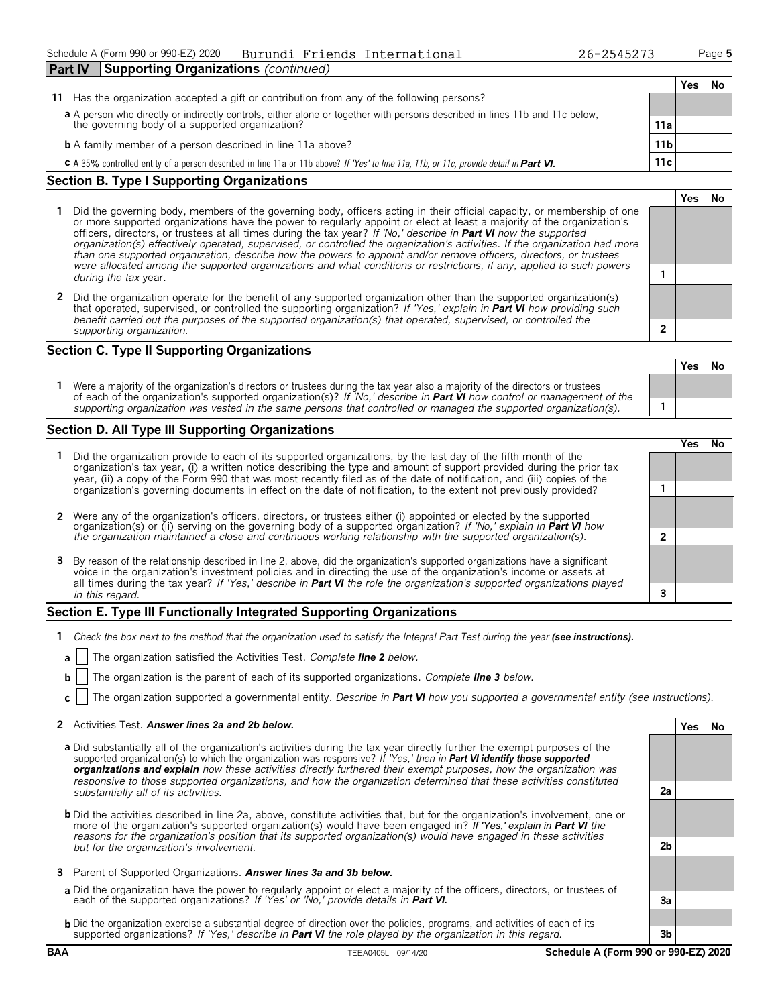**Yes No**

|                                                                                                                                                                                |                 | Yes | No |
|--------------------------------------------------------------------------------------------------------------------------------------------------------------------------------|-----------------|-----|----|
| 11 Has the organization accepted a gift or contribution from any of the following persons?                                                                                     |                 |     |    |
| a A person who directly or indirectly controls, either alone or together with persons described in lines 11b and 11c below,<br>the governing body of a supported organization? | 11a             |     |    |
| <b>b</b> A family member of a person described in line 11a above?                                                                                                              | 11 <sub>b</sub> |     |    |
| C A 35% controlled entity of a person described in line 11a or 11b above? If 'Yes' to line 11a, 11b, or 11c, provide detail in Part VI.                                        | 11c             |     |    |
|                                                                                                                                                                                |                 |     |    |

#### **Section B. Type I Supporting Organizations**

**Part IV Supporting Organizations** *(continued)*

- **1** Did the governing body, members of the governing body, officers acting in their official capacity, or membership of one or more supported organizations have the power to regularly appoint or elect at least a majority of the organization's officers, directors, or trustees at all times during the tax year? *If 'No,' describe in Part VI how the supported organization(s) effectively operated, supervised, or controlled the organization's activities. If the organization had more than one supported organization, describe how the powers to appoint and/or remove officers, directors, or trustees were allocated among the supported organizations and what conditions or restrictions, if any, applied to such powers* **1** *during the tax* year.
- **2** Did the organization operate for the benefit of any supported organization other than the supported organization(s) that operated, supervised, or controlled the supporting organization? *If 'Yes,' explain in Part VI how providing such benefit carried out the purposes of the supported organization(s) that operated, supervised, or controlled the supporting organization.* **2**

### **Section C. Type II Supporting Organizations**

**Yes No 1** Were a majority of the organization's directors or trustees during the tax year also a majority of the directors or trustees of each of the organization's supported organization(s)? *If 'No,' describe in Part VI how control or management of the supporting organization was vested in the same persons that controlled or managed the supported organization(s).* **1**

#### **Section D. All Type III Supporting Organizations**

|                                                                                                                                                                                                                                                                                                                                                                                       | res) |  |
|---------------------------------------------------------------------------------------------------------------------------------------------------------------------------------------------------------------------------------------------------------------------------------------------------------------------------------------------------------------------------------------|------|--|
| Did the organization provide to each of its supported organizations, by the last day of the fifth month of the<br>organization's tax year, (i) a written notice describing the type and amount of support provided during the prior tax<br>year, (ii) a copy of the Form 990 that was most recently filed as of the date of notification, and (iii) copies of the                     |      |  |
| organization's governing documents in effect on the date of notification, to the extent not previously provided?                                                                                                                                                                                                                                                                      |      |  |
| 2 Were any of the organization's officers, directors, or trustees either (i) appointed or elected by the supported organization(s) or (ii) serving on the governing body of a supported organization? If 'No,' explain in Part                                                                                                                                                        |      |  |
| the organization maintained a close and continuous working relationship with the supported organization(s).                                                                                                                                                                                                                                                                           |      |  |
| 3 By reason of the relationship described in line 2, above, did the organization's supported organizations have a significant<br>voice in the organization's investment policies and in directing the use of the organization's income or assets at<br>all times during the tax year? If 'Yes,' describe in <b>Part VI</b> the role the organization's supported organizations played |      |  |
| in this regard.                                                                                                                                                                                                                                                                                                                                                                       |      |  |
|                                                                                                                                                                                                                                                                                                                                                                                       |      |  |

#### **Section E. Type III Functionally Integrated Supporting Organizations**

- **1** *Check the box next to the method that the organization used to satisfy the Integral Part Test during the year (see instructions).* 
	- **a** The organization satisfied the Activities Test. *Complete line 2 below.*
	- **b** The organization is the parent of each of its supported organizations. *Complete line 3 below.*
	- **c** The organization supported a governmental entity. *Describe in Part VI how you supported a governmental entity (see instructions).*

#### **2** Activities Test. *Answer lines 2a and 2b below.* **Yes No**

- **a** Did substantially all of the organization's activities during the tax year directly further the exempt purposes of the supported organization(s) to which the organization was responsive? *If 'Yes,' then in Part VI identify those supported organizations and explain how these activities directly furthered their exempt purposes, how the organization was responsive to those supported organizations, and how the organization determined that these activities constituted substantially all of its activities.* **2a**
- **b** Did the activities described in line 2a, above, constitute activities that, but for the organization's involvement, one or more of the organization's supported organization(s) would have been engaged in? *If 'Yes,' explain in Part VI the reasons for the organization's position that its supported organization(s) would have engaged in these activities but for the organization's involvement.* **2b**
- **3** Parent of Supported Organizations. *Answer lines 3a and 3b below.*
- **a** Did the organization have the power to regularly appoint or elect a majority of the officers, directors, or trustees of each of the supported organizations? *If 'Yes' or 'No,' provide details in Part VI.* **3a**
- **b** Did the organization exercise a substantial degree of direction over the policies, programs, and activities of each of its supported organizations? *If 'Yes,' describe in Part VI the role played by the organization in this regard.* **3b**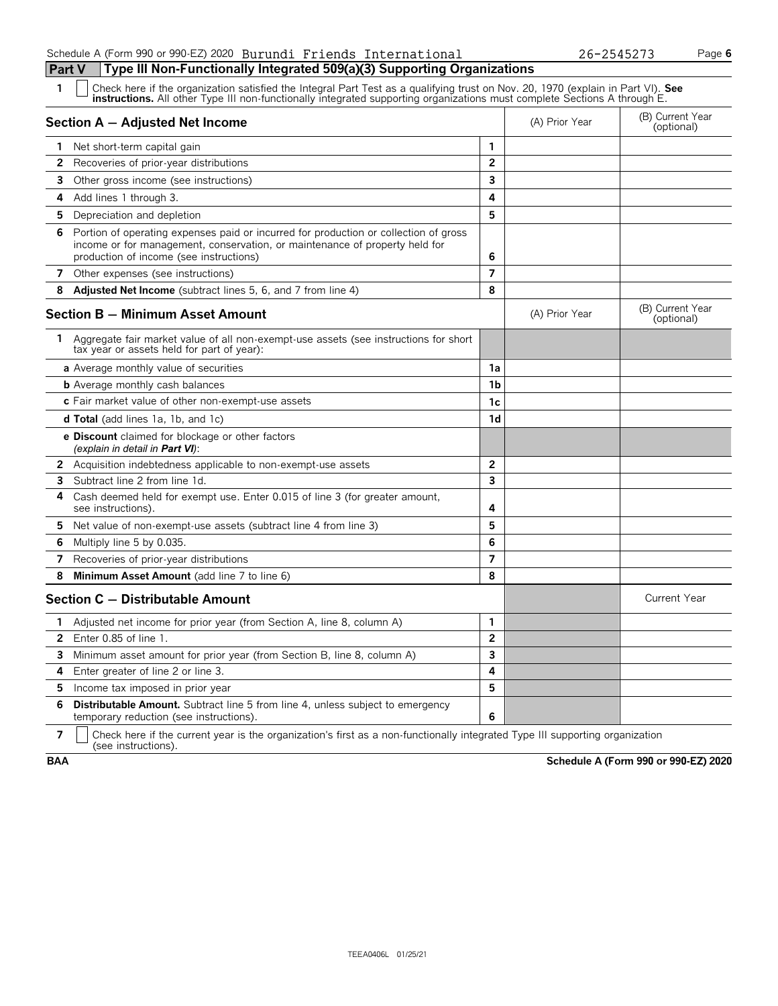#### Schedule A (Form 990 or 990-EZ) 2020 Page **6** Burundi Friends International 26-2545273**Part V Type III Non-Functionally Integrated 509(a)(3) Supporting Organizations**

| 1            | Check here if the organization satisfied the Integral Part Test as a qualifying trust on Nov. 20, 1970 (explain in Part VI). See<br>instructions. All other Type III non-functionally integrated supporting organizations must complete Sections A through E. |                |                |                                |
|--------------|---------------------------------------------------------------------------------------------------------------------------------------------------------------------------------------------------------------------------------------------------------------|----------------|----------------|--------------------------------|
|              | Section A - Adjusted Net Income                                                                                                                                                                                                                               |                | (A) Prior Year | (B) Current Year<br>(optional) |
|              | 1 Net short-term capital gain                                                                                                                                                                                                                                 | 1              |                |                                |
| 2            | Recoveries of prior-year distributions                                                                                                                                                                                                                        | $\overline{2}$ |                |                                |
| 3            | Other gross income (see instructions)                                                                                                                                                                                                                         | 3              |                |                                |
| 4            | Add lines 1 through 3.                                                                                                                                                                                                                                        | 4              |                |                                |
| 5.           | Depreciation and depletion                                                                                                                                                                                                                                    | 5              |                |                                |
| 6            | Portion of operating expenses paid or incurred for production or collection of gross<br>income or for management, conservation, or maintenance of property held for<br>production of income (see instructions)                                                | 6              |                |                                |
|              | 7 Other expenses (see instructions)                                                                                                                                                                                                                           | $\overline{7}$ |                |                                |
| 8            | Adjusted Net Income (subtract lines 5, 6, and 7 from line 4)                                                                                                                                                                                                  | 8              |                |                                |
|              | <b>Section B - Minimum Asset Amount</b>                                                                                                                                                                                                                       |                | (A) Prior Year | (B) Current Year<br>(optional) |
|              | 1 Aggregate fair market value of all non-exempt-use assets (see instructions for short<br>tax year or assets held for part of year):                                                                                                                          |                |                |                                |
|              | a Average monthly value of securities                                                                                                                                                                                                                         | 1a             |                |                                |
|              | <b>b</b> Average monthly cash balances                                                                                                                                                                                                                        | 1b             |                |                                |
|              | c Fair market value of other non-exempt-use assets                                                                                                                                                                                                            | 1c             |                |                                |
|              | <b>d Total</b> (add lines 1a, 1b, and 1c)                                                                                                                                                                                                                     | 1d             |                |                                |
|              | e Discount claimed for blockage or other factors<br>(explain in detail in Part VI):                                                                                                                                                                           |                |                |                                |
| $\mathbf{2}$ | Acquisition indebtedness applicable to non-exempt-use assets                                                                                                                                                                                                  | $\overline{2}$ |                |                                |
| 3            | Subtract line 2 from line 1d.                                                                                                                                                                                                                                 | 3              |                |                                |
| 4            | Cash deemed held for exempt use. Enter 0.015 of line 3 (for greater amount,<br>see instructions).                                                                                                                                                             | 4              |                |                                |
| 5.           | Net value of non-exempt-use assets (subtract line 4 from line 3)                                                                                                                                                                                              | 5              |                |                                |
| 6            | Multiply line 5 by 0.035.                                                                                                                                                                                                                                     | 6              |                |                                |
| 7            | Recoveries of prior-year distributions                                                                                                                                                                                                                        | $\overline{7}$ |                |                                |
| 8            | Minimum Asset Amount (add line 7 to line 6)                                                                                                                                                                                                                   | 8              |                |                                |
|              | Section C - Distributable Amount                                                                                                                                                                                                                              |                |                | <b>Current Year</b>            |
| 1.           | Adjusted net income for prior year (from Section A, line 8, column A)                                                                                                                                                                                         | 1              |                |                                |
| 2            | Enter $0.85$ of line $1$ .                                                                                                                                                                                                                                    | $\overline{2}$ |                |                                |
| 3            | Minimum asset amount for prior year (from Section B, line 8, column A)                                                                                                                                                                                        | 3              |                |                                |
| 4            | Enter greater of line 2 or line 3.                                                                                                                                                                                                                            | 4              |                |                                |
| 5            | Income tax imposed in prior year                                                                                                                                                                                                                              | 5              |                |                                |
| 6            | <b>Distributable Amount.</b> Subtract line 5 from line 4, unless subject to emergency<br>temporary reduction (see instructions).                                                                                                                              | 6              |                |                                |

**7**  $\mid$  Check here if the current year is the organization's first as a non-functionally integrated Type III supporting organization (see instructions).

**BAA Schedule A (Form 990 or 990-EZ) 2020**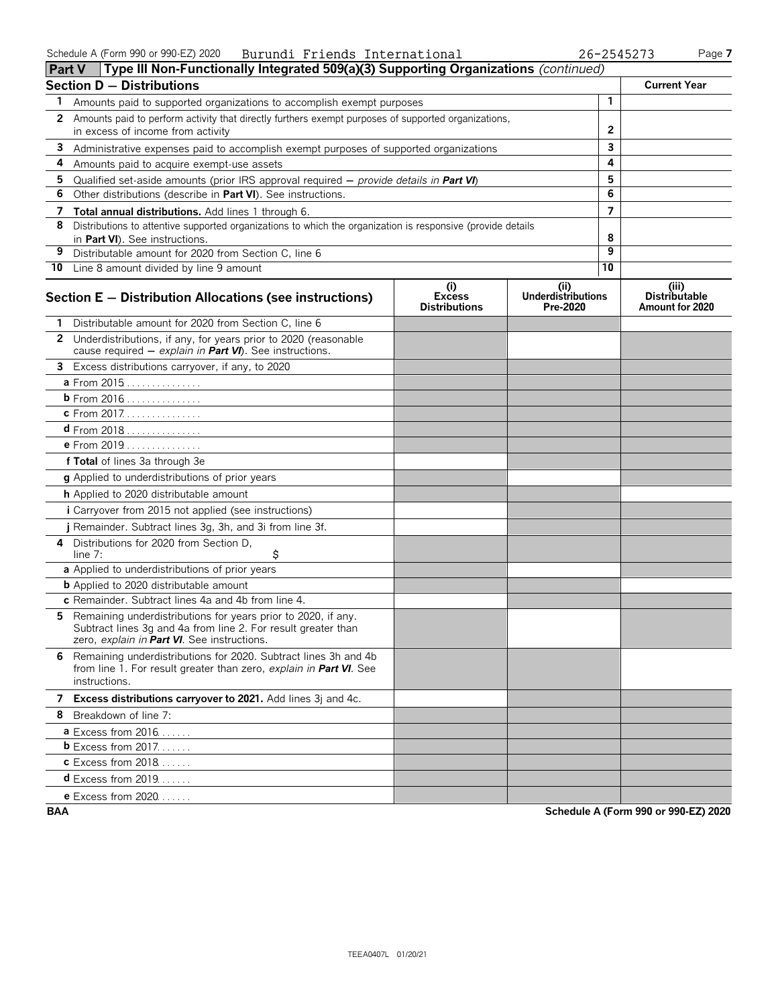| <b>Part V</b> | Type III Non-Functionally Integrated 509(a)(3) Supporting Organizations (continued)                                                                                           |                                                            |                                               |    |                                                  |
|---------------|-------------------------------------------------------------------------------------------------------------------------------------------------------------------------------|------------------------------------------------------------|-----------------------------------------------|----|--------------------------------------------------|
|               | Section D - Distributions                                                                                                                                                     |                                                            |                                               |    | <b>Current Year</b>                              |
| 1             | Amounts paid to supported organizations to accomplish exempt purposes                                                                                                         |                                                            |                                               | 1  |                                                  |
| 2             | Amounts paid to perform activity that directly furthers exempt purposes of supported organizations,                                                                           |                                                            |                                               |    |                                                  |
|               | in excess of income from activity                                                                                                                                             |                                                            |                                               | 2  |                                                  |
| 3             | Administrative expenses paid to accomplish exempt purposes of supported organizations                                                                                         |                                                            |                                               | 3  |                                                  |
| 4             | Amounts paid to acquire exempt-use assets                                                                                                                                     |                                                            |                                               | 4  |                                                  |
| 5             | Qualified set-aside amounts (prior IRS approval required $-$ provide details in <b>Part VI</b> )                                                                              |                                                            |                                               | 5  |                                                  |
| 6             | Other distributions (describe in Part VI). See instructions.                                                                                                                  |                                                            |                                               | 6  |                                                  |
|               | 7 Total annual distributions. Add lines 1 through 6.                                                                                                                          |                                                            |                                               | 7  |                                                  |
| 8             | Distributions to attentive supported organizations to which the organization is responsive (provide details<br>in Part VI). See instructions.                                 |                                                            |                                               | 8  |                                                  |
| 9             | Distributable amount for 2020 from Section C, line 6                                                                                                                          |                                                            |                                               | 9  |                                                  |
|               | 10 Line 8 amount divided by line 9 amount                                                                                                                                     |                                                            |                                               | 10 |                                                  |
|               | Section E - Distribution Allocations (see instructions)                                                                                                                       | $\left( i\right)$<br><b>Excess</b><br><b>Distributions</b> | (ii)<br><b>Underdistributions</b><br>Pre-2020 |    | (iii)<br><b>Distributable</b><br>Amount for 2020 |
|               | Distributable amount for 2020 from Section C, line 6                                                                                                                          |                                                            |                                               |    |                                                  |
|               | 2 Underdistributions, if any, for years prior to 2020 (reasonable<br>cause required - explain in Part VI). See instructions.                                                  |                                                            |                                               |    |                                                  |
| 3             | Excess distributions carryover, if any, to 2020                                                                                                                               |                                                            |                                               |    |                                                  |
|               | a From 2015                                                                                                                                                                   |                                                            |                                               |    |                                                  |
|               | <b>b</b> From 2016                                                                                                                                                            |                                                            |                                               |    |                                                  |
|               | c From 2017.                                                                                                                                                                  |                                                            |                                               |    |                                                  |
|               | $d$ From 2018                                                                                                                                                                 |                                                            |                                               |    |                                                  |
|               | e From 2019                                                                                                                                                                   |                                                            |                                               |    |                                                  |
|               | f Total of lines 3a through 3e                                                                                                                                                |                                                            |                                               |    |                                                  |
|               | g Applied to underdistributions of prior years                                                                                                                                |                                                            |                                               |    |                                                  |
|               | h Applied to 2020 distributable amount                                                                                                                                        |                                                            |                                               |    |                                                  |
|               | <i>i</i> Carryover from 2015 not applied (see instructions)                                                                                                                   |                                                            |                                               |    |                                                  |
|               | j Remainder. Subtract lines 3g, 3h, and 3i from line 3f.                                                                                                                      |                                                            |                                               |    |                                                  |
| 4             | Distributions for 2020 from Section D,<br>\$<br>line 7:                                                                                                                       |                                                            |                                               |    |                                                  |
|               | a Applied to underdistributions of prior years                                                                                                                                |                                                            |                                               |    |                                                  |
|               | <b>b</b> Applied to 2020 distributable amount                                                                                                                                 |                                                            |                                               |    |                                                  |
|               | c Remainder. Subtract lines 4a and 4b from line 4.                                                                                                                            |                                                            |                                               |    |                                                  |
| 5.            | Remaining underdistributions for years prior to 2020, if any.<br>Subtract lines 3g and 4a from line 2. For result greater than<br>zero, explain in Part VI. See instructions. |                                                            |                                               |    |                                                  |
|               | 6 Remaining underdistributions for 2020. Subtract lines 3h and 4b<br>from line 1. For result greater than zero, explain in Part VI. See<br>instructions.                      |                                                            |                                               |    |                                                  |
|               | 7 Excess distributions carryover to 2021. Add lines 3j and 4c.                                                                                                                |                                                            |                                               |    |                                                  |
|               | 8 Breakdown of line 7:                                                                                                                                                        |                                                            |                                               |    |                                                  |
|               | a Excess from 2016                                                                                                                                                            |                                                            |                                               |    |                                                  |
|               | <b>b</b> Excess from $2017$                                                                                                                                                   |                                                            |                                               |    |                                                  |
|               | <b>c</b> Excess from 2018                                                                                                                                                     |                                                            |                                               |    |                                                  |
|               | <b>d</b> Excess from 2019                                                                                                                                                     |                                                            |                                               |    |                                                  |
|               | <b>e</b> Excess from 2020                                                                                                                                                     |                                                            |                                               |    |                                                  |

**BAA Schedule A (Form 990 or 990-EZ) 2020**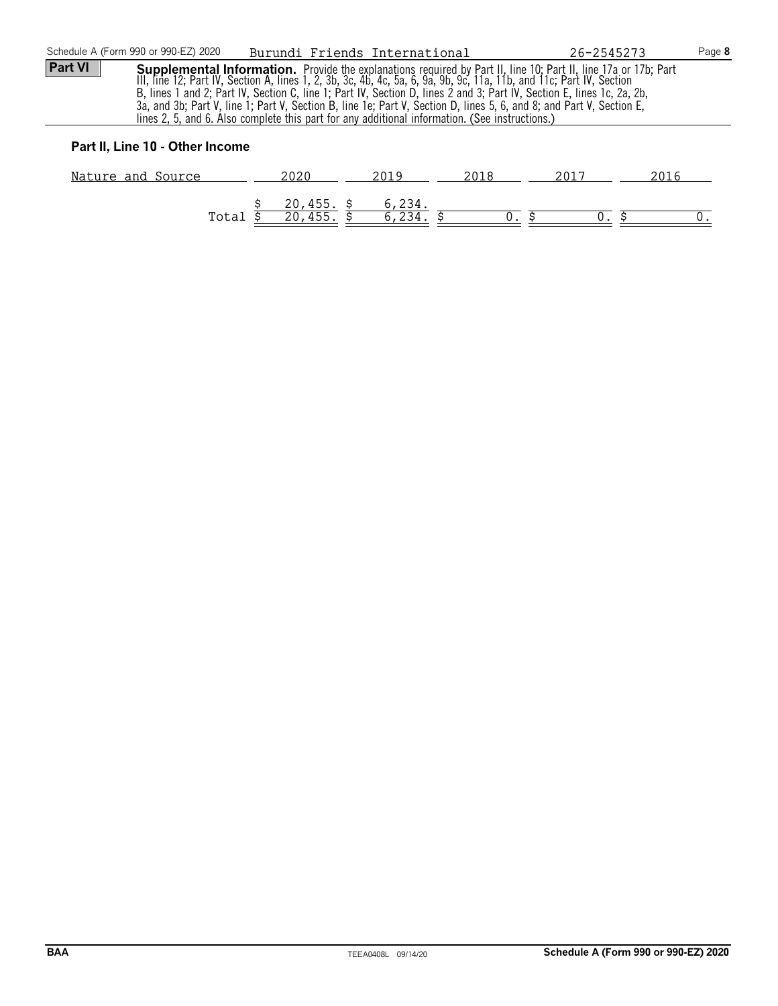| Schedule A (Form 990 or 990-EZ) 2020                                                                                                                                                                                                                                                                                                                                                                                                                                                                                                                                                                          | Burundi Friends International                                       | Page 8<br>26-2545273 |  |  |  |
|---------------------------------------------------------------------------------------------------------------------------------------------------------------------------------------------------------------------------------------------------------------------------------------------------------------------------------------------------------------------------------------------------------------------------------------------------------------------------------------------------------------------------------------------------------------------------------------------------------------|---------------------------------------------------------------------|----------------------|--|--|--|
| <b>Part VI</b><br>Supplemental Information. Provide the explanations required by Part II, line 10; Part II, line 17a or 17b; Part<br>III, line 12; Part IV, Section A, lines 1, 2, 3b, 3c, 4b, 4c, 5a, 6, 9a, 9b, 9c, 11a, 11b, and 11c; Part IV, Section<br>B, lines 1 and 2; Part IV, Section C, line 1; Part IV, Section D, lines 2 and 3; Part IV, Section E, lines 1c, 2a, 2b,<br>3a, and 3b; Part V, line 1; Part V, Section B, line 1e; Part V, Section D, lines 5, 6, and 8; and Part V, Section E,<br>lines 2, 5, and 6. Also complete this part for any additional information. (See instructions.) |                                                                     |                      |  |  |  |
| Part II, Line 10 - Other Income                                                                                                                                                                                                                                                                                                                                                                                                                                                                                                                                                                               |                                                                     |                      |  |  |  |
| Nature and Source                                                                                                                                                                                                                                                                                                                                                                                                                                                                                                                                                                                             | 2020<br>2019<br>2018                                                | 2017<br>2016         |  |  |  |
|                                                                                                                                                                                                                                                                                                                                                                                                                                                                                                                                                                                                               | 6,234.<br>$20,455.$ \$<br>$\overline{20, 455}$ .<br>6,234.<br>Total |                      |  |  |  |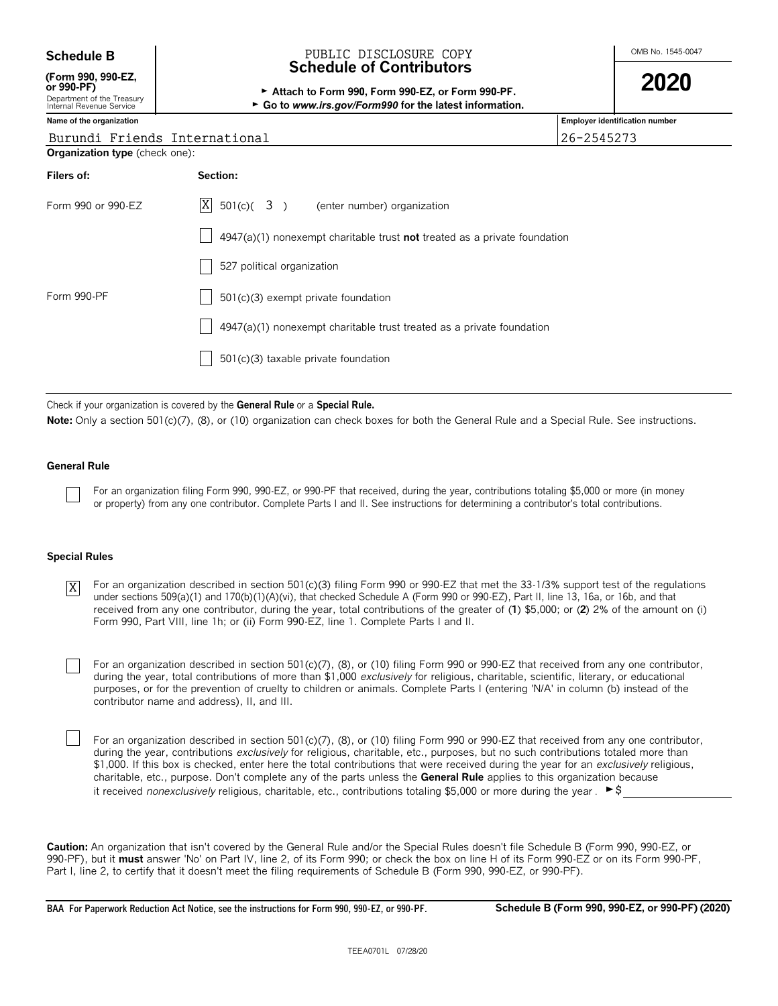| <b>Schedule B</b>                                                                          | PUBLIC DISCLOSURE COPY                                                                                                                         |            | OMB No. 1545-0047              |
|--------------------------------------------------------------------------------------------|------------------------------------------------------------------------------------------------------------------------------------------------|------------|--------------------------------|
| (Form 990, 990-EZ,<br>or 990-PF)<br>Department of the Treasury<br>Internal Revenue Service | <b>Schedule of Contributors</b><br>Attach to Form 990, Form 990-EZ, or Form 990-PF.<br>► Go to www.irs.gov/Form990 for the latest information. | 2020       |                                |
| Name of the organization                                                                   |                                                                                                                                                |            | Employer identification number |
| Burundi Friends International                                                              |                                                                                                                                                | 26-2545273 |                                |
| <b>Organization type</b> (check one):                                                      |                                                                                                                                                |            |                                |
| Filers of:                                                                                 | Section:                                                                                                                                       |            |                                |
| Form 990 or 990-EZ                                                                         | X<br>$501(c)$ $(3)$ (enter number) organization                                                                                                |            |                                |
|                                                                                            | $4947(a)(1)$ nonexempt charitable trust <b>not</b> treated as a private foundation                                                             |            |                                |
|                                                                                            | 527 political organization                                                                                                                     |            |                                |
| Form 990-PF                                                                                | 501(c)(3) exempt private foundation                                                                                                            |            |                                |
|                                                                                            | 4947(a)(1) nonexempt charitable trust treated as a private foundation                                                                          |            |                                |
|                                                                                            | 501(c)(3) taxable private foundation                                                                                                           |            |                                |

Check if your organization is covered by the **General Rule** or a **Special Rule.**

Note: Only a section 501(c)(7), (8), or (10) organization can check boxes for both the General Rule and a Special Rule. See instructions.

#### **General Rule**

For an organization filing Form 990, 990-EZ, or 990-PF that received, during the year, contributions totaling \$5,000 or more (in money or property) from any one contributor. Complete Parts I and II. See instructions for determining a contributor's total contributions.

#### **Special Rules**

For an organization described in section 501(c)(3) filing Form 990 or 990-EZ that met the 33-1/3% support test of the regulations under sections 509(a)(1) and 170(b)(1)(A)(vi), that checked Schedule A (Form 990 or 990-EZ), Part II, line 13, 16a, or 16b, and that received from any one contributor, during the year, total contributions of the greater of (**1**) \$5,000; or (**2**) 2% of the amount on (i) Form 990, Part VIII, line 1h; or (ii) Form 990-EZ, line 1. Complete Parts I and II. X

For an organization described in section 501(c)(7), (8), or (10) filing Form 990 or 990-EZ that received from any one contributor, during the year, total contributions of more than \$1,000 *exclusively* for religious, charitable, scientific, literary, or educational purposes, or for the prevention of cruelty to children or animals. Complete Parts I (entering 'N/A' in column (b) instead of the contributor name and address), II, and III.

For an organization described in section 501(c)(7), (8), or (10) filing Form 990 or 990-EZ that received from any one contributor, during the year, contributions *exclusively* for religious, charitable, etc., purposes, but no such contributions totaled more than \$1,000. If this box is checked, enter here the total contributions that were received during the year for an *exclusively* religious, charitable, etc., purpose. Don't complete any of the parts unless the **General Rule** applies to this organization because it received *nonexclusively* religious, charitable, etc., contributions totaling \$5,000 or more during the year .  $\blacktriangleright$ \$

**Caution:** An organization that isn't covered by the General Rule and/or the Special Rules doesn't file Schedule B (Form 990, 990-EZ, or 990-PF), but it **must** answer 'No' on Part IV, line 2, of its Form 990; or check the box on line H of its Form 990-EZ or on its Form 990-PF, Part I, line 2, to certify that it doesn't meet the filing requirements of Schedule B (Form 990, 990-EZ, or 990-PF).

**BAA For Paperwork Reduction Act Notice, see the instructions for Form 990, 990-EZ, or 990-PF. Schedule B (Form 990, 990-EZ, or 990-PF) (2020)**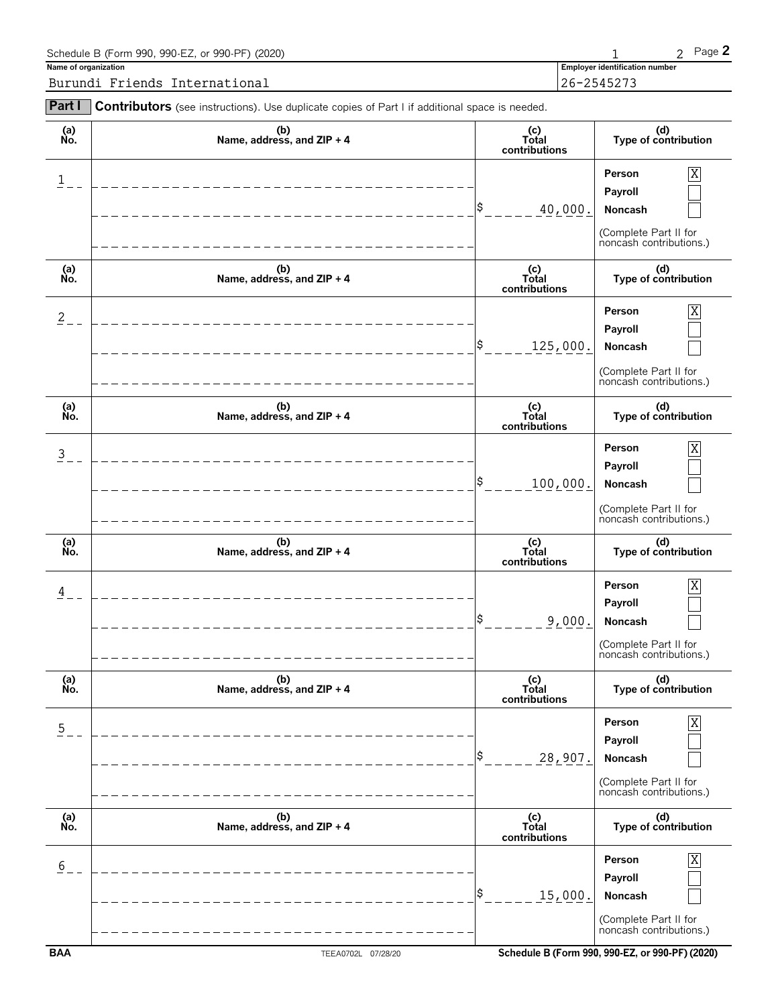| Schedule B (Form 990, 990-EZ, or 990-PF) (2020) |                                       | Page 2 |
|-------------------------------------------------|---------------------------------------|--------|
| Name of organization                            | <b>Employer identification number</b> |        |
| Burundi Friends International                   | 26-2545273                            |        |
|                                                 |                                       |        |

| Part I         | Contributors (see instructions). Use duplicate copies of Part I if additional space is needed. |                                                               |                                                                                                           |
|----------------|------------------------------------------------------------------------------------------------|---------------------------------------------------------------|-----------------------------------------------------------------------------------------------------------|
| (a)<br>No.     | (b)<br>Name, address, and ZIP + 4                                                              | (c)<br>Total<br>contributions                                 | (d)<br>Type of contribution                                                                               |
| $\mathbf{1}$   |                                                                                                | \$<br>40,000.                                                 | X<br>Person<br>Payroll<br>Noncash<br>(Complete Part II for<br>noncash contributions.)                     |
| (a)<br>No.     | (b)<br>Name, address, and ZIP + 4                                                              | $\begin{matrix}\n(c) \\ Total\n\end{matrix}$<br>contributions | (d)<br>Type of contribution                                                                               |
| $\overline{c}$ |                                                                                                | S<br>125,000.                                                 | $\overline{\text{X}}$<br>Person<br>Payroll<br>Noncash<br>(Complete Part II for<br>noncash contributions.) |
| (a)<br>No.     | (b)<br>Name, address, and ZIP + 4                                                              | (c)<br>Total<br>contributions                                 | (d)<br>Type of contribution                                                                               |
| $\overline{3}$ |                                                                                                | S<br>100,000.                                                 | $\overline{X}$<br>Person<br>Payroll<br>Noncash<br>(Complete Part II for<br>noncash contributions.)        |
| (a)<br>No.     | (b)<br>Name, address, and ZIP + 4                                                              | (c)<br>Total<br>contributions                                 | (d)<br>Type of contribution                                                                               |
| 4              |                                                                                                | S<br>9,000.                                                   | $\overline{X}$<br>Person<br>Payroll<br>Noncash<br>(Complete Part II for<br>noncash contributions.)        |
| (a)<br>No.     | (b)<br>Name, address, and ZIP + 4                                                              | (c)<br>Total<br>contributions                                 | (d)<br>Type of contribution                                                                               |
| $\overline{5}$ |                                                                                                | S<br>28,907.                                                  | Person<br>Χ<br>Payroll<br>Noncash<br>(Complete Part II for<br>noncash contributions.)                     |
| (a)<br>No.     | (b)<br>Name, address, and ZIP + 4                                                              | (c)<br>Total<br>contributions                                 | (d)<br>Type of contribution                                                                               |
| 6              |                                                                                                | S<br>15,000.                                                  | Person<br>Χ<br>Payroll<br>Noncash<br>(Complete Part II for<br>noncash contributions.)                     |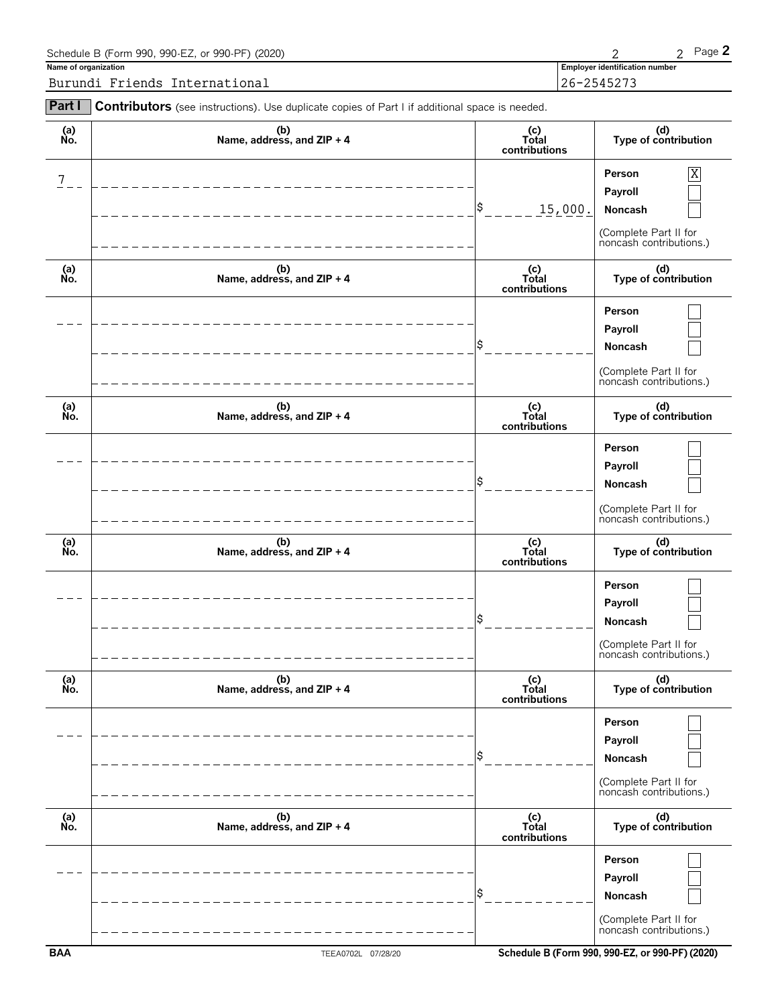| Schedule B (Form 990, 990-EZ, or 990-PF) (2020)                                                              |                                       | Page 2 |
|--------------------------------------------------------------------------------------------------------------|---------------------------------------|--------|
| Name of organization                                                                                         | <b>Employer identification number</b> |        |
| Burundi Friends International                                                                                | $126 - 2545273$                       |        |
| <b>Part I</b> Contributors (see instructions). Use duplicate copies of Part I if additional space is needed. |                                       |        |

| (b)<br>Name, address, and ZIP + 4 | (c)<br>Total<br>contributions | (d)<br>Type of contribution                                                                        |
|-----------------------------------|-------------------------------|----------------------------------------------------------------------------------------------------|
|                                   | \$<br>15,000.                 | $\overline{X}$<br>Person<br>Payroll<br>Noncash<br>(Complete Part II for<br>noncash contributions.) |
| (b)<br>Name, address, and ZIP + 4 | (c)<br>Total<br>contributions | (d)<br>Type of contribution                                                                        |
|                                   | \$                            | Person<br>Payroll<br>Noncash<br>(Complete Part II for<br>noncash contributions.)                   |
| (b)<br>Name, address, and ZIP + 4 | (c)<br>Total<br>contributions | (d)<br>Type of contribution                                                                        |
|                                   | \$                            | Person<br>Payroll<br>Noncash<br>(Complete Part II for<br>noncash contributions.)                   |
| (b)<br>Name, address, and ZIP + 4 | (c)<br>Total<br>contributions | (d)<br>Type of contribution                                                                        |
|                                   | \$                            | Person<br>Payroll<br>Noncash<br>(Complete Part II for<br>noncash contributions.)                   |
| (b)<br>Name, address, and ZIP + 4 | (c)<br>Total<br>contributions | (d)<br>Type of contribution                                                                        |
|                                   | \$                            | Person<br>Payroll<br>Noncash<br>(Complete Part II for<br>noncash contributions.)                   |
| (b)<br>Name, address, and ZIP + 4 | (c)<br>Total<br>contributions | (d)<br>Type of contribution                                                                        |
|                                   |                               | Person<br>Payroll                                                                                  |
|                                   |                               |                                                                                                    |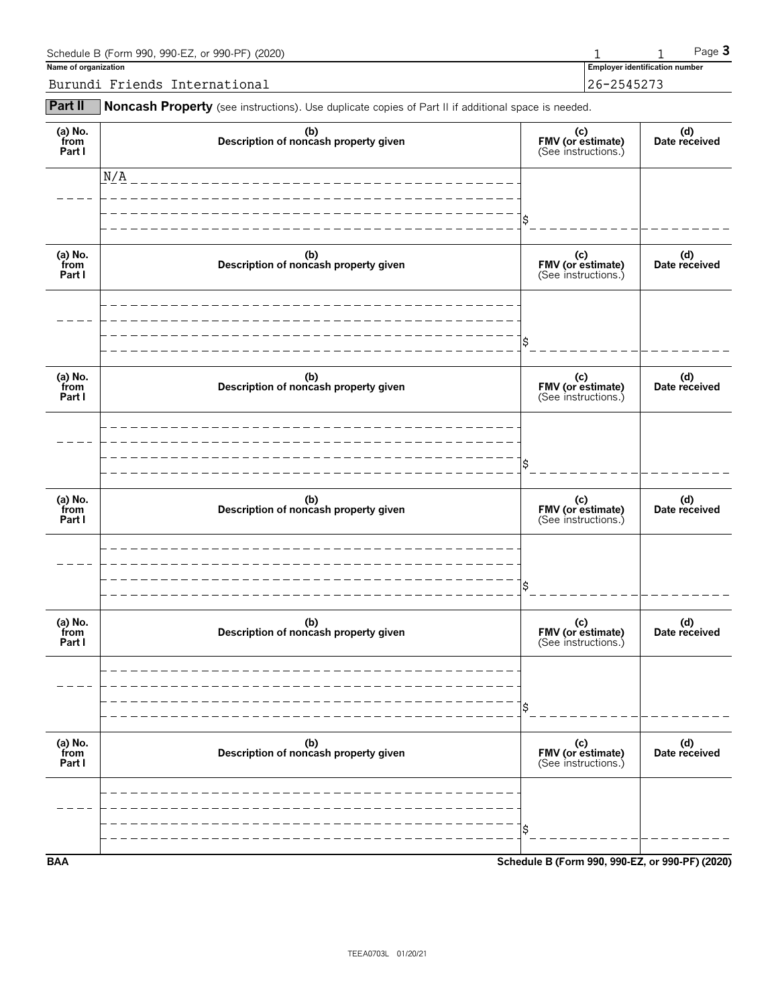| Schedule B (Form 990, 990-EZ, or 990-PF) (2020) |                                       | Page $\mathbf 3$ |
|-------------------------------------------------|---------------------------------------|------------------|
| Name of organization                            | <b>Employer identification number</b> |                  |
| Burundi Friends International                   | 26-2545273                            |                  |

**Part II** Noncash Property (see instructions). Use duplicate copies of Part II if additional space is needed.

| (a) No.<br>from<br>Part I | (b)<br>Description of noncash property given | (c)<br>FMV (or estimate)<br>(See instructions.) | (d)<br>Date received |
|---------------------------|----------------------------------------------|-------------------------------------------------|----------------------|
|                           | N/A                                          |                                                 |                      |
|                           |                                              | \$                                              |                      |
| (a) No.<br>from<br>Part I | (b)<br>Description of noncash property given | (c)<br>FMV (or estimate)<br>(See instructions.) | (d)<br>Date received |
|                           |                                              |                                                 |                      |
|                           |                                              | \$                                              |                      |
| (a) No.<br>from<br>Part I | (b)<br>Description of noncash property given | (c)<br>FMV (or estimate)<br>(See instructions.) | (d)<br>Date received |
|                           |                                              |                                                 |                      |
|                           |                                              | \$                                              |                      |
| (a) No.<br>from<br>Part I | (b)<br>Description of noncash property given | (c)<br>FMV (or estimate)<br>(See instructions.) | (d)<br>Date received |
|                           |                                              |                                                 |                      |
|                           |                                              | \$                                              |                      |
| (a) No.<br>from<br>Part I | (b)<br>Description of noncash property given | (c)<br>FMV (or estimate)<br>(See instructions.) | (d)<br>Date received |
|                           |                                              |                                                 |                      |
|                           |                                              | \$                                              |                      |
| (a) No.<br>from<br>Part I | (b)<br>Description of noncash property given | (c)<br>FMV (or estimate)<br>(See instructions.) | (d)<br>Date received |
|                           |                                              |                                                 |                      |
|                           |                                              | \$                                              |                      |
| <b>BAA</b>                |                                              | Schedule B (Form 990, 990-EZ, or 990-PF) (2020) |                      |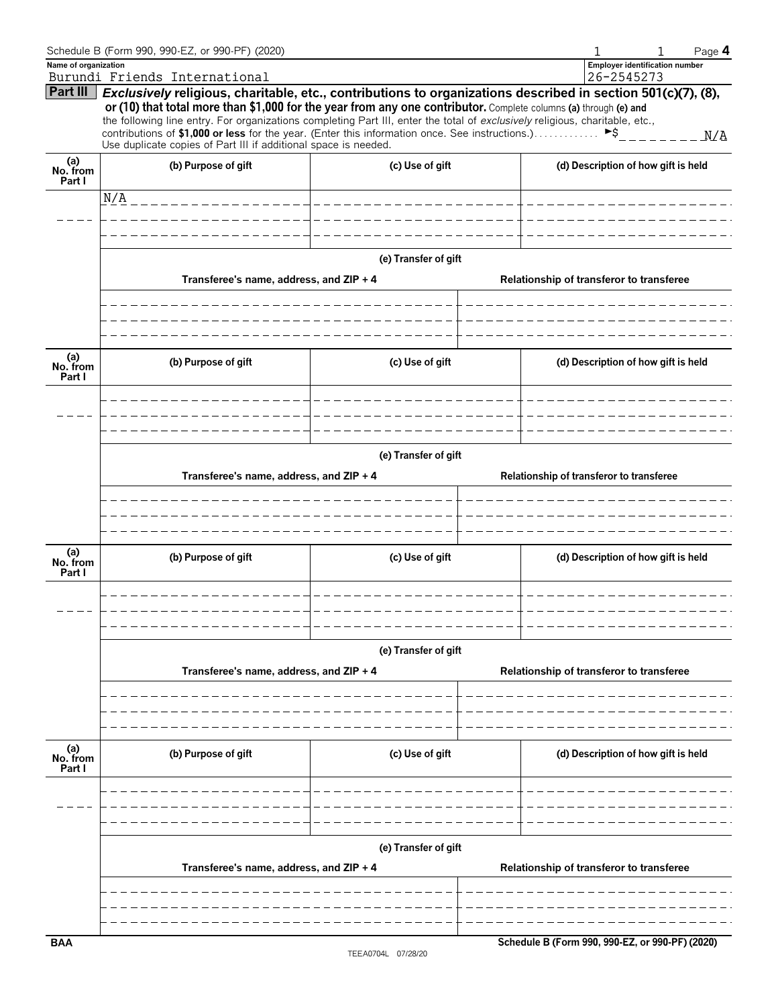|                           | Schedule B (Form 990, 990-EZ, or 990-PF) (2020)                                                                                                                                                                                                  |                       | Page 4                                                                                                       |  |  |  |
|---------------------------|--------------------------------------------------------------------------------------------------------------------------------------------------------------------------------------------------------------------------------------------------|-----------------------|--------------------------------------------------------------------------------------------------------------|--|--|--|
| Name of organization      | Burundi Friends International                                                                                                                                                                                                                    |                       | <b>Employer identification number</b><br>26-2545273                                                          |  |  |  |
| Part III                  |                                                                                                                                                                                                                                                  |                       | Exclusively religious, charitable, etc., contributions to organizations described in section 501(c)(7), (8), |  |  |  |
|                           | or (10) that total more than \$1,000 for the year from any one contributor. Complete columns (a) through (e) and<br>the following line entry. For organizations completing Part III, enter the total of exclusively religious, charitable, etc., |                       |                                                                                                              |  |  |  |
|                           | contributions of \$1,000 or less for the year. (Enter this information once. See instructions.)<br>Use duplicate copies of Part III if additional space is needed.                                                                               |                       | $\blacktriangleright$ \$<br>M/A                                                                              |  |  |  |
| (a)<br>No. from<br>Part I | (b) Purpose of gift                                                                                                                                                                                                                              | (c) Use of gift       | (d) Description of how gift is held                                                                          |  |  |  |
|                           | N/A<br>_________________                                                                                                                                                                                                                         | _____________________ |                                                                                                              |  |  |  |
|                           |                                                                                                                                                                                                                                                  |                       |                                                                                                              |  |  |  |
|                           |                                                                                                                                                                                                                                                  |                       |                                                                                                              |  |  |  |
|                           |                                                                                                                                                                                                                                                  | (e) Transfer of gift  |                                                                                                              |  |  |  |
|                           | Transferee's name, address, and ZIP + 4                                                                                                                                                                                                          |                       | Relationship of transferor to transferee                                                                     |  |  |  |
|                           |                                                                                                                                                                                                                                                  |                       |                                                                                                              |  |  |  |
|                           |                                                                                                                                                                                                                                                  |                       |                                                                                                              |  |  |  |
|                           |                                                                                                                                                                                                                                                  |                       |                                                                                                              |  |  |  |
| (a)<br>No. from<br>Part I | (b) Purpose of gift                                                                                                                                                                                                                              | (c) Use of gift       | (d) Description of how gift is held                                                                          |  |  |  |
|                           |                                                                                                                                                                                                                                                  |                       |                                                                                                              |  |  |  |
|                           |                                                                                                                                                                                                                                                  |                       |                                                                                                              |  |  |  |
|                           | (e) Transfer of gift                                                                                                                                                                                                                             |                       |                                                                                                              |  |  |  |
|                           | Transferee's name, address, and ZIP + 4                                                                                                                                                                                                          |                       | Relationship of transferor to transferee                                                                     |  |  |  |
|                           |                                                                                                                                                                                                                                                  |                       |                                                                                                              |  |  |  |
|                           |                                                                                                                                                                                                                                                  |                       |                                                                                                              |  |  |  |
| (a)<br>No. from<br>Part I | (b) Purpose of gift                                                                                                                                                                                                                              | (c) Use of gift       | (d) Description of how gift is held                                                                          |  |  |  |
|                           |                                                                                                                                                                                                                                                  |                       |                                                                                                              |  |  |  |
|                           |                                                                                                                                                                                                                                                  |                       |                                                                                                              |  |  |  |
|                           |                                                                                                                                                                                                                                                  | (e) Transfer of gift  |                                                                                                              |  |  |  |
|                           | Transferee's name, address, and ZIP + 4                                                                                                                                                                                                          |                       | Relationship of transferor to transferee                                                                     |  |  |  |
|                           |                                                                                                                                                                                                                                                  |                       |                                                                                                              |  |  |  |
|                           |                                                                                                                                                                                                                                                  |                       |                                                                                                              |  |  |  |
|                           |                                                                                                                                                                                                                                                  |                       |                                                                                                              |  |  |  |
| (a)<br>No. from<br>Part I | (b) Purpose of gift                                                                                                                                                                                                                              | (c) Use of gift       | (d) Description of how gift is held                                                                          |  |  |  |
|                           |                                                                                                                                                                                                                                                  |                       |                                                                                                              |  |  |  |
|                           |                                                                                                                                                                                                                                                  |                       |                                                                                                              |  |  |  |
|                           |                                                                                                                                                                                                                                                  |                       |                                                                                                              |  |  |  |
|                           |                                                                                                                                                                                                                                                  | (e) Transfer of gift  |                                                                                                              |  |  |  |
|                           | Transferee's name, address, and ZIP + 4                                                                                                                                                                                                          |                       | Relationship of transferor to transferee                                                                     |  |  |  |
|                           |                                                                                                                                                                                                                                                  |                       |                                                                                                              |  |  |  |
|                           |                                                                                                                                                                                                                                                  |                       |                                                                                                              |  |  |  |
| <b>BAA</b>                |                                                                                                                                                                                                                                                  |                       | Schedule B (Form 990, 990-EZ, or 990-PF) (2020)                                                              |  |  |  |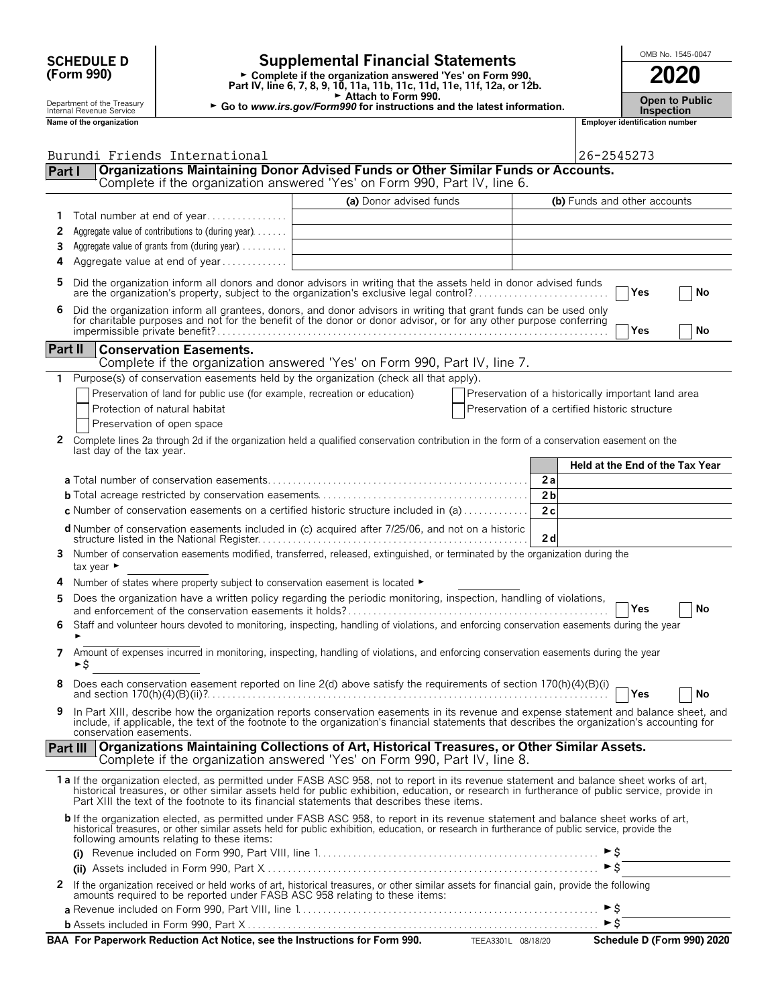| <b>SCHEDULE D</b> |  |
|-------------------|--|
| (Form 990)        |  |

# **SCHEDULE D Supplemental Financial Statements CHEDULE D COOL**

**Part IV, line 6, 7, 8, 9, 10, 11a, 11b, 11c, 11d, 11e, 11f, 12a, or 12b.**<br>
Part IV, line 6, 7, 8, 9, 10, 11a, 11b, 11c, 11d, 11e, 11f, 12a, or 12b.

Attach to Form 990.

Department of the Treasury **Department of the Treasury <b>Department** of the Treasury **Department of the Treasury <b>Inspection**<br>Inspection **Inspection**<br>**Name of the organization Inspection** 

**Kamployer identification number** 

| Part I          | Burundi Friends International<br>Organizations Maintaining Donor Advised Funds or Other Similar Funds or Accounts.<br>Complete if the organization answered 'Yes' on Form 990, Part IV, line 6.                                                                                                                                                                                        |                         |                                                | 26-2545273                                         |
|-----------------|----------------------------------------------------------------------------------------------------------------------------------------------------------------------------------------------------------------------------------------------------------------------------------------------------------------------------------------------------------------------------------------|-------------------------|------------------------------------------------|----------------------------------------------------|
|                 |                                                                                                                                                                                                                                                                                                                                                                                        | (a) Donor advised funds |                                                | (b) Funds and other accounts                       |
|                 | Total number at end of year                                                                                                                                                                                                                                                                                                                                                            |                         |                                                |                                                    |
| 2               | Aggregate value of contributions to (during year)                                                                                                                                                                                                                                                                                                                                      |                         |                                                |                                                    |
| 3               | Aggregate value of grants from (during year)                                                                                                                                                                                                                                                                                                                                           |                         |                                                |                                                    |
| 4               | Aggregate value at end of year                                                                                                                                                                                                                                                                                                                                                         |                         |                                                |                                                    |
| 5               | Did the organization inform all donors and donor advisors in writing that the assets held in donor advised funds<br>are the organization's property, subject to the organization's exclusive legal control?                                                                                                                                                                            |                         |                                                | ∣Yes<br>No                                         |
| 6               | Did the organization inform all grantees, donors, and donor advisors in writing that grant funds can be used only<br>for charitable purposes and not for the benefit of the donor or donor advisor, or for any other purpose conferring                                                                                                                                                |                         |                                                | No<br>Yes                                          |
| Part II         | <b>Conservation Easements.</b><br>Complete if the organization answered 'Yes' on Form 990, Part IV, line 7.                                                                                                                                                                                                                                                                            |                         |                                                |                                                    |
| 1               | Purpose(s) of conservation easements held by the organization (check all that apply).                                                                                                                                                                                                                                                                                                  |                         |                                                |                                                    |
|                 | Preservation of land for public use (for example, recreation or education)                                                                                                                                                                                                                                                                                                             |                         |                                                | Preservation of a historically important land area |
|                 | Protection of natural habitat                                                                                                                                                                                                                                                                                                                                                          |                         | Preservation of a certified historic structure |                                                    |
|                 | Preservation of open space                                                                                                                                                                                                                                                                                                                                                             |                         |                                                |                                                    |
| $\mathbf{2}$    | Complete lines 2a through 2d if the organization held a qualified conservation contribution in the form of a conservation easement on the<br>last day of the tax year.                                                                                                                                                                                                                 |                         |                                                |                                                    |
|                 |                                                                                                                                                                                                                                                                                                                                                                                        |                         | 2a                                             | Held at the End of the Tax Year                    |
|                 |                                                                                                                                                                                                                                                                                                                                                                                        |                         | 2 <sub>b</sub>                                 |                                                    |
|                 | <b>c</b> Number of conservation easements on a certified historic structure included in (a)                                                                                                                                                                                                                                                                                            |                         | 2c                                             |                                                    |
|                 |                                                                                                                                                                                                                                                                                                                                                                                        |                         |                                                |                                                    |
|                 | <b>d</b> Number of conservation easements included in (c) acquired after 7/25/06, and not on a historic                                                                                                                                                                                                                                                                                |                         | 2d                                             |                                                    |
| 3.              | Number of conservation easements modified, transferred, released, extinguished, or terminated by the organization during the<br>tax year $\blacktriangleright$                                                                                                                                                                                                                         |                         |                                                |                                                    |
|                 | Number of states where property subject to conservation easement is located ►                                                                                                                                                                                                                                                                                                          |                         |                                                |                                                    |
| 5               | Does the organization have a written policy regarding the periodic monitoring, inspection, handling of violations,                                                                                                                                                                                                                                                                     |                         |                                                |                                                    |
|                 |                                                                                                                                                                                                                                                                                                                                                                                        |                         |                                                | Yes<br>No                                          |
| 6               | Staff and volunteer hours devoted to monitoring, inspecting, handling of violations, and enforcing conservation easements during the year                                                                                                                                                                                                                                              |                         |                                                |                                                    |
| 7               | Amount of expenses incurred in monitoring, inspecting, handling of violations, and enforcing conservation easements during the year<br>► \$                                                                                                                                                                                                                                            |                         |                                                |                                                    |
|                 | Does each conservation easement reported on line 2(d) above satisfy the requirements of section 170(h)(4)(B)(i)                                                                                                                                                                                                                                                                        |                         |                                                | Yes<br>No                                          |
|                 | In Part XIII, describe how the organization reports conservation easements in its revenue and expense statement and balance sheet, and<br>include, if applicable, the text of the footnote to the organization's financial statements that describes the organization's accounting for<br>conservation easements.                                                                      |                         |                                                |                                                    |
| <b>Part III</b> | Organizations Maintaining Collections of Art, Historical Treasures, or Other Similar Assets.<br>Complete if the organization answered 'Yes' on Form 990, Part IV, line 8.                                                                                                                                                                                                              |                         |                                                |                                                    |
|                 | 1a If the organization elected, as permitted under FASB ASC 958, not to report in its revenue statement and balance sheet works of art,<br>historical treasures, or other similar assets held for public exhibition, education, or research in furtherance of public service, provide in<br>Part XIII the text of the footnote to its financial statements that describes these items. |                         |                                                |                                                    |
|                 | <b>b</b> If the organization elected, as permitted under FASB ASC 958, to report in its revenue statement and balance sheet works of art,<br>historical treasures, or other similar assets held for public exhibition, education, or research in furtherance of public service, provide the<br>following amounts relating to these items:                                              |                         |                                                |                                                    |
|                 |                                                                                                                                                                                                                                                                                                                                                                                        |                         |                                                |                                                    |
|                 |                                                                                                                                                                                                                                                                                                                                                                                        |                         |                                                | $\triangleright$ \$                                |
| 2               | If the organization received or held works of art, historical treasures, or other similar assets for financial gain, provide the following<br>amounts required to be reported under FASB ASC 958 relating to these items:                                                                                                                                                              |                         |                                                |                                                    |
|                 |                                                                                                                                                                                                                                                                                                                                                                                        |                         |                                                | ►\$<br>►Ŝ                                          |
|                 |                                                                                                                                                                                                                                                                                                                                                                                        |                         |                                                |                                                    |
|                 | BAA For Paperwork Reduction Act Notice, see the Instructions for Form 990. TEEA3301L 08/18/20                                                                                                                                                                                                                                                                                          |                         |                                                | Schedule D (Form 990) 2020                         |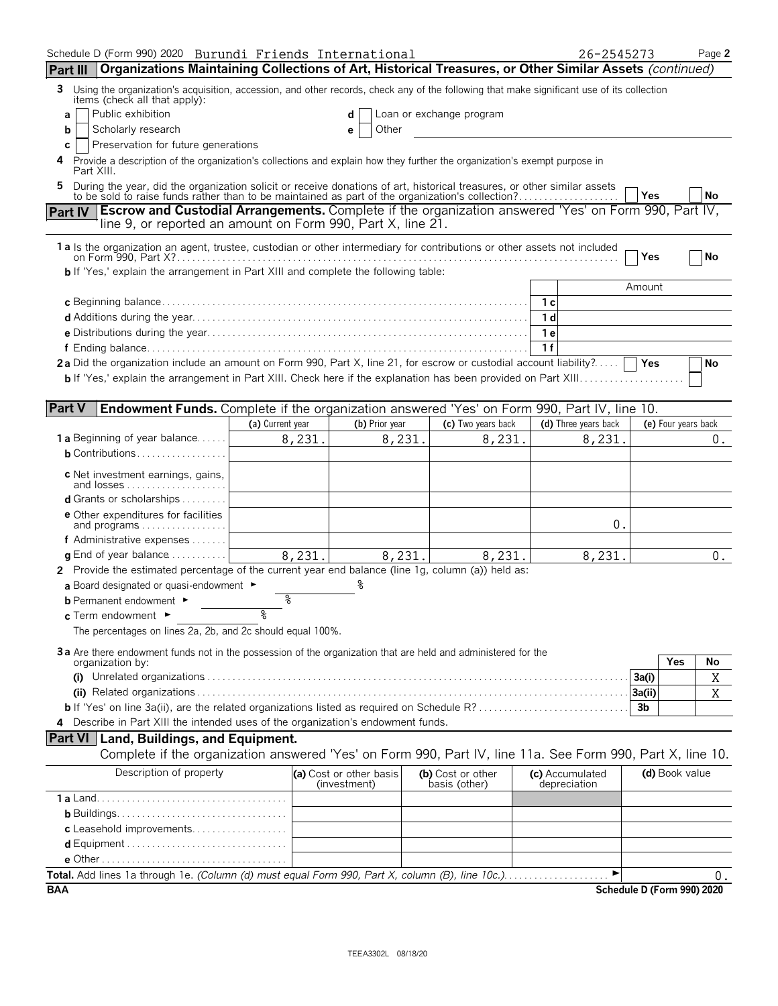| Schedule D (Form 990) 2020 Burundi Friends International                                                                                                                                                                  |                  |        |                                         |                                    | 26-2545273                      |        | Page 2                           |
|---------------------------------------------------------------------------------------------------------------------------------------------------------------------------------------------------------------------------|------------------|--------|-----------------------------------------|------------------------------------|---------------------------------|--------|----------------------------------|
| Organizations Maintaining Collections of Art, Historical Treasures, or Other Similar Assets (continued)<br><b>Part III</b>                                                                                                |                  |        |                                         |                                    |                                 |        |                                  |
| Using the organization's acquisition, accession, and other records, check any of the following that make significant use of its collection<br>3<br>items (check all that apply):                                          |                  |        |                                         |                                    |                                 |        |                                  |
| Public exhibition<br>a                                                                                                                                                                                                    |                  |        | d                                       | Loan or exchange program           |                                 |        |                                  |
| Scholarly research<br>b                                                                                                                                                                                                   |                  |        | Other<br>е                              |                                    |                                 |        |                                  |
| Preservation for future generations<br>С                                                                                                                                                                                  |                  |        |                                         |                                    |                                 |        |                                  |
| Provide a description of the organization's collections and explain how they further the organization's exempt purpose in<br>Part XIII.                                                                                   |                  |        |                                         |                                    |                                 |        |                                  |
| During the year, did the organization solicit or receive donations of art, historical treasures, or other similar assets to be sold to raise funds rather than to be maintained as part of the organization's collection? |                  |        |                                         |                                    |                                 | Yes    | <b>No</b>                        |
| Escrow and Custodial Arrangements. Complete if the organization answered 'Yes' on Form 990, Part IV,<br><b>Part IV</b>                                                                                                    |                  |        |                                         |                                    |                                 |        |                                  |
| line 9, or reported an amount on Form 990, Part X, line 21.                                                                                                                                                               |                  |        |                                         |                                    |                                 |        |                                  |
| 1 a Is the organization an agent, trustee, custodian or other intermediary for contributions or other assets not included                                                                                                 |                  |        |                                         |                                    |                                 |        |                                  |
| <b>b</b> If 'Yes,' explain the arrangement in Part XIII and complete the following table:                                                                                                                                 |                  |        |                                         |                                    |                                 | Yes    | l No                             |
|                                                                                                                                                                                                                           |                  |        |                                         |                                    |                                 | Amount |                                  |
|                                                                                                                                                                                                                           |                  |        |                                         |                                    | 1 с                             |        |                                  |
|                                                                                                                                                                                                                           |                  |        |                                         |                                    | 1 <sub>d</sub>                  |        |                                  |
|                                                                                                                                                                                                                           |                  |        |                                         |                                    | 1е                              |        |                                  |
|                                                                                                                                                                                                                           |                  |        |                                         |                                    | 1f                              |        |                                  |
| 2a Did the organization include an amount on Form 990, Part X, line 21, for escrow or custodial account liability?                                                                                                        |                  |        |                                         |                                    |                                 | Yes    | No                               |
|                                                                                                                                                                                                                           |                  |        |                                         |                                    |                                 |        |                                  |
| <b>Part V</b>                                                                                                                                                                                                             |                  |        |                                         |                                    |                                 |        |                                  |
| <b>Endowment Funds.</b> Complete if the organization answered 'Yes' on Form 990, Part IV, line 10.                                                                                                                        | (a) Current year |        | (b) Prior year                          | (c) Two years back                 | (d) Three years back            |        | (e) Four years back              |
| <b>1a</b> Beginning of year balance                                                                                                                                                                                       |                  | 8,231. | 8,231.                                  | 8,231.                             | 8,231.                          |        | $0$ .                            |
| <b>b</b> Contributions $\ldots \ldots \ldots \ldots \ldots$                                                                                                                                                               |                  |        |                                         |                                    |                                 |        |                                  |
| c Net investment earnings, gains,                                                                                                                                                                                         |                  |        |                                         |                                    |                                 |        |                                  |
| and losses<br><b>d</b> Grants or scholarships $\ldots$                                                                                                                                                                    |                  |        |                                         |                                    |                                 |        |                                  |
| <b>e</b> Other expenditures for facilities                                                                                                                                                                                |                  |        |                                         |                                    |                                 |        |                                  |
| and programs                                                                                                                                                                                                              |                  |        |                                         |                                    | 0.                              |        |                                  |
| f Administrative expenses                                                                                                                                                                                                 |                  |        |                                         |                                    |                                 |        |                                  |
| <b>q</b> End of year balance $\dots\dots\dots\dots$                                                                                                                                                                       |                  | 8,231. | 8,231.                                  | 8,231.                             | 8,231.                          |        | $0$ .                            |
| 2 Provide the estimated percentage of the current year end balance (line 1g, column (a)) held as:                                                                                                                         |                  |        |                                         |                                    |                                 |        |                                  |
| a Board designated or quasi-endowment ►                                                                                                                                                                                   | န္               |        |                                         |                                    |                                 |        |                                  |
| <b>b</b> Permanent endowment ►<br>c Term endowment ►                                                                                                                                                                      | ৽                |        |                                         |                                    |                                 |        |                                  |
| The percentages on lines 2a, 2b, and 2c should equal 100%.                                                                                                                                                                |                  |        |                                         |                                    |                                 |        |                                  |
|                                                                                                                                                                                                                           |                  |        |                                         |                                    |                                 |        |                                  |
| 3a Are there endowment funds not in the possession of the organization that are held and administered for the<br>organization by:                                                                                         |                  |        |                                         |                                    |                                 |        | Yes<br>No                        |
|                                                                                                                                                                                                                           |                  |        |                                         |                                    |                                 | 3a(i)  | Χ                                |
|                                                                                                                                                                                                                           |                  |        |                                         |                                    |                                 | 3a(ii) | Χ                                |
|                                                                                                                                                                                                                           |                  |        |                                         |                                    |                                 | 3b     |                                  |
| 4 Describe in Part XIII the intended uses of the organization's endowment funds.                                                                                                                                          |                  |        |                                         |                                    |                                 |        |                                  |
| <b>Part VI</b> Land, Buildings, and Equipment.                                                                                                                                                                            |                  |        |                                         |                                    |                                 |        |                                  |
| Complete if the organization answered 'Yes' on Form 990, Part IV, line 11a. See Form 990, Part X, line 10.                                                                                                                |                  |        |                                         |                                    |                                 |        |                                  |
| Description of property                                                                                                                                                                                                   |                  |        | (a) Cost or other basis<br>(investment) | (b) Cost or other<br>basis (other) | (c) Accumulated<br>depreciation |        | (d) Book value                   |
|                                                                                                                                                                                                                           |                  |        |                                         |                                    |                                 |        |                                  |
|                                                                                                                                                                                                                           |                  |        |                                         |                                    |                                 |        |                                  |
| c Leasehold improvements                                                                                                                                                                                                  |                  |        |                                         |                                    |                                 |        |                                  |
|                                                                                                                                                                                                                           |                  |        |                                         |                                    |                                 |        |                                  |
|                                                                                                                                                                                                                           |                  |        |                                         |                                    | ►                               |        |                                  |
| <b>BAA</b>                                                                                                                                                                                                                |                  |        |                                         |                                    |                                 |        | 0.<br>Schedule D (Form 990) 2020 |
|                                                                                                                                                                                                                           |                  |        |                                         |                                    |                                 |        |                                  |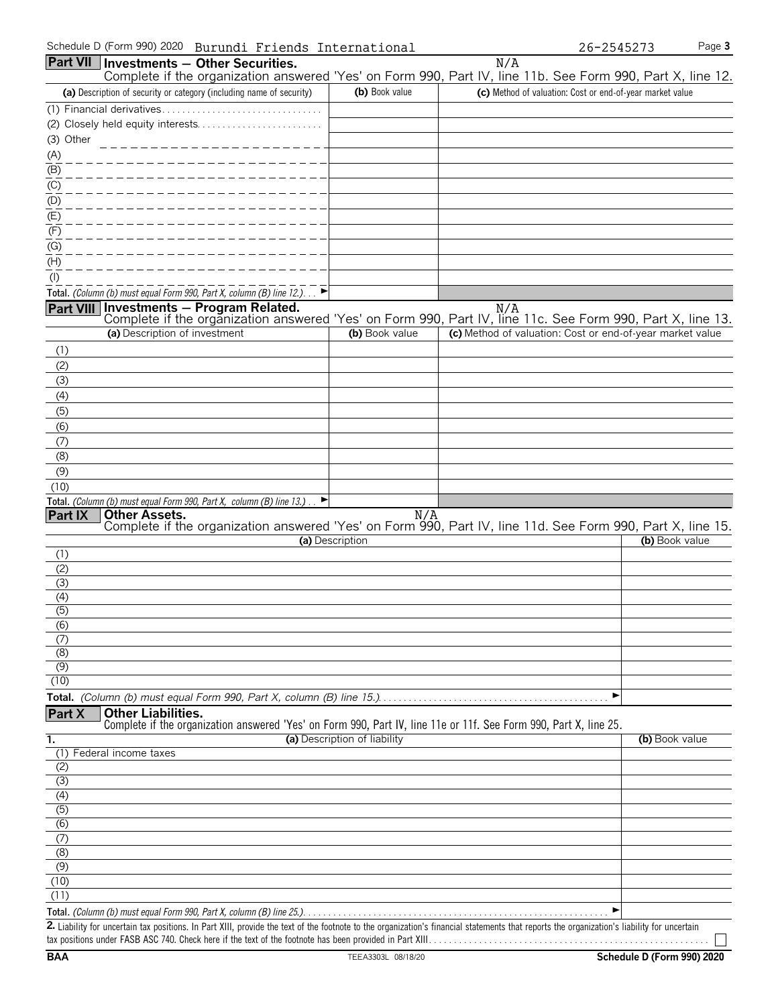|                                                                                                                     | Part VII Investments - Other Securities.                                                                                                       |                              | N/A                                                                                                                                                                     |  |
|---------------------------------------------------------------------------------------------------------------------|------------------------------------------------------------------------------------------------------------------------------------------------|------------------------------|-------------------------------------------------------------------------------------------------------------------------------------------------------------------------|--|
|                                                                                                                     | (a) Description of security or category (including name of security)                                                                           | (b) Book value               | Complete if the organization answered 'Yes' on Form 990, Part IV, line 11b. See Form 990, Part X, line 12.<br>(c) Method of valuation: Cost or end-of-year market value |  |
|                                                                                                                     | (1) Financial derivatives                                                                                                                      |                              |                                                                                                                                                                         |  |
|                                                                                                                     |                                                                                                                                                |                              |                                                                                                                                                                         |  |
| (3) Other                                                                                                           |                                                                                                                                                |                              |                                                                                                                                                                         |  |
|                                                                                                                     |                                                                                                                                                |                              |                                                                                                                                                                         |  |
| $\frac{(A)}{(B)}$                                                                                                   |                                                                                                                                                |                              |                                                                                                                                                                         |  |
|                                                                                                                     |                                                                                                                                                |                              |                                                                                                                                                                         |  |
| $\frac{1}{1}$<br>$\frac{1}{1}$<br>$\frac{1}{1}$<br>$\frac{1}{1}$<br>$\frac{1}{1}$<br>$\frac{1}{1}$<br>$\frac{1}{1}$ |                                                                                                                                                |                              |                                                                                                                                                                         |  |
|                                                                                                                     |                                                                                                                                                |                              |                                                                                                                                                                         |  |
| (F)                                                                                                                 |                                                                                                                                                |                              |                                                                                                                                                                         |  |
| (G)                                                                                                                 |                                                                                                                                                |                              |                                                                                                                                                                         |  |
| (H)                                                                                                                 |                                                                                                                                                |                              |                                                                                                                                                                         |  |
| (1)                                                                                                                 |                                                                                                                                                |                              |                                                                                                                                                                         |  |
|                                                                                                                     | Total. (Column (b) must equal Form 990, Part X, column (B) line 12.). $\blacktriangleright$                                                    |                              |                                                                                                                                                                         |  |
|                                                                                                                     |                                                                                                                                                |                              | <b>Part VIII</b> Investments – Program Related.<br>Complete if the organization answered 'Yes' on Form 990, Part IV, line 11c. See Form 990, Part X, line 13.           |  |
|                                                                                                                     | (a) Description of investment                                                                                                                  | (b) Book value               | (c) Method of valuation: Cost or end-of-year market value                                                                                                               |  |
| (1)                                                                                                                 |                                                                                                                                                |                              |                                                                                                                                                                         |  |
| (2)                                                                                                                 |                                                                                                                                                |                              |                                                                                                                                                                         |  |
| (3)                                                                                                                 |                                                                                                                                                |                              |                                                                                                                                                                         |  |
| (4)                                                                                                                 |                                                                                                                                                |                              |                                                                                                                                                                         |  |
| (5)                                                                                                                 |                                                                                                                                                |                              |                                                                                                                                                                         |  |
| (6)                                                                                                                 |                                                                                                                                                |                              |                                                                                                                                                                         |  |
| (7)<br>(8)                                                                                                          |                                                                                                                                                |                              |                                                                                                                                                                         |  |
| (9)                                                                                                                 |                                                                                                                                                |                              |                                                                                                                                                                         |  |
| (10)                                                                                                                |                                                                                                                                                |                              |                                                                                                                                                                         |  |
|                                                                                                                     | Total. (Column (b) must equal Form 990, Part X, column (B) line 13.)<br>E                                                                      |                              |                                                                                                                                                                         |  |
| <b>Part IX</b>                                                                                                      | <b>Other Assets.</b>                                                                                                                           | N/A                          | Complete if the organization answered 'Yes' on Form 990, Part IV, line 11d. See Form 990, Part X, line 15.                                                              |  |
|                                                                                                                     |                                                                                                                                                | (a) Description              | (b) Book value                                                                                                                                                          |  |
| (1)                                                                                                                 |                                                                                                                                                |                              |                                                                                                                                                                         |  |
| (2)                                                                                                                 |                                                                                                                                                |                              |                                                                                                                                                                         |  |
| (3)                                                                                                                 |                                                                                                                                                |                              |                                                                                                                                                                         |  |
| (4)<br>$\overline{(5)}$                                                                                             |                                                                                                                                                |                              |                                                                                                                                                                         |  |
| (6)                                                                                                                 |                                                                                                                                                |                              |                                                                                                                                                                         |  |
| (7)                                                                                                                 |                                                                                                                                                |                              |                                                                                                                                                                         |  |
| (8)                                                                                                                 |                                                                                                                                                |                              |                                                                                                                                                                         |  |
| (9)                                                                                                                 |                                                                                                                                                |                              |                                                                                                                                                                         |  |
| (10)                                                                                                                |                                                                                                                                                |                              |                                                                                                                                                                         |  |
|                                                                                                                     |                                                                                                                                                |                              | ▶                                                                                                                                                                       |  |
| Part X                                                                                                              | <b>Other Liabilities.</b><br>Complete if the organization answered 'Yes' on Form 990, Part IV, line 11e or 11f. See Form 990, Part X, line 25. |                              |                                                                                                                                                                         |  |
| 1.                                                                                                                  |                                                                                                                                                | (a) Description of liability | (b) Book value                                                                                                                                                          |  |
|                                                                                                                     | (1) Federal income taxes                                                                                                                       |                              |                                                                                                                                                                         |  |
| (2)                                                                                                                 |                                                                                                                                                |                              |                                                                                                                                                                         |  |
| (3)<br>(4)                                                                                                          |                                                                                                                                                |                              |                                                                                                                                                                         |  |
| (5)                                                                                                                 |                                                                                                                                                |                              |                                                                                                                                                                         |  |
| (6)                                                                                                                 |                                                                                                                                                |                              |                                                                                                                                                                         |  |
| (7)                                                                                                                 |                                                                                                                                                |                              |                                                                                                                                                                         |  |
| $\overline{(\mathcal{S})}$                                                                                          |                                                                                                                                                |                              |                                                                                                                                                                         |  |
| (9)                                                                                                                 |                                                                                                                                                |                              |                                                                                                                                                                         |  |
| (10)<br>(11)                                                                                                        |                                                                                                                                                |                              |                                                                                                                                                                         |  |
|                                                                                                                     |                                                                                                                                                |                              |                                                                                                                                                                         |  |
|                                                                                                                     |                                                                                                                                                |                              |                                                                                                                                                                         |  |

**2.** Liability for uncertain tax positions. In Part XIII, provide the text of the footnote to the organization's financial statements that reports the organization's liability for uncertain tax positions under FASB ASC 740. Check here if the text of the footnote has been provided in Part XIII. . . . . . . . . . . . . . . . . . . . . . . . . . . . . . . . . . . . . . . . . . . . . . . . . . . . . . . .

 $\Box$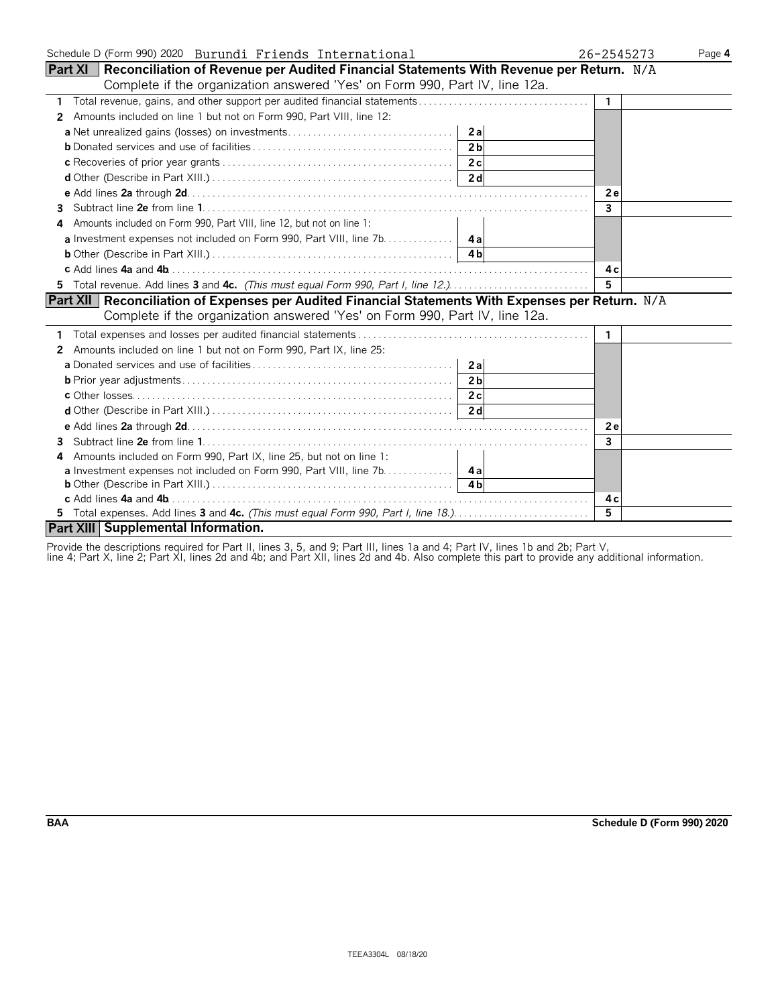| Schedule D (Form 990) 2020 Burundi Friends International                                                 | 26-2545273     | Page 4 |
|----------------------------------------------------------------------------------------------------------|----------------|--------|
| <b>Part XI</b> Reconciliation of Revenue per Audited Financial Statements With Revenue per Return. $N/A$ |                |        |
| Complete if the organization answered 'Yes' on Form 990, Part IV, line 12a.                              |                |        |
| 1 Total revenue, gains, and other support per audited financial statements                               | $\mathbf{1}$   |        |
| Amounts included on line 1 but not on Form 990, Part VIII, line 12:<br>2                                 |                |        |
|                                                                                                          |                |        |
| 2 <sub>h</sub>                                                                                           |                |        |
|                                                                                                          |                |        |
|                                                                                                          |                |        |
|                                                                                                          | 2e             |        |
| 3.                                                                                                       | $\overline{3}$ |        |
| Amounts included on Form 990, Part VIII, line 12, but not on line 1:<br>4                                |                |        |
|                                                                                                          |                |        |
|                                                                                                          |                |        |
|                                                                                                          | 4 c            |        |
| 5 Total revenue. Add lines 3 and 4c. (This must equal Form 990, Part I, line 12.)                        | 5              |        |
| Part XII   Reconciliation of Expenses per Audited Financial Statements With Expenses per Return. N/A     |                |        |
| Complete if the organization answered 'Yes' on Form 990, Part IV, line 12a.                              |                |        |
|                                                                                                          | -1             |        |
| 2 Amounts included on line 1 but not on Form 990, Part IX, line 25:                                      |                |        |
|                                                                                                          |                |        |
| 2 <sub>h</sub>                                                                                           |                |        |
|                                                                                                          |                |        |
|                                                                                                          |                |        |
|                                                                                                          | 2e             |        |
| 3.                                                                                                       | 3              |        |
| Amounts included on Form 990, Part IX, line 25, but not on line 1:<br>4                                  |                |        |
| <b>a</b> Investment expenses not included on Form 990, Part VIII, line 7b. 4a                            |                |        |
|                                                                                                          |                |        |
|                                                                                                          | 4 c            |        |
| 5 Total expenses. Add lines 3 and 4c. (This must equal Form 990, Part I, line 18.)                       | $\overline{5}$ |        |
| Part XIII Supplemental Information.                                                                      |                |        |

Provide the descriptions required for Part II, lines 3, 5, and 9; Part III, lines 1a and 4; Part IV, lines 1b and 2b; Part V,

line 4; Part X, line 2; Part XI, lines 2d and 4b; and Part XII, lines 2d and 4b. Also complete this part to provide any additional information.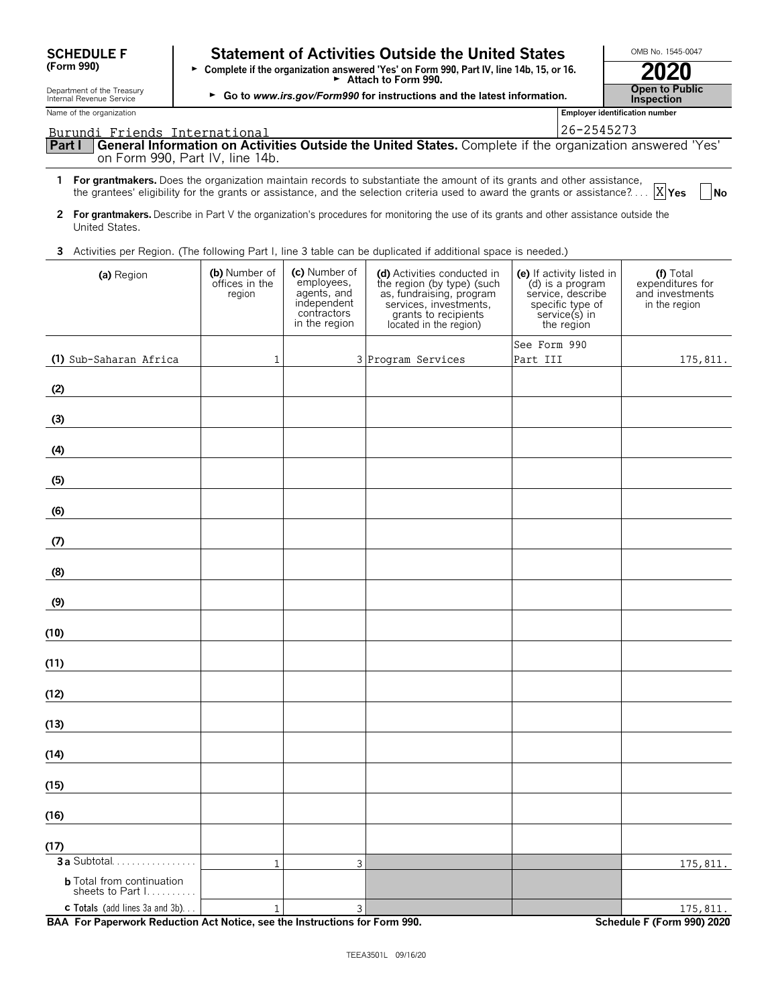| <b>SCHEDULE F</b> |  |
|-------------------|--|
| (Form 990)        |  |

# **Statement of Activities Outside the United States Letter MB No. 1545-0047**

**(Form 990)** G **Complete if the organization answered 'Yes' on Form 990, Part IV, line 14b, 15, or 16.** <sup>G</sup>**Attach to Form 990. 2020** Department of the Treasury **Open to Public** <sup>G</sup>**Go to** *www.irs.gov/Form990* **for instructions and the latest information***.* Internal Revenue Service **Inspection**

X<sub>Yes</sub>

Name of the organization **Employer identification number Employer identification number Part I General Information on Activities Outside the United States.** Complete if the organization answered 'Yes' on Form 990, Part IV, line 14b. **1 For grantmakers.** Does the organization maintain records to substantiate the amount of its grants and other assistance, the grantees' eligibility for the grants or assistance, and the selection criteria used to award the grants or assistance?. . . . **Yes No 2 For grantmakers.** Describe in Part V the organization's procedures for monitoring the use of its grants and other assistance outside the United States. Burundi Friends International 26-2545273

**3** Activities per Region. (The following Part I, line 3 table can be duplicated if additional space is needed.)

| (a) Region                                           | (b) Number of<br>offices in the<br>region | (c) Number of<br>employees,<br>agents, and<br>independent<br>contractors<br>in the region | (d) Activities conducted in<br>the region (by type) (such<br>as, fundraising, program<br>services, investments,<br>grants to recipients<br>located in the region) | (e) If activity listed in<br>(d) is a program<br>service, describe<br>specific type of<br>service(s) in<br>the region | (f) Total<br>expenditures for<br>and investments<br>in the region |
|------------------------------------------------------|-------------------------------------------|-------------------------------------------------------------------------------------------|-------------------------------------------------------------------------------------------------------------------------------------------------------------------|-----------------------------------------------------------------------------------------------------------------------|-------------------------------------------------------------------|
| (1) Sub-Saharan Africa                               | $\mathbf{1}$                              |                                                                                           | 3 Program Services                                                                                                                                                | See Form 990<br>Part III                                                                                              | 175,811.                                                          |
| (2)                                                  |                                           |                                                                                           |                                                                                                                                                                   |                                                                                                                       |                                                                   |
| (3)                                                  |                                           |                                                                                           |                                                                                                                                                                   |                                                                                                                       |                                                                   |
| (4)                                                  |                                           |                                                                                           |                                                                                                                                                                   |                                                                                                                       |                                                                   |
| (5)                                                  |                                           |                                                                                           |                                                                                                                                                                   |                                                                                                                       |                                                                   |
| (6)                                                  |                                           |                                                                                           |                                                                                                                                                                   |                                                                                                                       |                                                                   |
| (7)                                                  |                                           |                                                                                           |                                                                                                                                                                   |                                                                                                                       |                                                                   |
| (8)                                                  |                                           |                                                                                           |                                                                                                                                                                   |                                                                                                                       |                                                                   |
| (9)                                                  |                                           |                                                                                           |                                                                                                                                                                   |                                                                                                                       |                                                                   |
| (10)                                                 |                                           |                                                                                           |                                                                                                                                                                   |                                                                                                                       |                                                                   |
| (11)                                                 |                                           |                                                                                           |                                                                                                                                                                   |                                                                                                                       |                                                                   |
| (12)                                                 |                                           |                                                                                           |                                                                                                                                                                   |                                                                                                                       |                                                                   |
| (13)                                                 |                                           |                                                                                           |                                                                                                                                                                   |                                                                                                                       |                                                                   |
| (14)                                                 |                                           |                                                                                           |                                                                                                                                                                   |                                                                                                                       |                                                                   |
| (15)                                                 |                                           |                                                                                           |                                                                                                                                                                   |                                                                                                                       |                                                                   |
| (16)                                                 |                                           |                                                                                           |                                                                                                                                                                   |                                                                                                                       |                                                                   |
| (17)                                                 |                                           |                                                                                           |                                                                                                                                                                   |                                                                                                                       |                                                                   |
| $3a$ Subtotal                                        | $\overline{1}$                            | 3                                                                                         |                                                                                                                                                                   |                                                                                                                       | 175,811.                                                          |
| <b>b</b> Total from continuation<br>sheets to Part I |                                           |                                                                                           |                                                                                                                                                                   |                                                                                                                       |                                                                   |
| c Totals (add lines 3a and 3b)                       | $\mathbf{1}$                              | $\mathbf{3}$                                                                              |                                                                                                                                                                   |                                                                                                                       | 175,811.                                                          |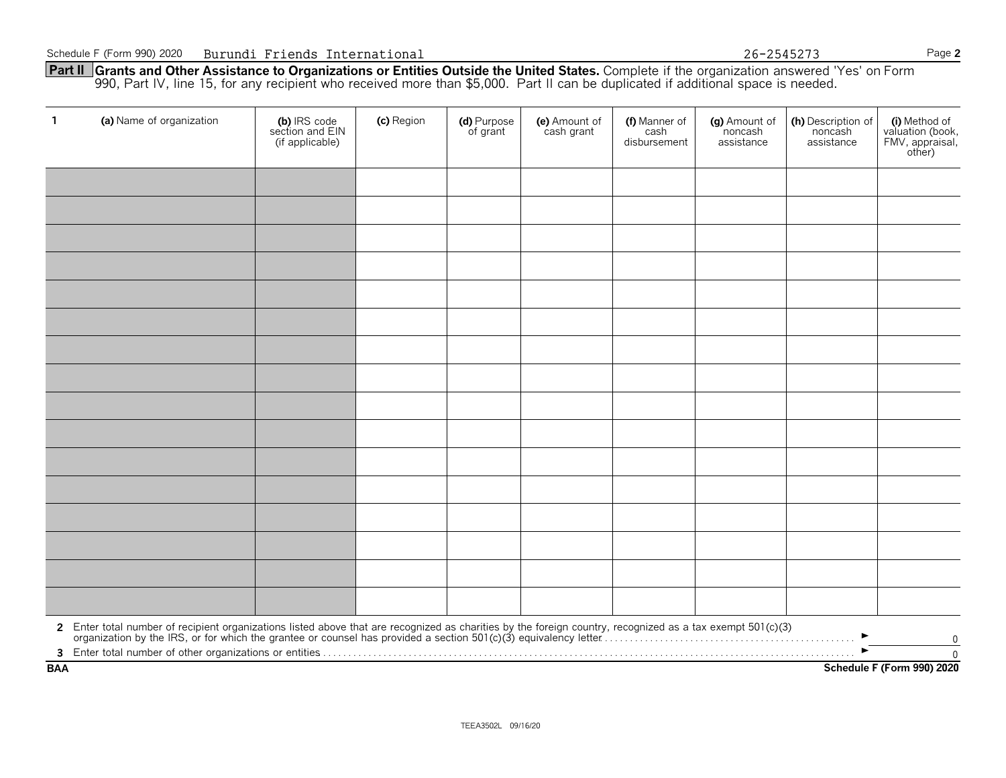**Part II Grants and Other Assistance to Organizations or Entities Outside the United States.** Complete if the organization answered 'Yes' on Form 990, Part IV, line 15, for any recipient who received more than \$5,000. Part II can be duplicated if additional space is needed.

| $\mathbf{1}$ | (a) Name of organization                                                                                                                                                                                                       | (b) IRS code<br>section and EIN<br>(if applicable) | (c) Region | (d) Purpose<br>of grant | (e) Amount of<br>cash grant | (f) Manner of<br>cash<br>disbursement | (g) Amount of<br>noncash<br>assistance | (h) Description of<br>noncash<br>assistance | (i) Method of<br>valuation (book,<br>FMV, appraisal,<br>other) |
|--------------|--------------------------------------------------------------------------------------------------------------------------------------------------------------------------------------------------------------------------------|----------------------------------------------------|------------|-------------------------|-----------------------------|---------------------------------------|----------------------------------------|---------------------------------------------|----------------------------------------------------------------|
|              |                                                                                                                                                                                                                                |                                                    |            |                         |                             |                                       |                                        |                                             |                                                                |
|              |                                                                                                                                                                                                                                |                                                    |            |                         |                             |                                       |                                        |                                             |                                                                |
|              |                                                                                                                                                                                                                                |                                                    |            |                         |                             |                                       |                                        |                                             |                                                                |
|              |                                                                                                                                                                                                                                |                                                    |            |                         |                             |                                       |                                        |                                             |                                                                |
|              |                                                                                                                                                                                                                                |                                                    |            |                         |                             |                                       |                                        |                                             |                                                                |
|              |                                                                                                                                                                                                                                |                                                    |            |                         |                             |                                       |                                        |                                             |                                                                |
|              |                                                                                                                                                                                                                                |                                                    |            |                         |                             |                                       |                                        |                                             |                                                                |
|              |                                                                                                                                                                                                                                |                                                    |            |                         |                             |                                       |                                        |                                             |                                                                |
|              |                                                                                                                                                                                                                                |                                                    |            |                         |                             |                                       |                                        |                                             |                                                                |
|              |                                                                                                                                                                                                                                |                                                    |            |                         |                             |                                       |                                        |                                             |                                                                |
|              |                                                                                                                                                                                                                                |                                                    |            |                         |                             |                                       |                                        |                                             |                                                                |
|              |                                                                                                                                                                                                                                |                                                    |            |                         |                             |                                       |                                        |                                             |                                                                |
|              |                                                                                                                                                                                                                                |                                                    |            |                         |                             |                                       |                                        |                                             |                                                                |
|              |                                                                                                                                                                                                                                |                                                    |            |                         |                             |                                       |                                        |                                             |                                                                |
|              |                                                                                                                                                                                                                                |                                                    |            |                         |                             |                                       |                                        |                                             |                                                                |
|              |                                                                                                                                                                                                                                |                                                    |            |                         |                             |                                       |                                        |                                             |                                                                |
|              | 2 Enter total number of recipient organizations listed above that are recognized as charities by the foreign country, recognized as a tax exempt 501(c)(3) organization by the IRS, or for which the grantee or counsel has pr |                                                    |            |                         |                             |                                       |                                        |                                             | 0                                                              |
| <b>BAA</b>   | $\mathbf{0}$<br>Schedule F (Form 990) 2020                                                                                                                                                                                     |                                                    |            |                         |                             |                                       |                                        |                                             |                                                                |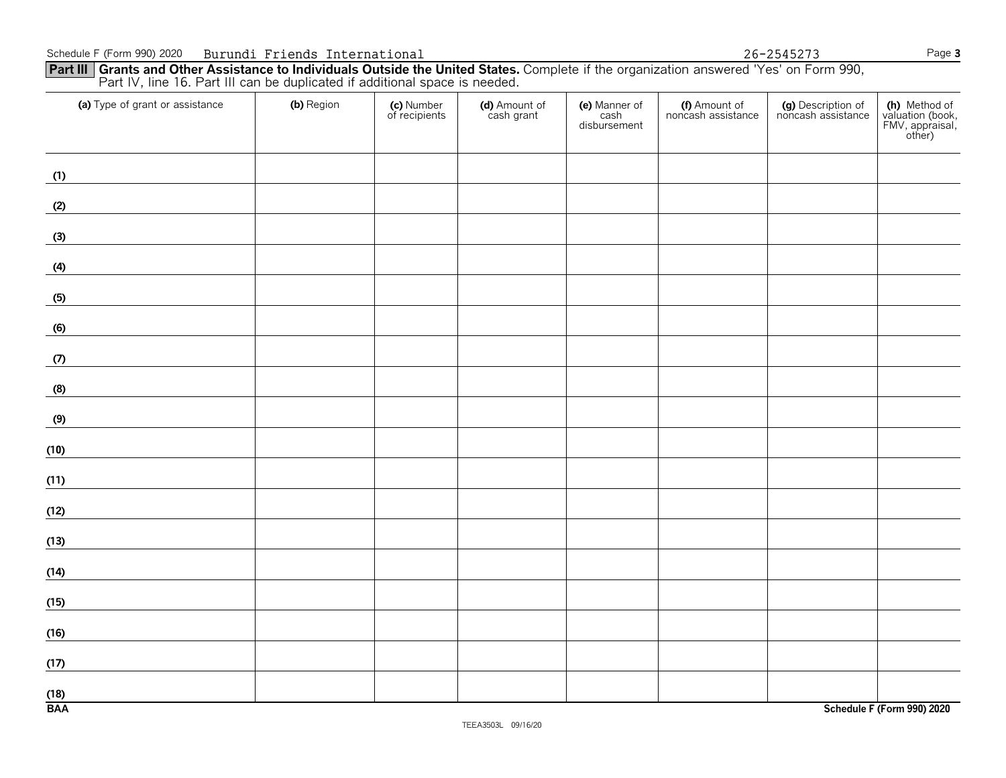**Part III Grants and Other Assistance to Individuals Outside the United States.** Complete if the organization answered 'Yes' on Form 990, Part IV, line 16. Part III can be duplicated if additional space is needed.

| (a) Type of grant or assistance                                                                                                                                                                                                             | (b) Region | (c) Number<br>of recipients | (d) Amount of<br>cash grant | (e) Manner of<br>cash<br>disbursement | (f) Amount of<br>noncash assistance | (g) Description of<br>noncash assistance | (h) Method of<br>valuation (book,<br>FMV, appraisal,<br>other) |
|---------------------------------------------------------------------------------------------------------------------------------------------------------------------------------------------------------------------------------------------|------------|-----------------------------|-----------------------------|---------------------------------------|-------------------------------------|------------------------------------------|----------------------------------------------------------------|
| (1)                                                                                                                                                                                                                                         |            |                             |                             |                                       |                                     |                                          |                                                                |
| (2)                                                                                                                                                                                                                                         |            |                             |                             |                                       |                                     |                                          |                                                                |
| (3)                                                                                                                                                                                                                                         |            |                             |                             |                                       |                                     |                                          |                                                                |
| (4)<br><u> The Community of the Community of the Community of the Community of the Community of the Community of the Community of the Community of the Community of the Community of the Community of the Community of the Community of</u> |            |                             |                             |                                       |                                     |                                          |                                                                |
| (5)                                                                                                                                                                                                                                         |            |                             |                             |                                       |                                     |                                          |                                                                |
| (6)                                                                                                                                                                                                                                         |            |                             |                             |                                       |                                     |                                          |                                                                |
| (7)                                                                                                                                                                                                                                         |            |                             |                             |                                       |                                     |                                          |                                                                |
| (8)<br><u> 1980 - Jan Jawa Barat, president populație de la pre</u>                                                                                                                                                                         |            |                             |                             |                                       |                                     |                                          |                                                                |
| (9)                                                                                                                                                                                                                                         |            |                             |                             |                                       |                                     |                                          |                                                                |
| (10)                                                                                                                                                                                                                                        |            |                             |                             |                                       |                                     |                                          |                                                                |
| (11)                                                                                                                                                                                                                                        |            |                             |                             |                                       |                                     |                                          |                                                                |
| (12)                                                                                                                                                                                                                                        |            |                             |                             |                                       |                                     |                                          |                                                                |
| (13)                                                                                                                                                                                                                                        |            |                             |                             |                                       |                                     |                                          |                                                                |
| (14)                                                                                                                                                                                                                                        |            |                             |                             |                                       |                                     |                                          |                                                                |
| (15)                                                                                                                                                                                                                                        |            |                             |                             |                                       |                                     |                                          |                                                                |
| (16)                                                                                                                                                                                                                                        |            |                             |                             |                                       |                                     |                                          |                                                                |
| (17)                                                                                                                                                                                                                                        |            |                             |                             |                                       |                                     |                                          |                                                                |
| (18)<br><b>BAA</b>                                                                                                                                                                                                                          |            |                             |                             |                                       |                                     |                                          | Schedule F (Form 990) 2020                                     |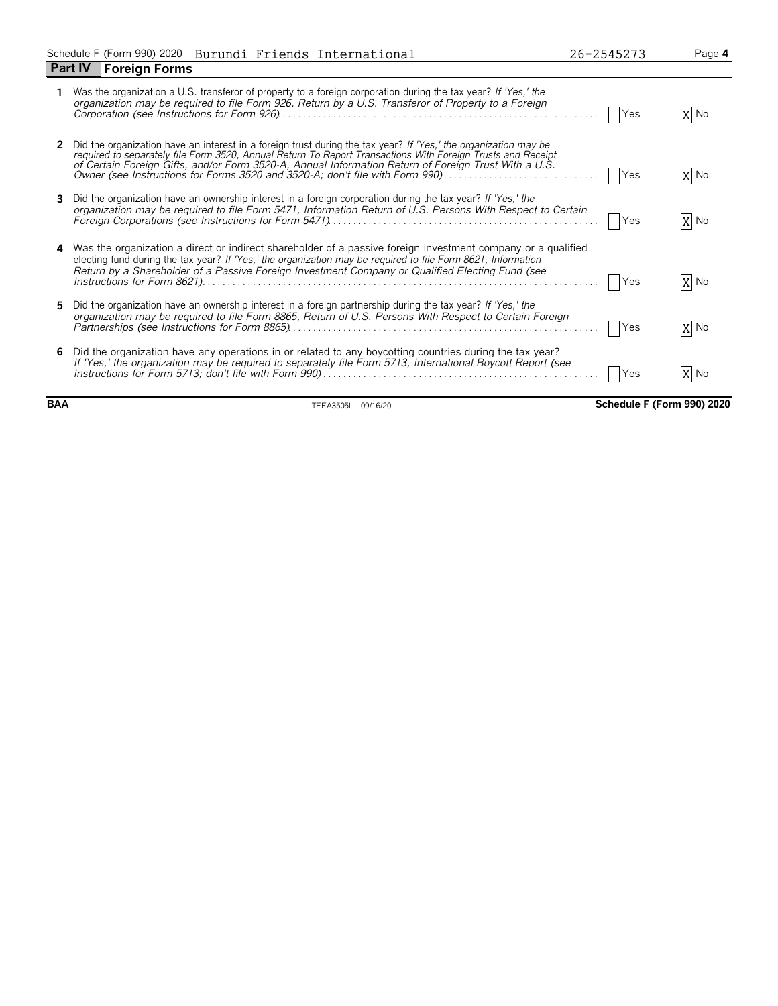|    | Was the organization a U.S. transferor of property to a foreign corporation during the tax year? If 'Yes,' the<br>organization may be required to file Form 926, Return by a U.S. Transferor of Property to a Foreign                                                                                                                                                                                                  | Yes        | X No   |
|----|------------------------------------------------------------------------------------------------------------------------------------------------------------------------------------------------------------------------------------------------------------------------------------------------------------------------------------------------------------------------------------------------------------------------|------------|--------|
|    | Did the organization have an interest in a foreign trust during the tax year? If 'Yes,' the organization may be<br>required to separately file Form 3520, Annual Return To Report Transactions With Foreign Trusts and Receipt<br>of Certain Foreign Gifts, and/or Form 3520-A, Annual Information Return of Foreign Trust With a U.S.<br>Owner (see Instructions for Forms 3520 and 3520-A; don't file with Form 990) | Yes        | X No   |
| 3. | Did the organization have an ownership interest in a foreign corporation during the tax year? If 'Yes,' the<br>organization may be required to file Form 5471, Information Return of U.S. Persons With Respect to Certain                                                                                                                                                                                              | Yes        | X No   |
|    | Was the organization a direct or indirect shareholder of a passive foreign investment company or a qualified<br>electing fund during the tax year? If 'Yes,' the organization may be required to file Form 8621, Information<br>Return by a Shareholder of a Passive Foreign Investment Company or Qualified Electing Fund (see                                                                                        | Yes        | $X$ No |
| 5. | Did the organization have an ownership interest in a foreign partnership during the tax year? If 'Yes,' the<br>organization may be required to file Form 8865, Return of U.S. Persons With Respect to Certain Foreign                                                                                                                                                                                                  | <b>Yes</b> | X No   |
| 6. | Did the organization have any operations in or related to any boycotting countries during the tax year?<br>If 'Yes,' the organization may be required to separately file Form 5713, International Boycott Report (see                                                                                                                                                                                                  | <b>Yes</b> | X No   |

**BAA** TEEA3505L 09/16/20 **Schedule F (Form 990) 2020**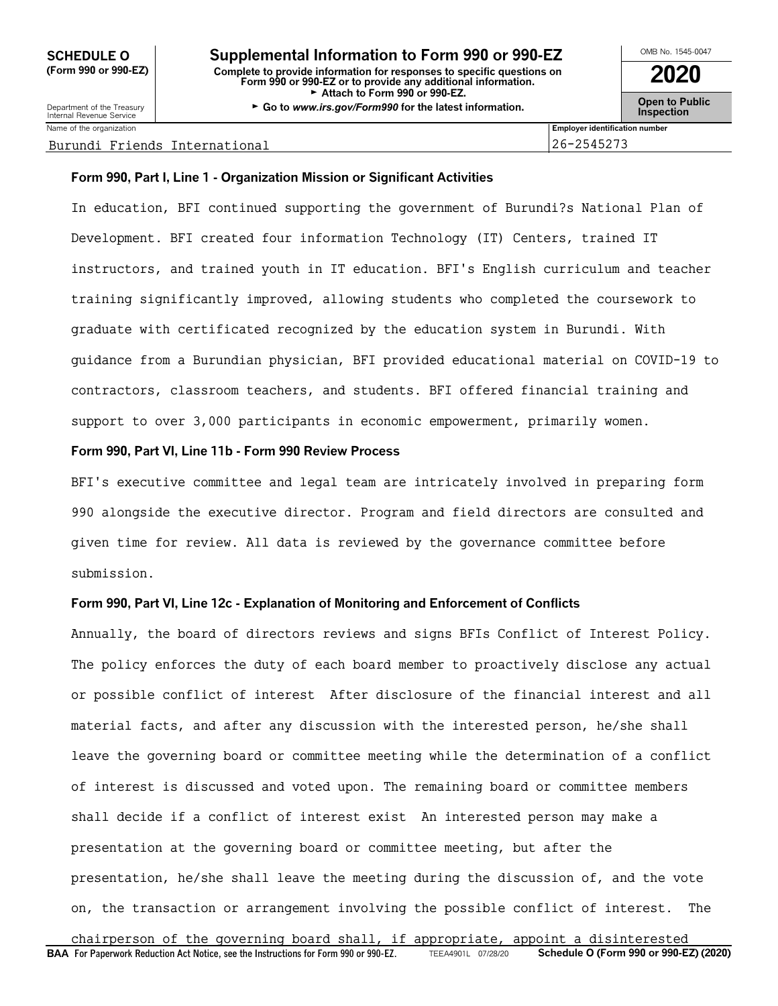Department of the Treasury<br>Internal Revenue Service Name of the organization **Employer identification number Employer identification number** 

#### Burundi Friends International 26-2545273

#### **Form 990, Part I, Line 1 - Organization Mission or Significant Activities**

In education, BFI continued supporting the government of Burundi?s National Plan of Development. BFI created four information Technology (IT) Centers, trained IT instructors, and trained youth in IT education. BFI's English curriculum and teacher training significantly improved, allowing students who completed the coursework to graduate with certificated recognized by the education system in Burundi. With guidance from a Burundian physician, BFI provided educational material on COVID-19 to contractors, classroom teachers, and students. BFI offered financial training and support to over 3,000 participants in economic empowerment, primarily women.

#### **Form 990, Part VI, Line 11b - Form 990 Review Process**

BFI's executive committee and legal team are intricately involved in preparing form 990 alongside the executive director. Program and field directors are consulted and given time for review. All data is reviewed by the governance committee before submission.

#### **Form 990, Part VI, Line 12c - Explanation of Monitoring and Enforcement of Conflicts**

Annually, the board of directors reviews and signs BFIs Conflict of Interest Policy. The policy enforces the duty of each board member to proactively disclose any actual or possible conflict of interest After disclosure of the financial interest and all material facts, and after any discussion with the interested person, he/she shall leave the governing board or committee meeting while the determination of a conflict of interest is discussed and voted upon. The remaining board or committee members shall decide if a conflict of interest exist An interested person may make a presentation at the governing board or committee meeting, but after the presentation, he/she shall leave the meeting during the discussion of, and the vote on, the transaction or arrangement involving the possible conflict of interest. The